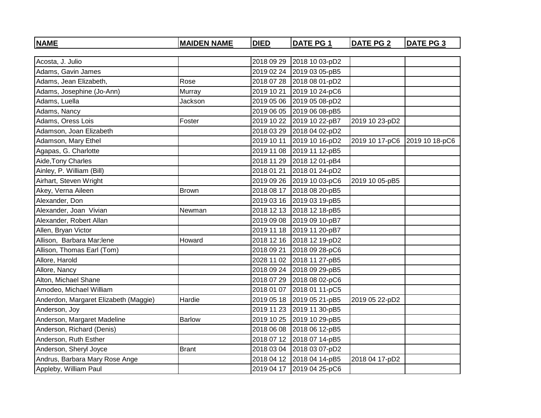| <b>NAME</b>                           | <b>MAIDEN NAME</b> | <b>DIED</b> | <b>DATE PG 1</b>          | <b>DATE PG 2</b> | <b>DATE PG 3</b> |
|---------------------------------------|--------------------|-------------|---------------------------|------------------|------------------|
|                                       |                    |             |                           |                  |                  |
| Acosta, J. Julio                      |                    | 2018 09 29  | 2018 10 03-pD2            |                  |                  |
| Adams, Gavin James                    |                    | 2019 02 24  | 2019 03 05-pB5            |                  |                  |
| Adams, Jean Elizabeth,                | Rose               | 2018 07 28  | 2018 08 01-pD2            |                  |                  |
| Adams, Josephine (Jo-Ann)             | <b>Murray</b>      | 2019 10 21  | 2019 10 24-pC6            |                  |                  |
| Adams, Luella                         | Jackson            | 2019 05 06  | 2019 05 08-pD2            |                  |                  |
| Adams, Nancy                          |                    | 2019 06 05  | 2019 06 08-pB5            |                  |                  |
| Adams, Oress Lois                     | Foster             | 2019 10 22  | 2019 10 22-pB7            | 2019 10 23-pD2   |                  |
| Adamson, Joan Elizabeth               |                    | 2018 03 29  | 2018 04 02-pD2            |                  |                  |
| Adamson, Mary Ethel                   |                    |             | 2019 10 11 2019 10 16-pD2 | 2019 10 17-pC6   | 2019 10 18-pC6   |
| Agapas, G. Charlotte                  |                    | 2019 11 08  | 2019 11 12-pB5            |                  |                  |
| Aide, Tony Charles                    |                    | 2018 11 29  | 2018 12 01-pB4            |                  |                  |
| Ainley, P. William (Bill)             |                    | 2018 01 21  | 2018 01 24-pD2            |                  |                  |
| Airhart, Steven Wright                |                    |             | 2019 09 26 2019 10 03-pC6 | 2019 10 05-pB5   |                  |
| Akey, Verna Aileen                    | Brown              | 2018 08 17  | 2018 08 20-pB5            |                  |                  |
| Alexander, Don                        |                    | 2019 03 16  | 2019 03 19-pB5            |                  |                  |
| Alexander, Joan Vivian                | Newman             |             | 2018 12 13 2018 12 18-pB5 |                  |                  |
| Alexander, Robert Allan               |                    | 2019 09 08  | 2019 09 10-pB7            |                  |                  |
| Allen, Bryan Victor                   |                    | 2019 11 18  | 2019 11 20-pB7            |                  |                  |
| Allison, Barbara Mar;lene             | Howard             |             | 2018 12 16 2018 12 19-pD2 |                  |                  |
| Allison, Thomas Earl (Tom)            |                    | 2018 09 21  | 2018 09 28-pC6            |                  |                  |
| Allore, Harold                        |                    | 2028 11 02  | 2018 11 27-pB5            |                  |                  |
| Allore, Nancy                         |                    |             | 2018 09 24 2018 09 29-pB5 |                  |                  |
| Alton, Michael Shane                  |                    | 2018 07 29  | 2018 08 02-pC6            |                  |                  |
| Amodeo, Michael William               |                    | 2018 01 07  | 2018 01 11-pC5            |                  |                  |
| Anderdon, Margaret Elizabeth (Maggie) | Hardie             | 2019 05 18  | 2019 05 21-pB5            | 2019 05 22-pD2   |                  |
| Anderson, Joy                         |                    |             | 2019 11 23 2019 11 30-pB5 |                  |                  |
| Anderson, Margaret Madeline           | <b>Barlow</b>      | 2019 10 25  | 2019 10 29-pB5            |                  |                  |
| Anderson, Richard (Denis)             |                    | 2018 06 08  | 2018 06 12-pB5            |                  |                  |
| Anderson, Ruth Esther                 |                    |             | 2018 07 12 2018 07 14-pB5 |                  |                  |
| Anderson, Sheryl Joyce                | <b>Brant</b>       | 2018 03 04  | 2018 03 07-pD2            |                  |                  |
| Andrus, Barbara Mary Rose Ange        |                    |             | 2018 04 12 2018 04 14-pB5 | 2018 04 17-pD2   |                  |
| Appleby, William Paul                 |                    |             | 2019 04 17 2019 04 25-pC6 |                  |                  |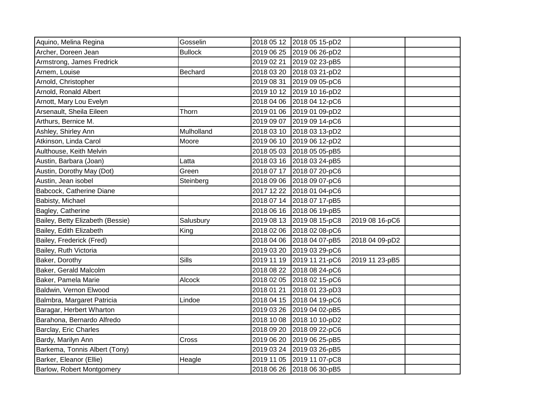| Aquino, Melina Regina            | Gosselin       |            | 2018 05 12 2018 05 15-pD2 |                |  |
|----------------------------------|----------------|------------|---------------------------|----------------|--|
| Archer, Doreen Jean              | <b>Bullock</b> | 2019 06 25 | 2019 06 26-pD2            |                |  |
| Armstrong, James Fredrick        |                | 2019 02 21 | 2019 02 23-pB5            |                |  |
| Arnem, Louise                    | Bechard        | 2018 03 20 | 2018 03 21-pD2            |                |  |
| Arnold, Christopher              |                | 2019 08 31 | 2019 09 05-pC6            |                |  |
| Arnold, Ronald Albert            |                | 2019 10 12 | 2019 10 16-pD2            |                |  |
| Arnott, Mary Lou Evelyn          |                | 2018 04 06 | 2018 04 12-pC6            |                |  |
| Arsenault, Sheila Eileen         | Thorn          | 2019 01 06 | 2019 01 09-pD2            |                |  |
| Arthurs, Bernice M.              |                | 2019 09 07 | 2019 09 14-pC6            |                |  |
| Ashley, Shirley Ann              | Mulholland     | 2018 03 10 | 2018 03 13-pD2            |                |  |
| Atkinson, Linda Carol            | Moore          |            | 2019 06 10 2019 06 12-pD2 |                |  |
| Aulthouse, Keith Melvin          |                |            | 2018 05 03 2018 05 05-pB5 |                |  |
| Austin, Barbara (Joan)           | Latta          |            | 2018 03 16 2018 03 24-pB5 |                |  |
| Austin, Dorothy May (Dot)        | Green          | 2018 07 17 | 2018 07 20-pC6            |                |  |
| Austin, Jean isobel              | Steinberg      | 2018 09 06 | 2018 09 07-pC6            |                |  |
| Babcock, Catherine Diane         |                | 2017 12 22 | 2018 01 04-pC6            |                |  |
| Babisty, Michael                 |                |            | 2018 07 14 2018 07 17-pB5 |                |  |
| Bagley, Catherine                |                |            | 2018 06 16 2018 06 19-pB5 |                |  |
| Bailey, Betty Elizabeth (Bessie) | Salusbury      |            | 2019 08 13 2019 08 15-pC8 | 2019 08 16-pC6 |  |
| Bailey, Edith Elizabeth          | King           | 2018 02 06 | 2018 02 08-pC6            |                |  |
| Bailey, Frederick (Fred)         |                |            | 2018 04 06 2018 04 07-pB5 | 2018 04 09-pD2 |  |
| Bailey, Ruth Victoria            |                | 2019 03 20 | 2019 03 29-pC6            |                |  |
| Baker, Dorothy                   | Sills          | 2019 11 19 | 2019 11 21-pC6            | 2019 11 23-pB5 |  |
| Baker, Gerald Malcolm            |                | 2018 08 22 | 2018 08 24-pC6            |                |  |
| Baker, Pamela Marie              | Alcock         |            | 2018 02 05 2018 02 15-pC6 |                |  |
| Baldwin, Vernon Elwood           |                | 2018 01 21 | 2018 01 23-pD3            |                |  |
| Balmbra, Margaret Patricia       | Lindoe         | 2018 04 15 | 2018 04 19-pC6            |                |  |
| Baragar, Herbert Wharton         |                | 2019 03 26 | 2019 04 02-pB5            |                |  |
| Barahona, Bernardo Alfredo       |                | 2018 10 08 | 2018 10 10-pD2            |                |  |
| Barclay, Eric Charles            |                | 2018 09 20 | 2018 09 22-pC6            |                |  |
| Bardy, Marilyn Ann               | Cross          | 2019 06 20 | 2019 06 25-pB5            |                |  |
| Barkema, Tonnis Albert (Tony)    |                | 2019 03 24 | 2019 03 26-pB5            |                |  |
| Barker, Eleanor (Ellie)          | Heagle         | 2019 11 05 | 2019 11 07-pC8            |                |  |
| Barlow, Robert Montgomery        |                |            | 2018 06 26 2018 06 30-pB5 |                |  |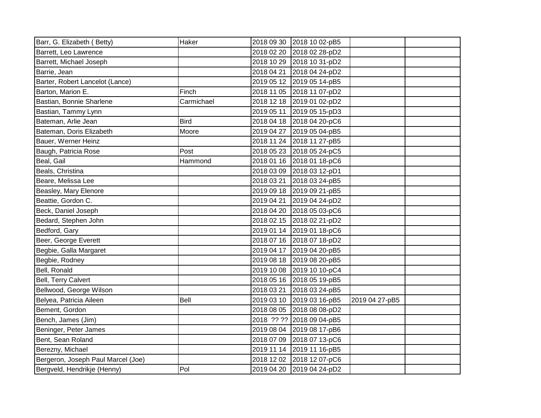| Barr, G. Elizabeth (Betty)         | Haker       | 2018 09 30 | 2018 10 02-pB5            |                |  |
|------------------------------------|-------------|------------|---------------------------|----------------|--|
| Barrett, Leo Lawrence              |             | 2018 02 20 | 2018 02 28-pD2            |                |  |
| Barrett, Michael Joseph            |             | 2018 10 29 | 2018 10 31-pD2            |                |  |
| Barrie, Jean                       |             | 2018 04 21 | 2018 04 24-pD2            |                |  |
| Barter, Robert Lancelot (Lance)    |             | 2019 05 12 | 2019 05 14-pB5            |                |  |
| Barton, Marion E.                  | Finch       | 2018 11 05 | 2018 11 07-pD2            |                |  |
| Bastian, Bonnie Sharlene           | Carmichael  | 2018 12 18 | 2019 01 02-pD2            |                |  |
| Bastian, Tammy Lynn                |             | 2019 05 11 | 2019 05 15-pD3            |                |  |
| Bateman, Arlie Jean                | <b>Bird</b> | 2018 04 18 | 2018 04 20-pC6            |                |  |
| Bateman, Doris Elizabeth           | Moore       | 2019 04 27 | 2019 05 04-pB5            |                |  |
| Bauer, Werner Heinz                |             | 2018 11 24 | 2018 11 27-pB5            |                |  |
| Baugh, Patricia Rose               | Post        | 2018 05 23 | 2018 05 24-pC5            |                |  |
| Beal, Gail                         | Hammond     | 2018 01 16 | 2018 01 18-pC6            |                |  |
| Beals, Christina                   |             | 2018 03 09 | 2018 03 12-pD1            |                |  |
| Beare, Melissa Lee                 |             | 2018 03 21 | 2018 03 24-pB5            |                |  |
| Beasley, Mary Elenore              |             | 2019 09 18 | 2019 09 21-pB5            |                |  |
| Beattie, Gordon C.                 |             | 2019 04 21 | 2019 04 24-pD2            |                |  |
| Beck, Daniel Joseph                |             | 2018 04 20 | 2018 05 03-pC6            |                |  |
| Bedard, Stephen John               |             | 2018 02 15 | 2018 02 21-pD2            |                |  |
| Bedford, Gary                      |             | 2019 01 14 | 2019 01 18-pC6            |                |  |
| Beer, George Everett               |             | 2018 07 16 | 2018 07 18-pD2            |                |  |
| Begbie, Galla Margaret             |             | 2019 04 17 | 2019 04 20-pB5            |                |  |
| Begbie, Rodney                     |             | 2019 08 18 | 2019 08 20-pB5            |                |  |
| Bell, Ronald                       |             | 2019 10 08 | 2019 10 10-pC4            |                |  |
| Bell, Terry Calvert                |             | 2018 05 16 | 2018 05 19-pB5            |                |  |
| Bellwood, George Wilson            |             | 2018 03 21 | 2018 03 24-pB5            |                |  |
| Belyea, Patricia Aileen            | Bell        | 2019 03 10 | 2019 03 16-pB5            | 2019 04 27-pB5 |  |
| Bement, Gordon                     |             | 2018 08 05 | 2018 08 08-pD2            |                |  |
| Bench, James (Jim)                 |             |            | 2018 ?? ?? 2018 09 04-pB5 |                |  |
| Beninger, Peter James              |             | 2019 08 04 | 2019 08 17-pB6            |                |  |
| Bent, Sean Roland                  |             | 2018 07 09 | 2018 07 13-pC6            |                |  |
| Berezny, Michael                   |             | 2019 11 14 | 2019 11 16-pB5            |                |  |
| Bergeron, Joseph Paul Marcel (Joe) |             | 2018 12 02 | 2018 12 07-pC6            |                |  |
| Bergveld, Hendrikje (Henny)        | Pol         | 2019 04 20 | 2019 04 24-pD2            |                |  |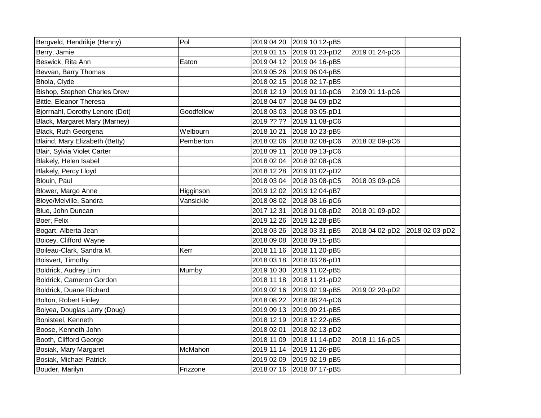| Bergveld, Hendrikje (Henny)     | Pol        |            | 2019 04 20 2019 10 12-pB5 |                |                |
|---------------------------------|------------|------------|---------------------------|----------------|----------------|
| Berry, Jamie                    |            | 2019 01 15 | 2019 01 23-pD2            | 2019 01 24-pC6 |                |
| Beswick, Rita Ann               | Eaton      |            | 2019 04 12 2019 04 16-pB5 |                |                |
| Bevvan, Barry Thomas            |            | 2019 05 26 | 2019 06 04-pB5            |                |                |
| Bhola, Clyde                    |            | 2018 02 15 | 2018 02 17-pB5            |                |                |
| Bishop, Stephen Charles Drew    |            | 2018 12 19 | 2019 01 10-pC6            | 2109 01 11-pC6 |                |
| Bittle, Eleanor Theresa         |            | 2018 04 07 | 2018 04 09-pD2            |                |                |
| Bjorrnahl, Dorothy Lenore (Dot) | Goodfellow | 2018 03 03 | 2018 03 05-pD1            |                |                |
| Black, Margaret Mary (Marney)   |            | 2019 ?? ?? | 2019 11 08-pC6            |                |                |
| Black, Ruth Georgena            | Welbourn   | 2018 10 21 | 2018 10 23-pB5            |                |                |
| Blaind, Mary Elizabeth (Betty)  | Pemberton  | 2018 02 06 | 2018 02 08-pC6            | 2018 02 09-pC6 |                |
| Blair, Sylvia Violet Carter     |            | 2018 09 11 | 2018 09 13-pC6            |                |                |
| Blakely, Helen Isabel           |            | 2018 02 04 | 2018 02 08-pC6            |                |                |
| Blakely, Percy Lloyd            |            | 2018 12 28 | 2019 01 02-pD2            |                |                |
| Blouin, Paul                    |            | 2018 03 04 | 2018 03 08-pC5            | 2018 03 09-pC6 |                |
| Blower, Margo Anne              | Higginson  | 2019 12 02 | 2019 12 04-pB7            |                |                |
| Bloye/Melville, Sandra          | Vansickle  | 2018 08 02 | 2018 08 16-pC6            |                |                |
| Blue, John Duncan               |            | 2017 12 31 | 2018 01 08-pD2            | 2018 01 09-pD2 |                |
| Boer, Felix                     |            | 2019 12 26 | 2019 12 28-pB5            |                |                |
| Bogart, Alberta Jean            |            | 2018 03 26 | 2018 03 31-pB5            | 2018 04 02-pD2 | 2018 02 03-pD2 |
| Boicey, Clifford Wayne          |            | 2018 09 08 | 2018 09 15-pB5            |                |                |
| Boileau-Clark, Sandra M.        | Kerr       | 2018 11 16 | 2018 11 20-pB5            |                |                |
| Boisvert, Timothy               |            | 2018 03 18 | 2018 03 26-pD1            |                |                |
| Boldrick, Audrey Linn           | Mumby      | 2019 10 30 | 2019 11 02-pB5            |                |                |
| Boldrick, Cameron Gordon        |            | 2018 11 18 | 2018 11 21-pD2            |                |                |
| Boldrick, Duane Richard         |            | 2019 02 16 | 2019 02 19-pB5            | 2019 02 20-pD2 |                |
| Bolton, Robert Finley           |            | 2018 08 22 | 2018 08 24-pC6            |                |                |
| Bolyea, Douglas Larry (Doug)    |            | 2019 09 13 | 2019 09 21-pB5            |                |                |
| Bonisteel, Kenneth              |            | 2018 12 19 | 2018 12 22-pB5            |                |                |
| Boose, Kenneth John             |            | 2018 02 01 | 2018 02 13-pD2            |                |                |
| Booth, Clifford George          |            | 2018 11 09 | 2018 11 14-pD2            | 2018 11 16-pC5 |                |
| Bosiak, Mary Margaret           | McMahon    | 2019 11 14 | 2019 11 26-pB5            |                |                |
| Bosiak, Michael Patrick         |            | 2019 02 09 | 2019 02 19-pB5            |                |                |
| Bouder, Marilyn                 | Frizzone   |            | 2018 07 16 2018 07 17-pB5 |                |                |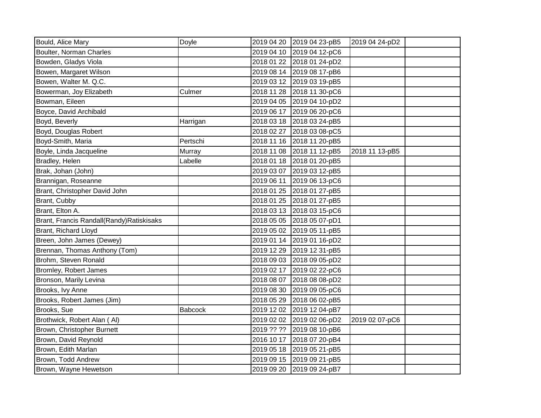| Bould, Alice Mary                         | Doyle          |            | 2019 04 20 2019 04 23-pB5 | 2019 04 24-pD2 |  |
|-------------------------------------------|----------------|------------|---------------------------|----------------|--|
| Boulter, Norman Charles                   |                |            | 2019 04 10 2019 04 12-pC6 |                |  |
| Bowden, Gladys Viola                      |                |            | 2018 01 22 2018 01 24-pD2 |                |  |
| Bowen, Margaret Wilson                    |                |            | 2019 08 14 2019 08 17-pB6 |                |  |
| Bowen, Walter M. Q.C.                     |                |            | 2019 03 12 2019 03 19-pB5 |                |  |
| Bowerman, Joy Elizabeth                   | Culmer         |            | 2018 11 28 2018 11 30-pC6 |                |  |
| Bowman, Eileen                            |                |            | 2019 04 05 2019 04 10-pD2 |                |  |
| Boyce, David Archibald                    |                |            | 2019 06 17 2019 06 20-pC6 |                |  |
| Boyd, Beverly                             | Harrigan       |            | 2018 03 18 2018 03 24-pB5 |                |  |
| Boyd, Douglas Robert                      |                | 2018 02 27 | 2018 03 08-pC5            |                |  |
| Boyd-Smith, Maria                         | Pertschi       |            | 2018 11 16 2018 11 20-pB5 |                |  |
| Boyle, Linda Jacqueline                   | Murray         |            | 2018 11 08 2018 11 12-pB5 | 2018 11 13-pB5 |  |
| Bradley, Helen                            | Labelle        |            | 2018 01 18 2018 01 20-pB5 |                |  |
| Brak, Johan (John)                        |                | 2019 03 07 | 2019 03 12-pB5            |                |  |
| Brannigan, Roseanne                       |                | 2019 06 11 | 2019 06 13-pC6            |                |  |
| Brant, Christopher David John             |                |            | 2018 01 25 2018 01 27-pB5 |                |  |
| Brant, Cubby                              |                |            | 2018 01 25 2018 01 27-pB5 |                |  |
| Brant, Elton A.                           |                |            | 2018 03 13 2018 03 15-pC6 |                |  |
| Brant, Francis Randall(Randy) Ratiskisaks |                |            | 2018 05 05 2018 05 07-pD1 |                |  |
| Brant, Richard Lloyd                      |                | 2019 05 02 | 2019 05 11-pB5            |                |  |
| Breen, John James (Dewey)                 |                |            | 2019 01 14 2019 01 16-pD2 |                |  |
| Brennan, Thomas Anthony (Tom)             |                |            | 2019 12 29 2019 12 31-pB5 |                |  |
| Brohm, Steven Ronald                      |                |            | 2018 09 03 2018 09 05-pD2 |                |  |
| Bromley, Robert James                     |                |            | 2019 02 17 2019 02 22-pC6 |                |  |
| Bronson, Marily Levina                    |                | 2018 08 07 | 2018 08 08-pD2            |                |  |
| Brooks, Ivy Anne                          |                | 2019 08 30 | 2019 09 05-pC6            |                |  |
| Brooks, Robert James (Jim)                |                |            | 2018 05 29 2018 06 02-pB5 |                |  |
| Brooks, Sue                               | <b>Babcock</b> |            | 2019 12 02 2019 12 04-pB7 |                |  |
| Brothwick, Robert Alan (Al)               |                |            | 2019 02 02 2019 02 06-pD2 | 2019 02 07-pC6 |  |
| Brown, Christopher Burnett                |                |            | 2019 ?? ?? 2019 08 10-pB6 |                |  |
| Brown, David Reynold                      |                | 2016 10 17 | 2018 07 20-pB4            |                |  |
| Brown, Edith Marlan                       |                | 2019 05 18 | 2019 05 21-pB5            |                |  |
| Brown, Todd Andrew                        |                |            | 2019 09 15 2019 09 21-pB5 |                |  |
| Brown, Wayne Hewetson                     |                | 2019 09 20 | 2019 09 24-pB7            |                |  |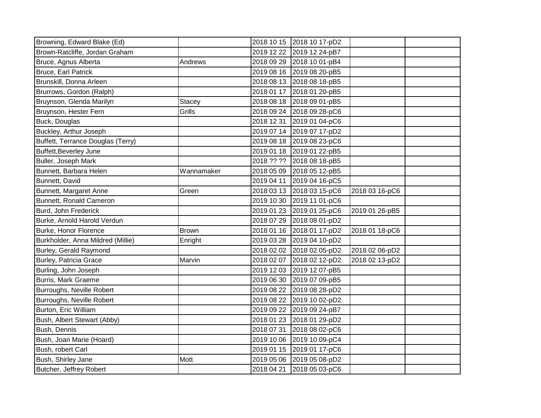| Browning, Edward Blake (Ed)       |               |            | 2018 10 15 2018 10 17-pD2 |                |  |
|-----------------------------------|---------------|------------|---------------------------|----------------|--|
| Brown-Ratcliffe, Jordan Graham    |               | 2019 12 22 | 2019 12 24-pB7            |                |  |
| Bruce, Agnus Alberta              | Andrews       | 2018 09 29 | 2018 10 01-pB4            |                |  |
| Bruce, Earl Patrick               |               | 2019 08 16 | 2019 08 20-pB5            |                |  |
| Brunskill, Donna Arleen           |               | 2018 08 13 | 2018 08 18-pB5            |                |  |
| Brurrows, Gordon (Ralph)          |               | 2018 01 17 | 2018 01 20-pB5            |                |  |
| Bruynson, Glenda Marilyn          | <b>Stacey</b> | 2018 08 18 | 2018 09 01-pB5            |                |  |
| Bruynson, Hester Fern             | Grills        | 2018 09 24 | 2018 09 28-pC6            |                |  |
| Buck, Douglas                     |               | 2018 12 31 | 2019 01 04-pC6            |                |  |
| Buckley, Arthur Joseph            |               | 2019 07 14 | 2019 07 17-pD2            |                |  |
| Buffett, Terrance Douglas (Terry) |               | 2019 08 18 | 2019 08 23-pC6            |                |  |
| Buffett, Beverley June            |               | 2019 01 18 | 2019 01 22-pB5            |                |  |
| Buller, Joseph Mark               |               | 2018 ?? ?? | 2018 08 18-pB5            |                |  |
| Bunnett, Barbara Helen            | Wannamaker    | 2018 05 09 | 2018 05 12-pB5            |                |  |
| Bunnett, David                    |               | 2019 04 11 | 2019 04 16-pC5            |                |  |
| Bunnett, Margaret Anne            | Green         | 2018 03 13 | 2018 03 15-pC6            | 2018 03 16-pC6 |  |
| Bunnett, Ronald Cameron           |               | 2019 10 30 | 2019 11 01-pC6            |                |  |
| Burd, John Frederick              |               | 2019 01 23 | 2019 01 25-pC6            | 2019 01 26-pB5 |  |
| Burke, Arnold Harold Verdun       |               | 2018 07 29 | 2018 08 01-pD2            |                |  |
| Burke, Honor Florence             | <b>Brown</b>  | 2018 01 16 | 2018 01 17-pD2            | 2018 01 18-pC6 |  |
| Burkholder, Anna Mildred (Millie) | Enright       | 2019 03 28 | 2019 04 10-pD2            |                |  |
| Burley, Gerald Raymond            |               | 2018 02 02 | 2018 02 05-pD2            | 2018 02 06-pD2 |  |
| <b>Burley, Patricia Grace</b>     | Marvin        | 2018 02 07 | 2018 02 12-pD2            | 2018 02 13-pD2 |  |
| Burling, John Joseph              |               | 2019 12 03 | 2019 12 07-pB5            |                |  |
| <b>Burris, Mark Graeme</b>        |               | 2019 06 30 | 2019 07 09-pB5            |                |  |
| Burroughs, Neville Robert         |               | 2019 08 22 | 2019 08 28-pD2            |                |  |
| Burroughs, Neville Robert         |               | 2019 08 22 | 2019 10 02-pD2            |                |  |
| Burton, Eric William              |               | 2019 09 22 | 2019 09 24-pB7            |                |  |
| Bush, Albert Stewart (Abby)       |               | 2018 01 23 | 2018 01 29-pD2            |                |  |
| Bush, Dennis                      |               | 2018 07 31 | 2018 08 02-pC6            |                |  |
| Bush, Joan Marie (Hoard)          |               | 2019 10 06 | 2019 10 09-pC4            |                |  |
| Bush, robert Carl                 |               | 2019 01 15 | 2019 01 17-pC6            |                |  |
| Bush, Shirley Jane                | Mott          | 2019 05 06 | 2019 05 08-pD2            |                |  |
| Butcher, Jeffrey Robert           |               | 2018 04 21 | 2018 05 03-pC6            |                |  |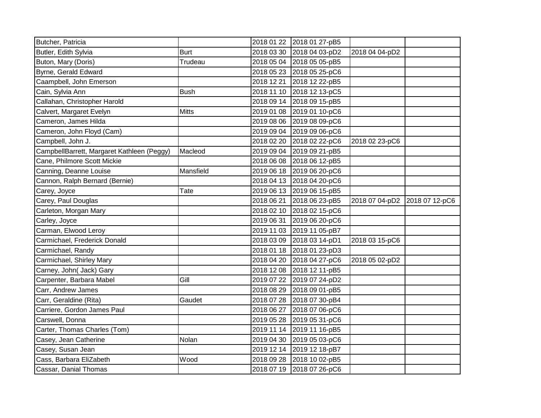| Butcher, Patricia                          |              |            | 2018 01 22 2018 01 27-pB5 |                |                |
|--------------------------------------------|--------------|------------|---------------------------|----------------|----------------|
| Butler, Edith Sylvia                       | <b>Burt</b>  |            | 2018 03 30 2018 04 03-pD2 | 2018 04 04-pD2 |                |
| Buton, Mary (Doris)                        | Trudeau      |            | 2018 05 04 2018 05 05-pB5 |                |                |
| Byrne, Gerald Edward                       |              |            | 2018 05 23 2018 05 25-pC6 |                |                |
| Caampbell, John Emerson                    |              |            | 2018 12 21 2018 12 22-pB5 |                |                |
| Cain, Sylvia Ann                           | <b>Bush</b>  |            | 2018 11 10 2018 12 13-pC5 |                |                |
| Callahan, Christopher Harold               |              |            | 2018 09 14 2018 09 15-pB5 |                |                |
| Calvert, Margaret Evelyn                   | <b>Mitts</b> |            | 2019 01 08 2019 01 10-pC6 |                |                |
| Cameron, James Hilda                       |              |            | 2019 08 06 2019 08 09-pC6 |                |                |
| Cameron, John Floyd (Cam)                  |              |            | 2019 09 04 2019 09 06-pC6 |                |                |
| Campbell, John J.                          |              |            | 2018 02 20 2018 02 22-pC6 | 2018 02 23-pC6 |                |
| CampbellBarrett, Margaret Kathleen (Peggy) | Macleod      |            | 2019 09 04 2019 09 21-pB5 |                |                |
| Cane, Philmore Scott Mickie                |              | 2018 06 08 | 2018 06 12-pB5            |                |                |
| Canning, Deanne Louise                     | Mansfield    | 2019 06 18 | 2019 06 20-pC6            |                |                |
| Cannon, Ralph Bernard (Bernie)             |              |            | 2018 04 13 2018 04 20-pC6 |                |                |
| Carey, Joyce                               | Tate         |            | 2019 06 13 2019 06 15-pB5 |                |                |
| Carey, Paul Douglas                        |              | 2018 06 21 | 2018 06 23-pB5            | 2018 07 04-pD2 | 2018 07 12-pC6 |
| Carleton, Morgan Mary                      |              |            | 2018 02 10 2018 02 15-pC6 |                |                |
| Carley, Joyce                              |              | 2019 06 31 | 2019 06 20-pC6            |                |                |
| Carman, Elwood Leroy                       |              | 2019 11 03 | 2019 11 05-pB7            |                |                |
| Carmichael, Frederick Donald               |              | 2018 03 09 | 2018 03 14-pD1            | 2018 03 15-pC6 |                |
| Carmichael, Randy                          |              |            | 2018 01 18 2018 01 23-pD3 |                |                |
| Carmichael, Shirley Mary                   |              | 2018 04 20 | 2018 04 27-pC6            | 2018 05 02-pD2 |                |
| Carney, John( Jack) Gary                   |              |            | 2018 12 08 2018 12 11-pB5 |                |                |
| Carpenter, Barbara Mabel                   | Gill         | 2019 07 22 | 2019 07 24-pD2            |                |                |
| Carr, Andrew James                         |              | 2018 08 29 | 2018 09 01-pB5            |                |                |
| Carr, Geraldine (Rita)                     | Gaudet       |            | 2018 07 28 2018 07 30-pB4 |                |                |
| Carriere, Gordon James Paul                |              |            | 2018 06 27 2018 07 06-pC6 |                |                |
| Carswell, Donna                            |              |            | 2019 05 28 2019 05 31-pC6 |                |                |
| Carter, Thomas Charles (Tom)               |              |            | 2019 11 14 2019 11 16-pB5 |                |                |
| Casey, Jean Catherine                      | Nolan        | 2019 04 30 | 2019 05 03-pC6            |                |                |
| Casey, Susan Jean                          |              | 2019 12 14 | 2019 12 18-pB7            |                |                |
| Cass, Barbara EliZabeth                    | Wood         | 2018 09 28 | 2018 10 02-pB5            |                |                |
| Cassar, Danial Thomas                      |              |            | 2018 07 19 2018 07 26-pC6 |                |                |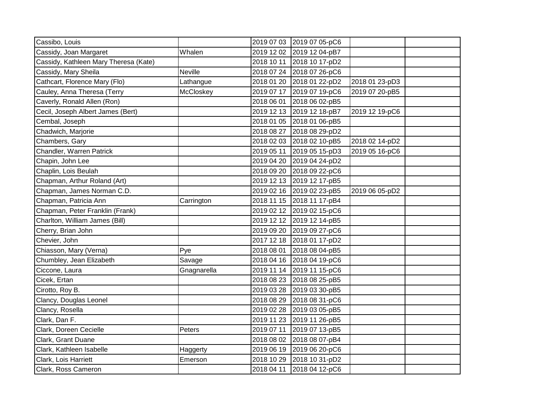| Cassibo, Louis                        |             |            | 2019 07 03 2019 07 05-pC6 |                |  |
|---------------------------------------|-------------|------------|---------------------------|----------------|--|
| Cassidy, Joan Margaret                | Whalen      |            | 2019 12 02 2019 12 04-pB7 |                |  |
| Cassidy, Kathleen Mary Theresa (Kate) |             | 2018 10 11 | 2018 10 17-pD2            |                |  |
| Cassidy, Mary Sheila                  | Neville     |            | 2018 07 24 2018 07 26-pC6 |                |  |
| Cathcart, Florence Mary (Flo)         | Lathangue   |            | 2018 01 20 2018 01 22-pD2 | 2018 01 23-pD3 |  |
| Cauley, Anna Theresa (Terry           | McCloskey   | 2019 07 17 | 2019 07 19-pC6            | 2019 07 20-pB5 |  |
| Caverly, Ronald Allen (Ron)           |             | 2018 06 01 | 2018 06 02-pB5            |                |  |
| Cecil, Joseph Albert James (Bert)     |             |            | 2019 12 13 2019 12 18-pB7 | 2019 12 19-pC6 |  |
| Cembal, Joseph                        |             | 2018 01 05 | 2018 01 06-pB5            |                |  |
| Chadwich, Marjorie                    |             | 2018 08 27 | 2018 08 29-pD2            |                |  |
| Chambers, Gary                        |             | 2018 02 03 | 2018 02 10-pB5            | 2018 02 14-pD2 |  |
| Chandler, Warren Patrick              |             | 2019 05 11 | 2019 05 15-pD3            | 2019 05 16-pC6 |  |
| Chapin, John Lee                      |             |            | 2019 04 20 2019 04 24-pD2 |                |  |
| Chaplin, Lois Beulah                  |             |            | 2018 09 20 2018 09 22-pC6 |                |  |
| Chapman, Arthur Roland (Art)          |             |            | 2019 12 13 2019 12 17-pB5 |                |  |
| Chapman, James Norman C.D.            |             |            | 2019 02 16 2019 02 23-pB5 | 2019 06 05-pD2 |  |
| Chapman, Patricia Ann                 | Carrington  |            | 2018 11 15 2018 11 17-pB4 |                |  |
| Chapman, Peter Franklin (Frank)       |             |            | 2019 02 12 2019 02 15-pC6 |                |  |
| Charlton, William James (Bill)        |             |            | 2019 12 12 2019 12 14-pB5 |                |  |
| Cherry, Brian John                    |             |            | 2019 09 20 2019 09 27-pC6 |                |  |
| Chevier, John                         |             |            | 2017 12 18 2018 01 17-pD2 |                |  |
| Chiasson, Mary (Verna)                | Pye         | 2018 08 01 | 2018 08 04-pB5            |                |  |
| Chumbley, Jean Elizabeth              | Savage      |            | 2018 04 16 2018 04 19-pC6 |                |  |
| Ciccone, Laura                        | Gnagnarella | 2019 11 14 | 2019 11 15-pC6            |                |  |
| Cicek, Ertan                          |             |            | 2018 08 23 2018 08 25-pB5 |                |  |
| Cirotto, Roy B.                       |             | 2019 03 28 | 2019 03 30-pB5            |                |  |
| Clancy, Douglas Leonel                |             | 2018 08 29 | 2018 08 31-pC6            |                |  |
| Clancy, Rosella                       |             | 2019 02 28 | 2019 03 05-pB5            |                |  |
| Clark, Dan F.                         |             | 2019 11 23 | 2019 11 26-pB5            |                |  |
| Clark, Doreen Cecielle                | Peters      | 2019 07 11 | 2019 07 13-pB5            |                |  |
| Clark, Grant Duane                    |             | 2018 08 02 | 2018 08 07-pB4            |                |  |
| Clark, Kathleen Isabelle              | Haggerty    |            | 2019 06 19 2019 06 20-pC6 |                |  |
| Clark, Lois Harriett                  | Emerson     |            | 2018 10 29 2018 10 31-pD2 |                |  |
| Clark, Ross Cameron                   |             | 2018 04 11 | 2018 04 12-pC6            |                |  |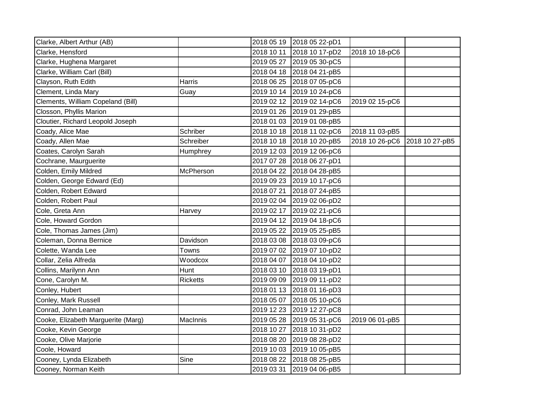| Clarke, Albert Arthur (AB)         |                 |            | 2018 05 19 2018 05 22-pD1 |                |                |
|------------------------------------|-----------------|------------|---------------------------|----------------|----------------|
| Clarke, Hensford                   |                 | 2018 10 11 | 2018 10 17-pD2            | 2018 10 18-pC6 |                |
| Clarke, Hughena Margaret           |                 | 2019 05 27 | 2019 05 30-pC5            |                |                |
| Clarke, William Carl (Bill)        |                 |            | 2018 04 18 2018 04 21-pB5 |                |                |
| Clayson, Ruth Edith                | Harris          | 2018 06 25 | 2018 07 05-pC6            |                |                |
| Clement, Linda Mary                | Guay            | 2019 10 14 | 2019 10 24-pC6            |                |                |
| Clements, William Copeland (Bill)  |                 | 2019 02 12 | 2019 02 14-pC6            | 2019 02 15-pC6 |                |
| Closson, Phyllis Marion            |                 | 2019 01 26 | 2019 01 29-pB5            |                |                |
| Cloutier, Richard Leopold Joseph   |                 | 2018 01 03 | 2019 01 08-pB5            |                |                |
| Coady, Alice Mae                   | Schriber        |            | 2018 10 18 2018 11 02-pC6 | 2018 11 03-pB5 |                |
| Coady, Allen Mae                   | Schreiber       |            | 2018 10 18 2018 10 20-pB5 | 2018 10 26-pC6 | 2018 10 27-pB5 |
| Coates, Carolyn Sarah              | Humphrey        | 2019 12 03 | 2019 12 06-pC6            |                |                |
| Cochrane, Maurguerite              |                 | 2017 07 28 | 2018 06 27-pD1            |                |                |
| Colden, Emily Mildred              | McPherson       | 2018 04 22 | 2018 04 28-pB5            |                |                |
| Colden, George Edward (Ed)         |                 | 2019 09 23 | 2019 10 17-pC6            |                |                |
| Colden, Robert Edward              |                 | 2018 07 21 | 2018 07 24-pB5            |                |                |
| Colden, Robert Paul                |                 | 2019 02 04 | 2019 02 06-pD2            |                |                |
| Cole, Greta Ann                    | Harvey          | 2019 02 17 | 2019 02 21-pC6            |                |                |
| Cole, Howard Gordon                |                 | 2019 04 12 | 2019 04 18-pC6            |                |                |
| Cole, Thomas James (Jim)           |                 | 2019 05 22 | 2019 05 25-pB5            |                |                |
| Coleman, Donna Bernice             | Davidson        | 2018 03 08 | 2018 03 09-pC6            |                |                |
| Colette, Wanda Lee                 | Towns           | 2019 07 02 | 2019 07 10-pD2            |                |                |
| Collar, Zelia Alfreda              | Woodcox         | 2018 04 07 | 2018 04 10-pD2            |                |                |
| Collins, Marilynn Ann              | Hunt            | 2018 03 10 | 2018 03 19-pD1            |                |                |
| Cone, Carolyn M.                   | <b>Ricketts</b> | 2019 09 09 | 2019 09 11-pD2            |                |                |
| Conley, Hubert                     |                 | 2018 01 13 | 2018 01 16-pD3            |                |                |
| Conley, Mark Russell               |                 | 2018 05 07 | 2018 05 10-pC6            |                |                |
| Conrad, John Leaman                |                 | 2019 12 23 | 2019 12 27-pC8            |                |                |
| Cooke, Elizabeth Marguerite (Marg) | MacInnis        | 2019 05 28 | 2019 05 31-pC6            | 2019 06 01-pB5 |                |
| Cooke, Kevin George                |                 | 2018 10 27 | 2018 10 31-pD2            |                |                |
| Cooke, Olive Marjorie              |                 | 2018 08 20 | 2019 08 28-pD2            |                |                |
| Coole, Howard                      |                 | 2019 10 03 | 2019 10 05-pB5            |                |                |
| Cooney, Lynda Elizabeth            | Sine            | 2018 08 22 | 2018 08 25-pB5            |                |                |
| Cooney, Norman Keith               |                 | 2019 03 31 | 2019 04 06-pB5            |                |                |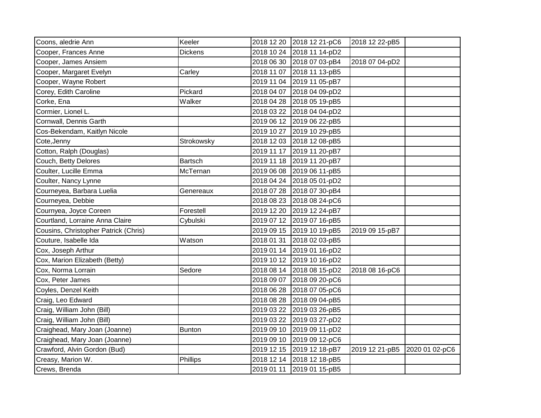| Coons, aledrie Ann                   | Keeler         | 2018 12 20 | 2018 12 21-pC6            | 2018 12 22-pB5 |                |
|--------------------------------------|----------------|------------|---------------------------|----------------|----------------|
| Cooper, Frances Anne                 | <b>Dickens</b> | 2018 10 24 | 2018 11 14-pD2            |                |                |
| Cooper, James Ansiem                 |                | 2018 06 30 | 2018 07 03-pB4            | 2018 07 04-pD2 |                |
| Cooper, Margaret Evelyn              | Carley         | 2018 11 07 | 2018 11 13-pB5            |                |                |
| Cooper, Wayne Robert                 |                | 2019 11 04 | 2019 11 05-pB7            |                |                |
| Corey, Edith Caroline                | Pickard        | 2018 04 07 | 2018 04 09-pD2            |                |                |
| Corke, Ena                           | Walker         | 2018 04 28 | 2018 05 19-pB5            |                |                |
| Cormier, Lionel L.                   |                | 2018 03 22 | 2018 04 04-pD2            |                |                |
| Cornwall, Dennis Garth               |                | 2019 06 12 | 2019 06 22-pB5            |                |                |
| Cos-Bekendam, Kaitlyn Nicole         |                | 2019 10 27 | 2019 10 29-pB5            |                |                |
| Cote, Jenny                          | Strokowsky     |            | 2018 12 03 2018 12 08-pB5 |                |                |
| Cotton, Ralph (Douglas)              |                | 2019 11 17 | 2019 11 20-pB7            |                |                |
| Couch, Betty Delores                 | <b>Bartsch</b> | 2019 11 18 | 2019 11 20-pB7            |                |                |
| Coulter, Lucille Emma                | McTernan       | 2019 06 08 | 2019 06 11-pB5            |                |                |
| Coulter, Nancy Lynne                 |                | 2018 04 24 | 2018 05 01-pD2            |                |                |
| Courneyea, Barbara Luelia            | Genereaux      | 2018 07 28 | 2018 07 30-pB4            |                |                |
| Courneyea, Debbie                    |                | 2018 08 23 | 2018 08 24-pC6            |                |                |
| Cournyea, Joyce Coreen               | Forestell      | 2019 12 20 | 2019 12 24-pB7            |                |                |
| Courtland, Lorraine Anna Claire      | Cybulski       | 2019 07 12 | 2019 07 16-pB5            |                |                |
| Cousins, Christopher Patrick (Chris) |                | 2019 09 15 | 2019 10 19-pB5            | 2019 09 15-pB7 |                |
| Couture, Isabelle Ida                | Watson         | 2018 01 31 | 2018 02 03-pB5            |                |                |
| Cox, Joseph Arthur                   |                | 2019 01 14 | 2019 01 16-pD2            |                |                |
| Cox, Marion Elizabeth (Betty)        |                |            | 2019 10 12 2019 10 16-pD2 |                |                |
| Cox, Norma Lorrain                   | Sedore         |            | 2018 08 14 2018 08 15-pD2 | 2018 08 16-pC6 |                |
| Cox, Peter James                     |                | 2018 09 07 | 2018 09 20-pC6            |                |                |
| Coyles, Denzel Keith                 |                | 2018 06 28 | 2018 07 05-pC6            |                |                |
| Craig, Leo Edward                    |                | 2018 08 28 | 2018 09 04-pB5            |                |                |
| Craig, William John (Bill)           |                | 2019 03 22 | 2019 03 26-pB5            |                |                |
| Craig, William John (Bill)           |                | 2019 03 22 | 2019 03 27-pD2            |                |                |
| Craighead, Mary Joan (Joanne)        | Bunton         | 2019 09 10 | 2019 09 11-pD2            |                |                |
| Craighead, Mary Joan (Joanne)        |                | 2019 09 10 | 2019 09 12-pC6            |                |                |
| Crawford, Alvin Gordon (Bud)         |                | 2019 12 15 | 2019 12 18-pB7            | 2019 12 21-pB5 | 2020 01 02-pC6 |
| Creasy, Marion W.                    | Phillips       | 2018 12 14 | 2018 12 18-pB5            |                |                |
| Crews, Brenda                        |                | 2019 01 11 | 2019 01 15-pB5            |                |                |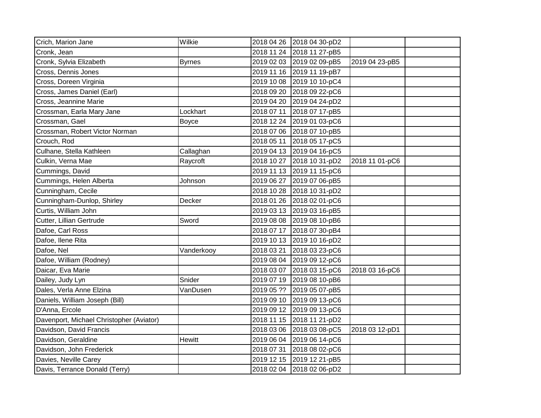| Crich, Marion Jane                       | Wilkie        | 2018 04 26 2018 04 30-pD2 |                |                |  |
|------------------------------------------|---------------|---------------------------|----------------|----------------|--|
| Cronk, Jean                              |               | 2018 11 24                | 2018 11 27-pB5 |                |  |
| Cronk, Sylvia Elizabeth                  | <b>Byrnes</b> | 2019 02 03                | 2019 02 09-pB5 | 2019 04 23-pB5 |  |
| Cross, Dennis Jones                      |               | 2019 11 16                | 2019 11 19-pB7 |                |  |
| Cross, Doreen Virginia                   |               | 2019 10 08                | 2019 10 10-pC4 |                |  |
| Cross, James Daniel (Earl)               |               | 2018 09 20                | 2018 09 22-pC6 |                |  |
| Cross, Jeannine Marie                    |               | 2019 04 20                | 2019 04 24-pD2 |                |  |
| Crossman, Earla Mary Jane                | Lockhart      | 2018 07 11                | 2018 07 17-pB5 |                |  |
| Crossman, Gael                           | <b>Boyce</b>  | 2018 12 24                | 2019 01 03-pC6 |                |  |
| Crossman, Robert Victor Norman           |               | 2018 07 06                | 2018 07 10-pB5 |                |  |
| Crouch, Rod                              |               | 2018 05 11                | 2018 05 17-pC5 |                |  |
| Culhane, Stella Kathleen                 | Callaghan     | 2019 04 13 2019 04 16-pC5 |                |                |  |
| Culkin, Verna Mae                        | Raycroft      | 2018 10 27                | 2018 10 31-pD2 | 2018 11 01-pC6 |  |
| Cummings, David                          |               | 2019 11 13                | 2019 11 15-pC6 |                |  |
| Cummings, Helen Alberta                  | Johnson       | 2019 06 27                | 2019 07 06-pB5 |                |  |
| Cunningham, Cecile                       |               | 2018 10 28                | 2018 10 31-pD2 |                |  |
| Cunningham-Dunlop, Shirley               | Decker        | 2018 01 26                | 2018 02 01-pC6 |                |  |
| Curtis, William John                     |               | 2019 03 13                | 2019 03 16-pB5 |                |  |
| Cutter, Lillian Gertrude                 | Sword         | 2019 08 08                | 2019 08 10-pB6 |                |  |
| Dafoe, Carl Ross                         |               | 2018 07 17                | 2018 07 30-pB4 |                |  |
| Dafoe, Ilene Rita                        |               | 2019 10 13                | 2019 10 16-pD2 |                |  |
| Dafoe, Nel                               | Vanderkooy    | 2018 03 21                | 2018 03 23-pC6 |                |  |
| Dafoe, William (Rodney)                  |               | 2019 08 04                | 2019 09 12-pC6 |                |  |
| Daicar, Eva Marie                        |               | 2018 03 07 2018 03 15-pC6 |                | 2018 03 16-pC6 |  |
| Dailey, Judy Lyn                         | Snider        | 2019 07 19                | 2019 08 10-pB6 |                |  |
| Dales, Verla Anne Elzina                 | VanDusen      | 2019 05 ??                | 2019 05 07-pB5 |                |  |
| Daniels, William Joseph (Bill)           |               | 2019 09 10                | 2019 09 13-pC6 |                |  |
| D'Anna, Ercole                           |               | 2019 09 12                | 2019 09 13-pC6 |                |  |
| Davenport, Michael Christopher (Aviator) |               | 2018 11 15                | 2018 11 21-pD2 |                |  |
| Davidson, David Francis                  |               | 2018 03 06                | 2018 03 08-pC5 | 2018 03 12-pD1 |  |
| Davidson, Geraldine                      | Hewitt        | 2019 06 04                | 2019 06 14-pC6 |                |  |
| Davidson, John Frederick                 |               | 2018 07 31                | 2018 08 02-pC6 |                |  |
| Davies, Neville Carey                    |               | 2019 12 15                | 2019 12 21-pB5 |                |  |
| Davis, Terrance Donald (Terry)           |               | 2018 02 04 2018 02 06-pD2 |                |                |  |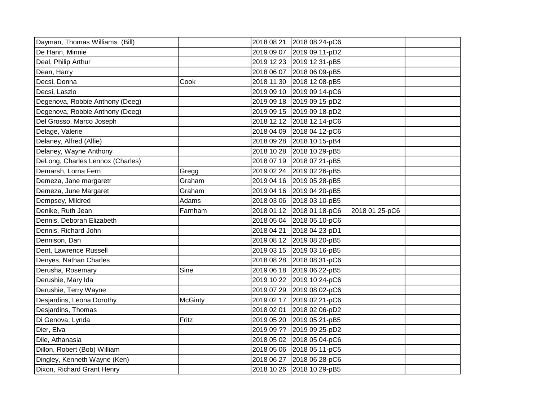| Dayman, Thomas Williams (Bill)   |                | 2018 08 21 | 2018 08 24-pC6            |                |  |
|----------------------------------|----------------|------------|---------------------------|----------------|--|
| De Hann, Minnie                  |                | 2019 09 07 | 2019 09 11-pD2            |                |  |
| Deal, Philip Arthur              |                |            | 2019 12 23 2019 12 31-pB5 |                |  |
| Dean, Harry                      |                | 2018 06 07 | 2018 06 09-pB5            |                |  |
| Decsi, Donna                     | Cook           | 2018 11 30 | 2018 12 08-pB5            |                |  |
| Decsi, Laszlo                    |                |            | 2019 09 10 2019 09 14-pC6 |                |  |
| Degenova, Robbie Anthony (Deeg)  |                |            | 2019 09 18 2019 09 15-pD2 |                |  |
| Degenova, Robbie Anthony (Deeg)  |                |            | 2019 09 15 2019 09 18-pD2 |                |  |
| Del Grosso, Marco Joseph         |                | 2018 12 12 | 2018 12 14-pC6            |                |  |
| Delage, Valerie                  |                |            | 2018 04 09 2018 04 12-pC6 |                |  |
| Delaney, Alfred (Alfie)          |                |            | 2018 09 28 2018 10 15-pB4 |                |  |
| Delaney, Wayne Anthony           |                | 2018 10 28 | 2018 10 29-pB5            |                |  |
| DeLong, Charles Lennox (Charles) |                |            | 2018 07 19 2018 07 21-pB5 |                |  |
| Demarsh, Lorna Fern              | Gregg          |            | 2019 02 24 2019 02 26-pB5 |                |  |
| Demeza, Jane margaretr           | Graham         |            | 2019 04 16 2019 05 28-pB5 |                |  |
| Demeza, June Margaret            | Graham         |            | 2019 04 16 2019 04 20-pB5 |                |  |
| Dempsey, Mildred                 | Adams          |            | 2018 03 06 2018 03 10-pB5 |                |  |
|                                  |                |            |                           |                |  |
| Denike, Ruth Jean                | Farnham        |            | 2018 01 12 2018 01 18-pC6 | 2018 01 25-pC6 |  |
| Dennis, Deborah Elizabeth        |                |            | 2018 05 04 2018 05 10-pC6 |                |  |
| Dennis, Richard John             |                | 2018 04 21 | 2018 04 23-pD1            |                |  |
| Dennison, Dan                    |                |            | 2019 08 12 2019 08 20-pB5 |                |  |
| Dent, Lawrence Russell           |                |            | 2019 03 15 2019 03 16-pB5 |                |  |
| Denyes, Nathan Charles           |                |            | 2018 08 28 2018 08 31-pC6 |                |  |
| Derusha, Rosemary                | Sine           |            | 2019 06 18 2019 06 22-pB5 |                |  |
| Derushie, Mary Ida               |                |            | 2019 10 22 2019 10 24-pC6 |                |  |
| Derushie, Terry Wayne            |                | 2019 07 29 | 2019 08 02-pC6            |                |  |
| Desjardins, Leona Dorothy        | <b>McGinty</b> | 2019 02 17 | 2019 02 21-pC6            |                |  |
| Desjardins, Thomas               |                | 2018 02 01 | 2018 02 06-pD2            |                |  |
| Di Genova, Lynda                 | Fritz          | 2019 05 20 | 2019 05 21-pB5            |                |  |
| Dier, Elva                       |                | 2019 09 ?? | 2019 09 25-pD2            |                |  |
| Dile, Athanasia                  |                | 2018 05 02 | 2018 05 04-pC6            |                |  |
| Dillon, Robert (Bob) William     |                | 2018 05 06 | 2018 05 11-pC5            |                |  |
| Dingley, Kenneth Wayne (Ken)     |                | 2018 06 27 | 2018 06 28-pC6            |                |  |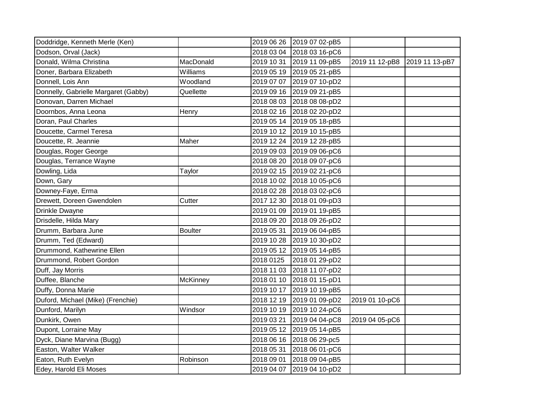| Doddridge, Kenneth Merle (Ken)       |                | 2019 06 26 | 2019 07 02-pB5 |                |                |
|--------------------------------------|----------------|------------|----------------|----------------|----------------|
| Dodson, Orval (Jack)                 |                | 2018 03 04 | 2018 03 16-pC6 |                |                |
| Donald, Wilma Christina              | MacDonald      | 2019 10 31 | 2019 11 09-pB5 | 2019 11 12-pB8 | 2019 11 13-pB7 |
| Doner, Barbara Elizabeth             | Williams       | 2019 05 19 | 2019 05 21-pB5 |                |                |
| Donnell, Lois Ann                    | Woodland       | 2019 07 07 | 2019 07 10-pD2 |                |                |
| Donnelly, Gabrielle Margaret (Gabby) | Quellette      | 2019 09 16 | 2019 09 21-pB5 |                |                |
| Donovan, Darren Michael              |                | 2018 08 03 | 2018 08 08-pD2 |                |                |
| Doornbos, Anna Leona                 | Henry          | 2018 02 16 | 2018 02 20-pD2 |                |                |
| Doran, Paul Charles                  |                | 2019 05 14 | 2019 05 18-pB5 |                |                |
| Doucette, Carmel Teresa              |                | 2019 10 12 | 2019 10 15-pB5 |                |                |
| Doucette, R. Jeannie                 | Maher          | 2019 12 24 | 2019 12 28-pB5 |                |                |
| Douglas, Roger George                |                | 2019 09 03 | 2019 09 06-pC6 |                |                |
| Douglas, Terrance Wayne              |                | 2018 08 20 | 2018 09 07-pC6 |                |                |
| Dowling, Lida                        | Taylor         | 2019 02 15 | 2019 02 21-pC6 |                |                |
| Down, Gary                           |                | 2018 10 02 | 2018 10 05-pC6 |                |                |
| Downey-Faye, Erma                    |                | 2018 02 28 | 2018 03 02-pC6 |                |                |
| Drewett, Doreen Gwendolen            | Cutter         | 2017 12 30 | 2018 01 09-pD3 |                |                |
| Drinkle Dwayne                       |                | 2019 01 09 | 2019 01 19-pB5 |                |                |
| Drisdelle, Hilda Mary                |                | 2018 09 20 | 2018 09 26-pD2 |                |                |
| Drumm, Barbara June                  | <b>Boulter</b> | 2019 05 31 | 2019 06 04-pB5 |                |                |
| Drumm, Ted (Edward)                  |                | 2019 10 28 | 2019 10 30-pD2 |                |                |
| Drummond, Kathewrine Ellen           |                | 2019 05 12 | 2019 05 14-pB5 |                |                |
| Drummond, Robert Gordon              |                | 2018 0125  | 2018 01 29-pD2 |                |                |
| Duff, Jay Morris                     |                | 2018 11 03 | 2018 11 07-pD2 |                |                |
| Duffee, Blanche                      | McKinney       | 2018 01 10 | 2018 01 15-pD1 |                |                |
| Duffy, Donna Marie                   |                | 2019 10 17 | 2019 10 19-pB5 |                |                |
| Duford, Michael (Mike) (Frenchie)    |                | 2018 12 19 | 2019 01 09-pD2 | 2019 01 10-pC6 |                |
| Dunford, Marilyn                     | Windsor        | 2019 10 19 | 2019 10 24-pC6 |                |                |
| Dunkirk, Owen                        |                | 2019 03 21 | 2019 04 04-pC8 | 2019 04 05-pC6 |                |
| Dupont, Lorraine May                 |                | 2019 05 12 | 2019 05 14-pB5 |                |                |
| Dyck, Diane Marvina (Bugg)           |                | 2018 06 16 | 2018 06 29-pc5 |                |                |
| Easton, Walter Walker                |                | 2018 05 31 | 2018 06 01-pC6 |                |                |
| Eaton, Ruth Evelyn                   | Robinson       | 2018 09 01 | 2018 09 04-pB5 |                |                |
| Edey, Harold Eli Moses               |                | 2019 04 07 | 2019 04 10-pD2 |                |                |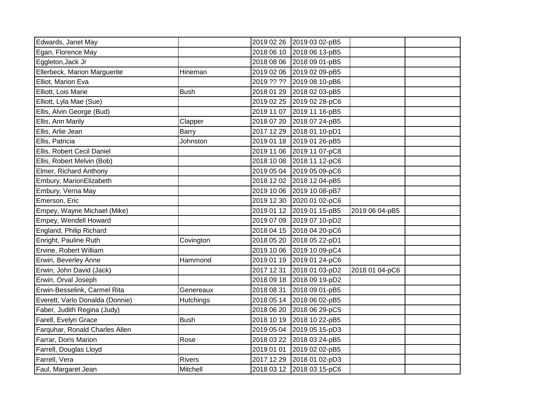| Edwards, Janet May              |                  | 2019 02 26 | 2019 03 02-pB5            |                |  |
|---------------------------------|------------------|------------|---------------------------|----------------|--|
| Egan, Florence May              |                  | 2018 06 10 | 2018 06 13-pB5            |                |  |
| Eggleton, Jack Jr               |                  |            | 2018 08 06 2018 09 01-pB5 |                |  |
| Ellerbeck, Marion Marguerite    | Hineman          |            | 2019 02 06 2019 02 09-pB5 |                |  |
| Elliot, Marion Eva              |                  | 2019 ?? ?? | 2019 08 10-pB6            |                |  |
| Elliott, Lois Marie             | <b>Bush</b>      |            | 2018 01 29 2018 02 03-pB5 |                |  |
| Elliott, Lyla Mae (Sue)         |                  |            | 2019 02 25 2019 02 28-pC6 |                |  |
| Ellis, Alvin George (Bud)       |                  | 2019 11 07 | 2019 11 16-pB5            |                |  |
| Ellis, Ann Marily               | Clapper          | 2018 07 20 | 2018 07 24-pB5            |                |  |
| Ellis, Arlie Jean               | <b>Barry</b>     |            | 2017 12 29 2018 01 10-pD1 |                |  |
| Ellis, Patricia                 | Johnston         |            | 2019 01 18 2019 01 26-pB5 |                |  |
| Ellis, Robert Cecil Daniel      |                  |            | 2019 11 06 2019 11 07-pC8 |                |  |
| Ellis, Robert Melvin (Bob)      |                  | 2018 10 08 | 2018 11 12-pC6            |                |  |
| Elmer, Richard Anthony          |                  | 2019 05 04 | 2019 05 09-pC6            |                |  |
| Embury, MarionElizabeth         |                  |            | 2018 12 02 2018 12 04-pB5 |                |  |
| Embury, Verna May               |                  |            | 2019 10 06 2019 10 08-pB7 |                |  |
| Emerson, Eric                   |                  |            | 2019 12 30 2020 01 02-pC6 |                |  |
| Empey, Wayne Michael (Mike)     |                  |            | 2019 01 12 2019 01 15-pB5 | 2019 06 04-pB5 |  |
| Empey, Wendell Howard           |                  | 2019 07 09 | 2019 07 10-pD2            |                |  |
| England, Philip Richard         |                  |            | 2018 04 15 2018 04 20-pC6 |                |  |
| Enright, Pauline Ruth           | Covington        | 2018 05 20 | 2018 05 22-pD1            |                |  |
| Ervine, Robert William          |                  |            | 2019 10 06 2019 10 09-pC4 |                |  |
| Erwin, Beverley Anne            | Hammond          |            | 2019 01 19 2019 01 24-pC6 |                |  |
| Erwin, John David (Jack)        |                  | 2017 12 31 | 2018 01 03-pD2            | 2018 01 04-pC6 |  |
| Erwin, Orval Joseph             |                  | 2018 09 18 | 2018 09 19-pD2            |                |  |
| Erwin-Besselink, Carmel Rita    | Genereaux        | 2018 08 31 | 2018 09 01-pB5            |                |  |
| Everett, Varlo Donalda (Donnie) | <b>Hutchings</b> |            | 2018 05 14 2018 06 02-pB5 |                |  |
| Faber, Judith Regina (Judy)     |                  | 2018 06 20 | 2018 06 29-pC5            |                |  |
| Farell, Evelyn Grace            | <b>Bush</b>      |            | 2018 10 19 2018 10 22-pB5 |                |  |
| Farquhar, Ronald Charles Allen  |                  |            | 2019 05 04 2019 05 15-pD3 |                |  |
| Farrar, Doris Marion            | Rose             | 2018 03 22 | 2018 03 24-pB5            |                |  |
| Farrell, Douglas Lloyd          |                  | 2019 01 01 | 2019 02 02-pB5            |                |  |
| Farrell, Vera                   | <b>Rivers</b>    |            | 2017 12 29 2018 01 02-pD3 |                |  |
| Faul, Margaret Jean             | Mitchell         |            | 2018 03 12 2018 03 15-pC6 |                |  |
|                                 |                  |            |                           |                |  |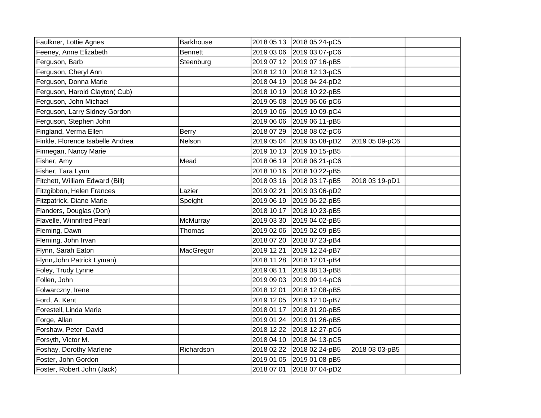| Faulkner, Lottie Agnes           | <b>Barkhouse</b> |            | 2018 05 13 2018 05 24-pC5 |                |  |
|----------------------------------|------------------|------------|---------------------------|----------------|--|
| Feeney, Anne Elizabeth           | <b>Bennett</b>   |            | 2019 03 06 2019 03 07-pC6 |                |  |
| Ferguson, Barb                   | Steenburg        |            | 2019 07 12 2019 07 16-pB5 |                |  |
| Ferguson, Cheryl Ann             |                  |            | 2018 12 10 2018 12 13-pC5 |                |  |
| Ferguson, Donna Marie            |                  |            | 2018 04 19 2018 04 24-pD2 |                |  |
| Ferguson, Harold Clayton( Cub)   |                  |            | 2018 10 19 2018 10 22-pB5 |                |  |
| Ferguson, John Michael           |                  |            | 2019 05 08 2019 06 06-pC6 |                |  |
| Ferguson, Larry Sidney Gordon    |                  |            | 2019 10 06 2019 10 09-pC4 |                |  |
| Ferguson, Stephen John           |                  |            | 2019 06 06 2019 06 11-pB5 |                |  |
| Fingland, Verma Ellen            | Berry            |            | 2018 07 29 2018 08 02-pC6 |                |  |
| Finkle, Florence Isabelle Andrea | Nelson           |            | 2019 05 04 2019 05 08-pD2 | 2019 05 09-pC6 |  |
| Finnegan, Nancy Marie            |                  |            | 2019 10 13 2019 10 15-pB5 |                |  |
| Fisher, Amy                      | Mead             |            | 2018 06 19 2018 06 21-pC6 |                |  |
| Fisher, Tara Lynn                |                  |            | 2018 10 16 2018 10 22-pB5 |                |  |
| Fitchett, William Edward (Bill)  |                  |            | 2018 03 16 2018 03 17-pB5 | 2018 03 19-pD1 |  |
| Fitzgibbon, Helen Frances        | Lazier           | 2019 02 21 | 2019 03 06-pD2            |                |  |
| Fitzpatrick, Diane Marie         | Speight          |            | 2019 06 19 2019 06 22-pB5 |                |  |
| Flanders, Douglas (Don)          |                  | 2018 10 17 | 2018 10 23-pB5            |                |  |
| Flavelle, Winnifred Pearl        | McMurray         | 2019 03 30 | 2019 04 02-pB5            |                |  |
| Fleming, Dawn                    | Thomas           |            | 2019 02 06 2019 02 09-pB5 |                |  |
| Fleming, John Irvan              |                  | 2018 07 20 | 2018 07 23-pB4            |                |  |
| Flynn, Sarah Eaton               | MacGregor        | 2019 12 21 | 2019 12 24-pB7            |                |  |
| Flynn, John Patrick Lyman)       |                  |            | 2018 11 28 2018 12 01-pB4 |                |  |
| Foley, Trudy Lynne               |                  | 2019 08 11 | 2019 08 13-pB8            |                |  |
| Follen, John                     |                  |            | 2019 09 03 2019 09 14-pC6 |                |  |
| Folwarczny, Irene                |                  | 2018 12 01 | 2018 12 08-pB5            |                |  |
| Ford, A. Kent                    |                  |            | 2019 12 05 2019 12 10-pB7 |                |  |
| Forestell, Linda Marie           |                  | 2018 01 17 | 2018 01 20-pB5            |                |  |
| Forge, Allan                     |                  | 2019 01 24 | 2019 01 26-pB5            |                |  |
| Forshaw, Peter David             |                  | 2018 12 22 | 2018 12 27-pC6            |                |  |
| Forsyth, Victor M.               |                  | 2018 04 10 | 2018 04 13-pC5            |                |  |
| Foshay, Dorothy Marlene          | Richardson       |            | 2018 02 22 2018 02 24-pB5 | 2018 03 03-pB5 |  |
| Foster, John Gordon              |                  |            | 2019 01 05 2019 01 08-pB5 |                |  |
| Foster, Robert John (Jack)       |                  |            | 2018 07 01 2018 07 04-pD2 |                |  |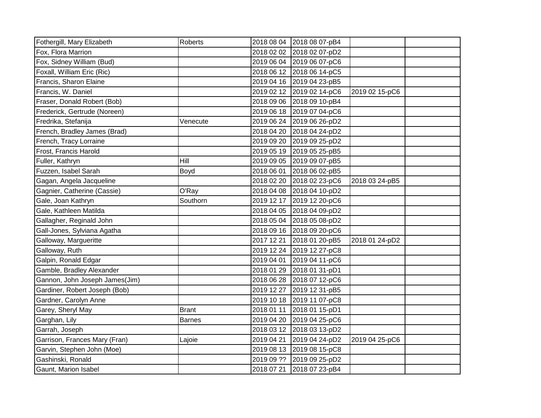| Fothergill, Mary Elizabeth     | <b>Roberts</b> | 2018 08 04 | 2018 08 07-pB4            |                |  |
|--------------------------------|----------------|------------|---------------------------|----------------|--|
| Fox, Flora Marrion             |                | 2018 02 02 | 2018 02 07-pD2            |                |  |
| Fox, Sidney William (Bud)      |                | 2019 06 04 | 2019 06 07-pC6            |                |  |
| Foxall, William Eric (Ric)     |                | 2018 06 12 | 2018 06 14-pC5            |                |  |
| Francis, Sharon Elaine         |                |            | 2019 04 16 2019 04 23-pB5 |                |  |
| Francis, W. Daniel             |                | 2019 02 12 | 2019 02 14-pC6            | 2019 02 15-pC6 |  |
| Fraser, Donald Robert (Bob)    |                | 2018 09 06 | 2018 09 10-pB4            |                |  |
| Frederick, Gertrude (Noreen)   |                | 2019 06 18 | 2019 07 04-pC6            |                |  |
| Fredrika, Stefanija            | Venecute       | 2019 06 24 | 2019 06 26-pD2            |                |  |
| French, Bradley James (Brad)   |                | 2018 04 20 | 2018 04 24-pD2            |                |  |
| French, Tracy Lorraine         |                | 2019 09 20 | 2019 09 25-pD2            |                |  |
| Frost, Francis Harold          |                | 2019 05 19 | 2019 05 25-pB5            |                |  |
| Fuller, Kathryn                | Hill           | 2019 09 05 | 2019 09 07-pB5            |                |  |
| Fuzzen, Isabel Sarah           | Boyd           | 2018 06 01 | 2018 06 02-pB5            |                |  |
| Gagan, Angela Jacqueline       |                | 2018 02 20 | 2018 02 23-pC6            | 2018 03 24-pB5 |  |
| Gagnier, Catherine (Cassie)    | O'Ray          | 2018 04 08 | 2018 04 10-pD2            |                |  |
| Gale, Joan Kathryn             | Southorn       | 2019 12 17 | 2019 12 20-pC6            |                |  |
| Gale, Kathleen Matilda         |                | 2018 04 05 | 2018 04 09-pD2            |                |  |
| Gallagher, Reginald John       |                | 2018 05 04 | 2018 05 08-pD2            |                |  |
| Gall-Jones, Sylviana Agatha    |                | 2018 09 16 | 2018 09 20-pC6            |                |  |
| Galloway, Margueritte          |                | 2017 12 21 | 2018 01 20-pB5            | 2018 01 24-pD2 |  |
| Galloway, Ruth                 |                | 2019 12 24 | 2019 12 27-pC8            |                |  |
| Galpin, Ronald Edgar           |                | 2019 04 01 | 2019 04 11-pC6            |                |  |
| Gamble, Bradley Alexander      |                | 2018 01 29 | 2018 01 31-pD1            |                |  |
| Gannon, John Joseph James(Jim) |                | 2018 06 28 | 2018 07 12-pC6            |                |  |
| Gardiner, Robert Joseph (Bob)  |                | 2019 12 27 | 2019 12 31-pB5            |                |  |
| Gardner, Carolyn Anne          |                | 2019 10 18 | 2019 11 07-pC8            |                |  |
| Garey, Sheryl May              | <b>Brant</b>   | 2018 01 11 | 2018 01 15-pD1            |                |  |
| Garghan, Lily                  | <b>Barnes</b>  | 2019 04 20 | 2019 04 25-pC6            |                |  |
| Garrah, Joseph                 |                | 2018 03 12 | 2018 03 13-pD2            |                |  |
| Garrison, Frances Mary (Fran)  | Lajoie         | 2019 04 21 | 2019 04 24-pD2            | 2019 04 25-pC6 |  |
| Garvin, Stephen John (Moe)     |                | 2019 08 13 | 2019 08 15-pC8            |                |  |
| Gashinski, Ronald              |                | 2019 09 ?? | 2019 09 25-pD2            |                |  |
| Gaunt, Marion Isabel           |                | 2018 07 21 | 2018 07 23-pB4            |                |  |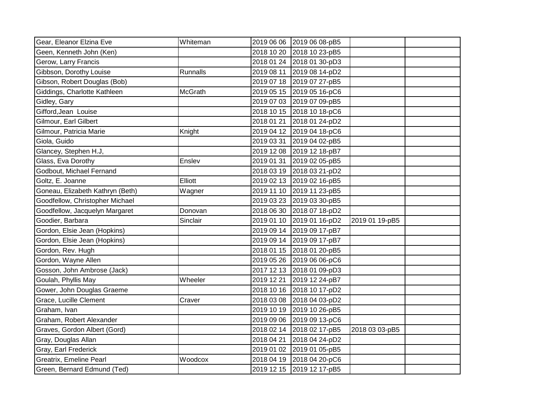| Gear, Eleanor Elzina Eve         | Whiteman       | 2019 06 06 | 2019 06 08-pB5            |                |  |
|----------------------------------|----------------|------------|---------------------------|----------------|--|
| Geen, Kenneth John (Ken)         |                | 2018 10 20 | 2018 10 23-pB5            |                |  |
| Gerow, Larry Francis             |                | 2018 01 24 | 2018 01 30-pD3            |                |  |
| Gibbson, Dorothy Louise          | Runnalls       | 2019 08 11 | 2019 08 14-pD2            |                |  |
| Gibson, Robert Douglas (Bob)     |                | 2019 07 18 | 2019 07 27-pB5            |                |  |
| Giddings, Charlotte Kathleen     | <b>McGrath</b> | 2019 05 15 | 2019 05 16-pC6            |                |  |
| Gidley, Gary                     |                | 2019 07 03 | 2019 07 09-pB5            |                |  |
| Gifford, Jean Louise             |                | 2018 10 15 | 2018 10 18-pC6            |                |  |
| Gilmour, Earl Gilbert            |                | 2018 01 21 | 2018 01 24-pD2            |                |  |
| Gilmour, Patricia Marie          | Knight         | 2019 04 12 | 2019 04 18-pC6            |                |  |
| Giola, Guido                     |                | 2019 03 31 | 2019 04 02-pB5            |                |  |
| Glancey, Stephen H.J,            |                | 2019 12 08 | 2019 12 18-pB7            |                |  |
| Glass, Eva Dorothy               | Enslev         | 2019 01 31 | 2019 02 05-pB5            |                |  |
| Godbout, Michael Fernand         |                | 2018 03 19 | 2018 03 21-pD2            |                |  |
| Goltz, E. Joanne                 | Elliott        | 2019 02 13 | 2019 02 16-pB5            |                |  |
| Goneau, Elizabeth Kathryn (Beth) | Wagner         | 2019 11 10 | 2019 11 23-pB5            |                |  |
| Goodfellow, Christopher Michael  |                | 2019 03 23 | 2019 03 30-pB5            |                |  |
| Goodfellow, Jacquelyn Margaret   | Donovan        | 2018 06 30 | 2018 07 18-pD2            |                |  |
| Goodier, Barbara                 | Sinclair       | 2019 01 10 | 2019 01 16-pD2            | 2019 01 19-pB5 |  |
| Gordon, Elsie Jean (Hopkins)     |                | 2019 09 14 | 2019 09 17-pB7            |                |  |
| Gordon, Elsie Jean (Hopkins)     |                | 2019 09 14 | 2019 09 17-pB7            |                |  |
| Gordon, Rev. Hugh                |                | 2018 01 15 | 2018 01 20-pB5            |                |  |
| Gordon, Wayne Allen              |                | 2019 05 26 | 2019 06 06-pC6            |                |  |
| Gosson, John Ambrose (Jack)      |                | 2017 12 13 | 2018 01 09-pD3            |                |  |
| Goulah, Phyllis May              | Wheeler        | 2019 12 21 | 2019 12 24-pB7            |                |  |
| Gower, John Douglas Graeme       |                | 2018 10 16 | 2018 10 17-pD2            |                |  |
| Grace, Lucille Clement           | Craver         | 2018 03 08 | 2018 04 03-pD2            |                |  |
| Graham, Ivan                     |                | 2019 10 19 | 2019 10 26-pB5            |                |  |
| Graham, Robert Alexander         |                | 2019 09 06 | 2019 09 13-pC6            |                |  |
| Graves, Gordon Albert (Gord)     |                | 2018 02 14 | 2018 02 17-pB5            | 2018 03 03-pB5 |  |
| Gray, Douglas Allan              |                | 2018 04 21 | 2018 04 24-pD2            |                |  |
| Gray, Earl Frederick             |                | 2019 01 02 | 2019 01 05-pB5            |                |  |
| Greatrix, Emeline Pearl          | Woodcox        | 2018 04 19 | 2018 04 20-pC6            |                |  |
| Green, Bernard Edmund (Ted)      |                |            | 2019 12 15 2019 12 17-pB5 |                |  |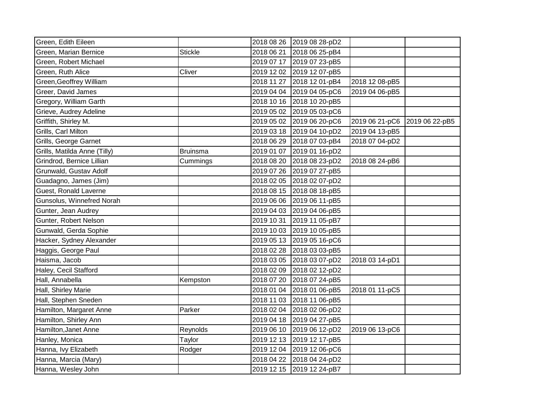| Green, Edith Eileen          |                 | 2018 08 26 | 2019 08 28-pD2            |                |                |
|------------------------------|-----------------|------------|---------------------------|----------------|----------------|
| Green, Marian Bernice        | <b>Stickle</b>  | 2018 06 21 | 2018 06 25-pB4            |                |                |
| Green, Robert Michael        |                 | 2019 07 17 | 2019 07 23-pB5            |                |                |
| Green, Ruth Alice            | Cliver          |            | 2019 12 02 2019 12 07-pB5 |                |                |
| Green, Geoffrey William      |                 | 2018 11 27 | 2018 12 01-pB4            | 2018 12 08-pB5 |                |
| Greer, David James           |                 | 2019 04 04 | 2019 04 05-pC6            | 2019 04 06-pB5 |                |
| Gregory, William Garth       |                 | 2018 10 16 | 2018 10 20-pB5            |                |                |
| Grieve, Audrey Adeline       |                 | 2019 05 02 | 2019 05 03-pC6            |                |                |
| Griffith, Shirley M.         |                 | 2019 05 02 | 2019 06 20-pC6            | 2019 06 21-pC6 | 2019 06 22-pB5 |
| Grills, Carl Milton          |                 | 2019 03 18 | 2019 04 10-pD2            | 2019 04 13-pB5 |                |
| Grills, George Garnet        |                 | 2018 06 29 | 2018 07 03-pB4            | 2018 07 04-pD2 |                |
| Grills, Matilda Anne (Tilly) | <b>Bruinsma</b> | 2019 01 07 | 2019 01 16-pD2            |                |                |
| Grindrod, Bernice Lillian    | Cummings        | 2018 08 20 | 2018 08 23-pD2            | 2018 08 24-pB6 |                |
| Grunwald, Gustav Adolf       |                 | 2019 07 26 | 2019 07 27-pB5            |                |                |
| Guadagno, James (Jim)        |                 | 2018 02 05 | 2018 02 07-pD2            |                |                |
| Guest, Ronald Laverne        |                 | 2018 08 15 | 2018 08 18-pB5            |                |                |
| Gunsolus, Winnefred Norah    |                 | 2019 06 06 | 2019 06 11-pB5            |                |                |
| Gunter, Jean Audrey          |                 | 2019 04 03 | 2019 04 06-pB5            |                |                |
| Gunter, Robert Nelson        |                 | 2019 10 31 | 2019 11 05-pB7            |                |                |
| Gunwald, Gerda Sophie        |                 | 2019 10 03 | 2019 10 05-pB5            |                |                |
| Hacker, Sydney Alexander     |                 |            | 2019 05 13 2019 05 16-pC6 |                |                |
| Haggis, George Paul          |                 | 2018 02 28 | 2018 03 03-pB5            |                |                |
| Haisma, Jacob                |                 | 2018 03 05 | 2018 03 07-pD2            | 2018 03 14-pD1 |                |
| Haley, Cecil Stafford        |                 | 2018 02 09 | 2018 02 12-pD2            |                |                |
| Hall, Annabella              | Kempston        | 2018 07 20 | 2018 07 24-pB5            |                |                |
| Hall, Shirley Marie          |                 | 2018 01 04 | 2018 01 06-pB5            | 2018 01 11-pC5 |                |
| Hall, Stephen Sneden         |                 | 2018 11 03 | 2018 11 06-pB5            |                |                |
| Hamilton, Margaret Anne      | Parker          | 2018 02 04 | 2018 02 06-pD2            |                |                |
| Hamilton, Shirley Ann        |                 | 2019 04 18 | 2019 04 27-pB5            |                |                |
| Hamilton, Janet Anne         | Reynolds        | 2019 06 10 | 2019 06 12-pD2            | 2019 06 13-pC6 |                |
| Hanley, Monica               | Taylor          | 2019 12 13 | 2019 12 17-pB5            |                |                |
| Hanna, Ivy Elizabeth         | Rodger          | 2019 12 04 | 2019 12 06-pC6            |                |                |
| Hanna, Marcia (Mary)         |                 | 2018 04 22 | 2018 04 24-pD2            |                |                |
| Hanna, Wesley John           |                 |            | 2019 12 15 2019 12 24-pB7 |                |                |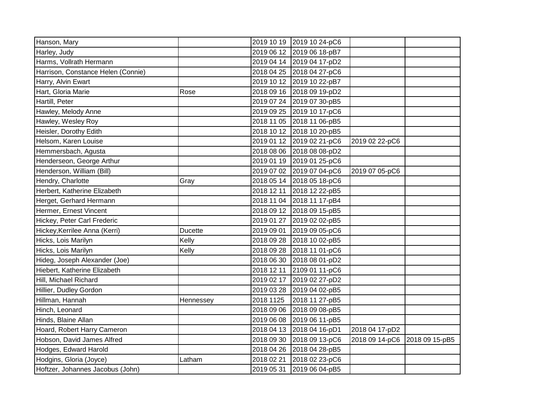| Hanson, Mary                       |                |            | 2019 10 19 2019 10 24-pC6 |                |                |
|------------------------------------|----------------|------------|---------------------------|----------------|----------------|
| Harley, Judy                       |                | 2019 06 12 | 2019 06 18-pB7            |                |                |
| Harms, Vollrath Hermann            |                | 2019 04 14 | 2019 04 17-pD2            |                |                |
| Harrison, Constance Helen (Connie) |                |            | 2018 04 25 2018 04 27-pC6 |                |                |
| Harry, Alvin Ewart                 |                |            | 2019 10 12 2019 10 22-pB7 |                |                |
| Hart, Gloria Marie                 | Rose           |            | 2018 09 16 2018 09 19-pD2 |                |                |
| Hartill, Peter                     |                | 2019 07 24 | 2019 07 30-pB5            |                |                |
| Hawley, Melody Anne                |                |            | 2019 09 25 2019 10 17-pC6 |                |                |
| Hawley, Wesley Roy                 |                | 2018 11 05 | 2018 11 06-pB5            |                |                |
| Heisler, Dorothy Edith             |                |            | 2018 10 12 2018 10 20-pB5 |                |                |
| Helsom, Karen Louise               |                |            | 2019 01 12 2019 02 21-pC6 | 2019 02 22-pC6 |                |
| Hemmersbach, Agusta                |                |            | 2018 08 06 2018 08 08-pD2 |                |                |
| Henderseon, George Arthur          |                |            | 2019 01 19 2019 01 25-pC6 |                |                |
| Henderson, William (Bill)          |                |            | 2019 07 02 2019 07 04-pC6 | 2019 07 05-pC6 |                |
| Hendry, Charlotte                  | Gray           | 2018 05 14 | 2018 05 18-pC6            |                |                |
| Herbert, Katherine Elizabeth       |                | 2018 12 11 | 2018 12 22-pB5            |                |                |
| Herget, Gerhard Hermann            |                | 2018 11 04 | 2018 11 17-pB4            |                |                |
| Hermer, Ernest Vincent             |                |            | 2018 09 12 2018 09 15-pB5 |                |                |
| Hickey, Peter Carl Frederic        |                | 2019 01 27 | 2019 02 02-pB5            |                |                |
| Hickey, Kerrilee Anna (Kerri)      | <b>Ducette</b> | 2019 09 01 | 2019 09 05-pC6            |                |                |
| Hicks, Lois Marilyn                | Kelly          | 2018 09 28 | 2018 10 02-pB5            |                |                |
| Hicks, Lois Marilyn                | Kelly          | 2018 09 28 | 2018 11 01-pC6            |                |                |
| Hideg, Joseph Alexander (Joe)      |                | 2018 06 30 | 2018 08 01-pD2            |                |                |
| Hiebert, Katherine Elizabeth       |                | 2018 12 11 | 2109 01 11-pC6            |                |                |
| Hill, Michael Richard              |                | 2019 02 17 | 2019 02 27-pD2            |                |                |
| Hillier, Dudley Gordon             |                | 2019 03 28 | 2019 04 02-pB5            |                |                |
| Hillman, Hannah                    | Hennessey      | 2018 1125  | 2018 11 27-pB5            |                |                |
| Hinch, Leonard                     |                | 2018 09 06 | 2018 09 08-pB5            |                |                |
| Hinds, Blaine Allan                |                | 2019 06 08 | 2019 06 11-pB5            |                |                |
| Hoard, Robert Harry Cameron        |                |            | 2018 04 13 2018 04 16-pD1 | 2018 04 17-pD2 |                |
| Hobson, David James Alfred         |                | 2018 09 30 | 2018 09 13-pC6            | 2018 09 14-pC6 | 2018 09 15-pB5 |
| Hodges, Edward Harold              |                | 2018 04 26 | 2018 04 28-pB5            |                |                |
| Hodgins, Gloria (Joyce)            | Latham         | 2018 02 21 | 2018 02 23-pC6            |                |                |
| Hoftzer, Johannes Jacobus (John)   |                | 2019 05 31 | 2019 06 04-pB5            |                |                |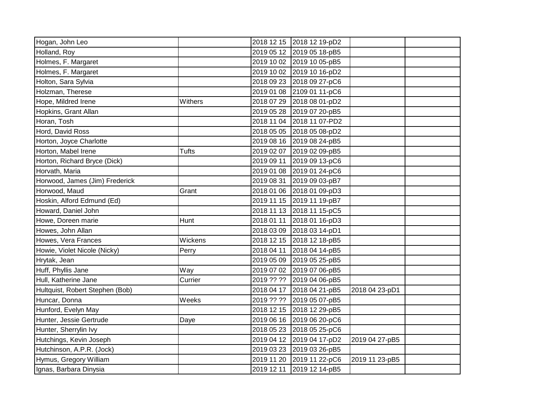| Hogan, John Leo                 |              |            | 2018 12 15 2018 12 19-pD2 |                |  |
|---------------------------------|--------------|------------|---------------------------|----------------|--|
| Holland, Roy                    |              |            | 2019 05 12 2019 05 18-pB5 |                |  |
| Holmes, F. Margaret             |              |            | 2019 10 02 2019 10 05-pB5 |                |  |
| Holmes, F. Margaret             |              |            | 2019 10 02 2019 10 16-pD2 |                |  |
| Holton, Sara Sylvia             |              |            | 2018 09 23 2018 09 27-pC6 |                |  |
| Holzman, Therese                |              | 2019 01 08 | 2109 01 11-pC6            |                |  |
| Hope, Mildred Irene             | Withers      | 2018 07 29 | 2018 08 01-pD2            |                |  |
| Hopkins, Grant Allan            |              | 2019 05 28 | 2019 07 20-pB5            |                |  |
| Horan, Tosh                     |              | 2018 11 04 | 2018 11 07-PD2            |                |  |
| Hord, David Ross                |              | 2018 05 05 | 2018 05 08-pD2            |                |  |
| Horton, Joyce Charlotte         |              |            | 2019 08 16 2019 08 24-pB5 |                |  |
| Horton, Mabel Irene             | <b>Tufts</b> | 2019 02 07 | 2019 02 09-pB5            |                |  |
| Horton, Richard Bryce (Dick)    |              | 2019 09 11 | 2019 09 13-pC6            |                |  |
| Horvath, Maria                  |              | 2019 01 08 | 2019 01 24-pC6            |                |  |
| Horwood, James (Jim) Frederick  |              | 2019 08 31 | 2019 09 03-pB7            |                |  |
| Horwood, Maud                   | Grant        | 2018 01 06 | 2018 01 09-pD3            |                |  |
| Hoskin, Alford Edmund (Ed)      |              |            | 2019 11 15 2019 11 19-pB7 |                |  |
| Howard, Daniel John             |              |            | 2018 11 13 2018 11 15-pC5 |                |  |
| Howe, Doreen marie              | Hunt         | 2018 01 11 | 2018 01 16-pD3            |                |  |
| Howes, John Allan               |              | 2018 03 09 | 2018 03 14-pD1            |                |  |
| Howes, Vera Frances             | Wickens      |            | 2018 12 15 2018 12 18-pB5 |                |  |
| Howie, Violet Nicole (Nicky)    | Perry        | 2018 04 11 | 2018 04 14-pB5            |                |  |
| Hrytak, Jean                    |              | 2019 05 09 | 2019 05 25-pB5            |                |  |
| Huff, Phyllis Jane              | Way          |            | 2019 07 02 2019 07 06-pB5 |                |  |
| Hull, Katherine Jane            | Currier      | 2019 ?? ?? | 2019 04 06-pB5            |                |  |
| Hultquist, Robert Stephen (Bob) |              | 2018 04 17 | 2018 04 21-pB5            | 2018 04 23-pD1 |  |
| Huncar, Donna                   | Weeks        | 2019 ?? ?? | 2019 05 07-pB5            |                |  |
| Hunford, Evelyn May             |              | 2018 12 15 | 2018 12 29-pB5            |                |  |
| Hunter, Jessie Gertrude         | Daye         | 2019 06 16 | 2019 06 20-pC6            |                |  |
| Hunter, Sherrylin Ivy           |              | 2018 05 23 | 2018 05 25-pC6            |                |  |
| Hutchings, Kevin Joseph         |              |            | 2019 04 12 2019 04 17-pD2 | 2019 04 27-pB5 |  |
| Hutchinson, A.P.R. (Jock)       |              | 2019 03 23 | 2019 03 26-pB5            |                |  |
| Hymus, Gregory William          |              | 2019 11 20 | 2019 11 22-pC6            | 2019 11 23-pB5 |  |
| Ignas, Barbara Dinysia          |              | 2019 12 11 | 2019 12 14-pB5            |                |  |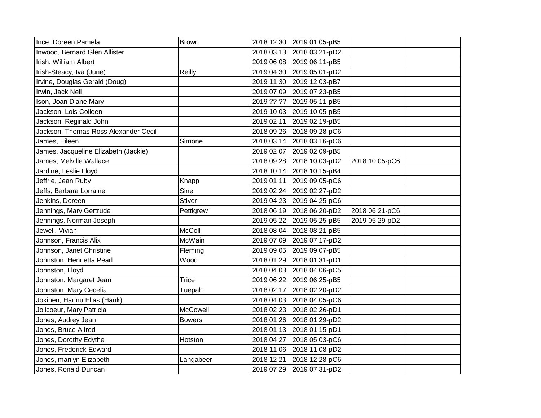| Ince, Doreen Pamela                  | <b>Brown</b>  | 2018 12 30 | 2019 01 05-pB5 |                |  |
|--------------------------------------|---------------|------------|----------------|----------------|--|
| Inwood, Bernard Glen Allister        |               | 2018 03 13 | 2018 03 21-pD2 |                |  |
| Irish, William Albert                |               | 2019 06 08 | 2019 06 11-pB5 |                |  |
| Irish-Steacy, Iva (June)             | Reilly        | 2019 04 30 | 2019 05 01-pD2 |                |  |
| Irvine, Douglas Gerald (Doug)        |               | 2019 11 30 | 2019 12 03-pB7 |                |  |
| Irwin, Jack Neil                     |               | 2019 07 09 | 2019 07 23-pB5 |                |  |
| Ison, Joan Diane Mary                |               | 2019 ?? ?? | 2019 05 11-pB5 |                |  |
| Jackson, Lois Colleen                |               | 2019 10 03 | 2019 10 05-pB5 |                |  |
| Jackson, Reginald John               |               | 2019 02 11 | 2019 02 19-pB5 |                |  |
| Jackson, Thomas Ross Alexander Cecil |               | 2018 09 26 | 2018 09 28-pC6 |                |  |
| James, Eileen                        | Simone        | 2018 03 14 | 2018 03 16-pC6 |                |  |
| James, Jacqueline Elizabeth (Jackie) |               | 2019 02 07 | 2019 02 09-pB5 |                |  |
| James, Melville Wallace              |               | 2018 09 28 | 2018 10 03-pD2 | 2018 10 05-pC6 |  |
| Jardine, Leslie Lloyd                |               | 2018 10 14 | 2018 10 15-pB4 |                |  |
| Jeffrie, Jean Ruby                   | Knapp         | 2019 01 11 | 2019 09 05-pC6 |                |  |
| Jeffs, Barbara Lorraine              | Sine          | 2019 02 24 | 2019 02 27-pD2 |                |  |
| Jenkins, Doreen                      | <b>Stiver</b> | 2019 04 23 | 2019 04 25-pC6 |                |  |
| Jennings, Mary Gertrude              | Pettigrew     | 2018 06 19 | 2018 06 20-pD2 | 2018 06 21-pC6 |  |
| Jennings, Norman Joseph              |               | 2019 05 22 | 2019 05 25-pB5 | 2019 05 29-pD2 |  |
| Jewell, Vivian                       | <b>McColl</b> | 2018 08 04 | 2018 08 21-pB5 |                |  |
| Johnson, Francis Alix                | McWain        | 2019 07 09 | 2019 07 17-pD2 |                |  |
| Johnson, Janet Christine             | Fleming       | 2019 09 05 | 2019 09 07-pB5 |                |  |
| Johnston, Henrietta Pearl            | Wood          | 2018 01 29 | 2018 01 31-pD1 |                |  |
| Johnston, Lloyd                      |               | 2018 04 03 | 2018 04 06-pC5 |                |  |
| Johnston, Margaret Jean              | <b>Trice</b>  | 2019 06 22 | 2019 06 25-pB5 |                |  |
| Johnston, Mary Cecelia               | Tuepah        | 2018 02 17 | 2018 02 20-pD2 |                |  |
| Jokinen, Hannu Elias (Hank)          |               | 2018 04 03 | 2018 04 05-pC6 |                |  |
| Jolicoeur, Mary Patricia             | McCowell      | 2018 02 23 | 2018 02 26-pD1 |                |  |
| Jones, Audrey Jean                   | <b>Bowers</b> | 2018 01 26 | 2018 01 29-pD2 |                |  |
| Jones, Bruce Alfred                  |               | 2018 01 13 | 2018 01 15-pD1 |                |  |
| Jones, Dorothy Edythe                | Hotston       | 2018 04 27 | 2018 05 03-pC6 |                |  |
| Jones, Frederick Edward              |               | 2018 11 06 | 2018 11 08-pD2 |                |  |
| Jones, marilyn Elizabeth             | Langabeer     | 2018 12 21 | 2018 12 28-pC6 |                |  |
| Jones, Ronald Duncan                 |               | 2019 07 29 | 2019 07 31-pD2 |                |  |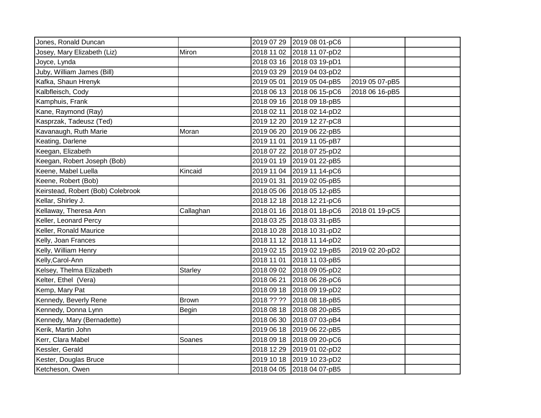| Jones, Ronald Duncan              |                | 2019 07 29 | 2019 08 01-pC6            |                |  |
|-----------------------------------|----------------|------------|---------------------------|----------------|--|
| Josey, Mary Elizabeth (Liz)       | Miron          | 2018 11 02 | 2018 11 07-pD2            |                |  |
| Joyce, Lynda                      |                |            | 2018 03 16 2018 03 19-pD1 |                |  |
| Juby, William James (Bill)        |                | 2019 03 29 | 2019 04 03-pD2            |                |  |
| Kafka, Shaun Hrenyk               |                | 2019 05 01 | 2019 05 04-pB5            | 2019 05 07-pB5 |  |
| Kalbfleisch, Cody                 |                | 2018 06 13 | 2018 06 15-pC6            | 2018 06 16-pB5 |  |
| Kamphuis, Frank                   |                |            | 2018 09 16 2018 09 18-pB5 |                |  |
| Kane, Raymond (Ray)               |                | 2018 02 11 | 2018 02 14-pD2            |                |  |
| Kasprzak, Tadeusz (Ted)           |                | 2019 12 20 | 2019 12 27-pC8            |                |  |
| Kavanaugh, Ruth Marie             | Moran          | 2019 06 20 | 2019 06 22-pB5            |                |  |
| Keating, Darlene                  |                | 2019 11 01 | 2019 11 05-pB7            |                |  |
| Keegan, Elizabeth                 |                | 2018 07 22 | 2018 07 25-pD2            |                |  |
| Keegan, Robert Joseph (Bob)       |                | 2019 01 19 | 2019 01 22-pB5            |                |  |
| Keene, Mabel Luella               | Kincaid        | 2019 11 04 | 2019 11 14-pC6            |                |  |
| Keene, Robert (Bob)               |                | 2019 01 31 | 2019 02 05-pB5            |                |  |
| Keirstead, Robert (Bob) Colebrook |                | 2018 05 06 | 2018 05 12-pB5            |                |  |
| Kellar, Shirley J.                |                | 2018 12 18 | 2018 12 21-pC6            |                |  |
| Kellaway, Theresa Ann             | Callaghan      | 2018 01 16 | 2018 01 18-pC6            | 2018 01 19-pC5 |  |
| Keller, Leonard Percy             |                | 2018 03 25 | 2018 03 31-pB5            |                |  |
| Keller, Ronald Maurice            |                | 2018 10 28 | 2018 10 31-pD2            |                |  |
| Kelly, Joan Frances               |                |            | 2018 11 12 2018 11 14-pD2 |                |  |
| Kelly, William Henry              |                |            | 2019 02 15 2019 02 19-pB5 | 2019 02 20-pD2 |  |
| Kelly, Carol-Ann                  |                | 2018 11 01 | 2018 11 03-pB5            |                |  |
| Kelsey, Thelma Elizabeth          | <b>Starley</b> | 2018 09 02 | 2018 09 05-pD2            |                |  |
| Kelter, Ethel (Vera)              |                | 2018 06 21 | 2018 06 28-pC6            |                |  |
| Kemp, Mary Pat                    |                | 2018 09 18 | 2018 09 19-pD2            |                |  |
| Kennedy, Beverly Rene             | <b>Brown</b>   | 2018 ?? ?? | 2018 08 18-pB5            |                |  |
| Kennedy, Donna Lynn               | <b>Begin</b>   | 2018 08 18 | 2018 08 20-pB5            |                |  |
| Kennedy, Mary (Bernadette)        |                | 2018 06 30 | 2018 07 03-pB4            |                |  |
| Kerik, Martin John                |                | 2019 06 18 | 2019 06 22-pB5            |                |  |
| Kerr, Clara Mabel                 | Soanes         | 2018 09 18 | 2018 09 20-pC6            |                |  |
| Kessler, Gerald                   |                | 2018 12 29 | 2019 01 02-pD2            |                |  |
| Kester, Douglas Bruce             |                | 2019 10 18 | 2019 10 23-pD2            |                |  |
| Ketcheson, Owen                   |                |            | 2018 04 05 2018 04 07-pB5 |                |  |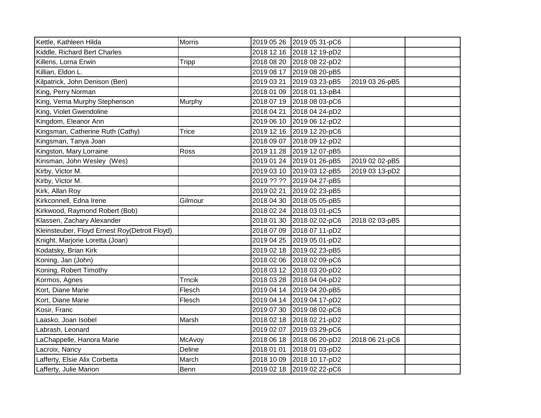| Kettle, Kathleen Hilda                        | <b>Morris</b> | 2019 05 26 | 2019 05 31-pC6 |                |  |
|-----------------------------------------------|---------------|------------|----------------|----------------|--|
| Kiddle, Richard Bert Charles                  |               | 2018 12 16 | 2018 12 19-pD2 |                |  |
| Killens, Lorna Erwin                          | <b>Tripp</b>  | 2018 08 20 | 2018 08 22-pD2 |                |  |
| Killian, Eldon L.                             |               | 2019 08 17 | 2019 08 20-pB5 |                |  |
| Kilpatrick, John Denison (Ben)                |               | 2019 03 21 | 2019 03 23-pB5 | 2019 03 26-pB5 |  |
| King, Perry Norman                            |               | 2018 01 09 | 2018 01 13-pB4 |                |  |
| King, Verna Murphy Stephenson                 | Murphy        | 2018 07 19 | 2018 08 03-pC6 |                |  |
| King, Violet Gwendoline                       |               | 2018 04 21 | 2018 04 24-pD2 |                |  |
| Kingdom, Eleanor Ann                          |               | 2019 06 10 | 2019 06 12-pD2 |                |  |
| Kingsman, Catherine Ruth (Cathy)              | <b>Trice</b>  | 2019 12 16 | 2019 12 20-pC6 |                |  |
| Kingsman, Tanya Joan                          |               | 2018 09 07 | 2018 09 12-pD2 |                |  |
| Kingston, Mary Lorraine                       | Ross          | 2019 11 28 | 2019 12 07-pB5 |                |  |
| Kinsman, John Wesley (Wes)                    |               | 2019 01 24 | 2019 01 26-pB5 | 2019 02 02-pB5 |  |
| Kirby, Victor M.                              |               | 2019 03 10 | 2019 03 12-pB5 | 2019 03 13-pD2 |  |
| Kirby, Victor M.                              |               | 2019 ?? ?? | 2019 04 27-pB5 |                |  |
| Kirk, Allan Roy                               |               | 2019 02 21 | 2019 02 23-pB5 |                |  |
| Kirkconnell, Edna Irene                       | Gilmour       | 2018 04 30 | 2018 05 05-pB5 |                |  |
| Kirkwood, Raymond Robert (Bob)                |               | 2018 02 24 | 2018 03 01-pC5 |                |  |
| Klassen, Zachary Alexander                    |               | 2018 01 30 | 2018 02 02-pC6 | 2018 02 03-pB5 |  |
| Kleinsteuber, Floyd Ernest Roy(Detroit Floyd) |               | 2018 07 09 | 2018 07 11-pD2 |                |  |
| Knight, Marjorie Loretta (Joan)               |               | 2019 04 25 | 2019 05 01-pD2 |                |  |
| Kodatsky, Brian Kirk                          |               | 2019 02 18 | 2019 02 23-pB5 |                |  |
| Koning, Jan (John)                            |               | 2018 02 06 | 2018 02 09-pC6 |                |  |
| Koning, Robert Timothy                        |               | 2018 03 12 | 2018 03 20-pD2 |                |  |
| Kormos, Agnes                                 | <b>Trncik</b> | 2018 03 28 | 2018 04 04-pD2 |                |  |
| Kort, Diane Marie                             | Flesch        | 2019 04 14 | 2019 04 20-pB5 |                |  |
| Kort, Diane Marie                             | Flesch        | 2019 04 14 | 2019 04 17-pD2 |                |  |
| Kosir, Franc                                  |               | 2019 07 30 | 2019 08 02-pC6 |                |  |
| Laasko, Joan Isobel                           | Marsh         | 2018 02 18 | 2018 02 21-pD2 |                |  |
| Labrash, Leonard                              |               | 2019 02 07 | 2019 03 29-pC6 |                |  |
| LaChappelle, Hanora Marie                     | McAvoy        | 2018 06 18 | 2018 06 20-pD2 | 2018 06 21-pC6 |  |
| Lacroix, Nancy                                | Deline        | 2018 01 01 | 2018 01 03-pD2 |                |  |
| Lafferty, Elsie Alix Corbetta                 | March         | 2018 10 09 | 2018 10 17-pD2 |                |  |
| Lafferty, Julie Marion                        | Benn          | 2019 02 18 | 2019 02 22-pC6 |                |  |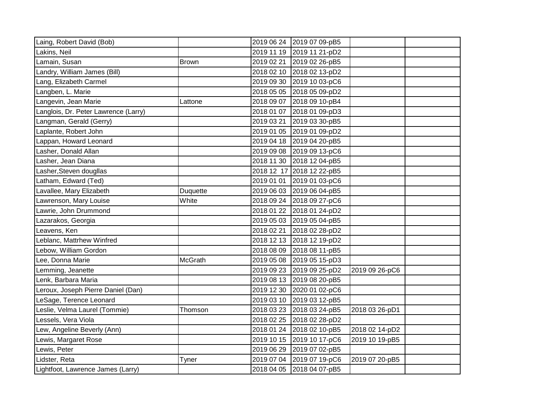| Laing, Robert David (Bob)            |                | 2019 06 24 | 2019 07 09-pB5            |                |  |
|--------------------------------------|----------------|------------|---------------------------|----------------|--|
| Lakins, Neil                         |                | 2019 11 19 | 2019 11 21-pD2            |                |  |
| Lamain, Susan                        | Brown          | 2019 02 21 | 2019 02 26-pB5            |                |  |
| Landry, William James (Bill)         |                | 2018 02 10 | 2018 02 13-pD2            |                |  |
| Lang, Elizabeth Carmel               |                | 2019 09 30 | 2019 10 03-pC6            |                |  |
| Langben, L. Marie                    |                | 2018 05 05 | 2018 05 09-pD2            |                |  |
| Langevin, Jean Marie                 | Lattone        | 2018 09 07 | 2018 09 10-pB4            |                |  |
| Langlois, Dr. Peter Lawrence (Larry) |                | 2018 01 07 | 2018 01 09-pD3            |                |  |
| Langman, Gerald (Gerry)              |                | 2019 03 21 | 2019 03 30-pB5            |                |  |
| Laplante, Robert John                |                | 2019 01 05 | 2019 01 09-pD2            |                |  |
| Lappan, Howard Leonard               |                | 2019 04 18 | 2019 04 20-pB5            |                |  |
| Lasher, Donald Allan                 |                | 2019 09 08 | 2019 09 13-pC6            |                |  |
| Lasher, Jean Diana                   |                | 2018 11 30 | 2018 12 04-pB5            |                |  |
| Lasher, Steven dougllas              |                |            | 2018 12 17 2018 12 22-pB5 |                |  |
| Latham, Edward (Ted)                 |                | 2019 01 01 | 2019 01 03-pC6            |                |  |
| Lavallee, Mary Elizabeth             | Duquette       | 2019 06 03 | 2019 06 04-pB5            |                |  |
| Lawrenson, Mary Louise               | White          | 2018 09 24 | 2018 09 27-pC6            |                |  |
| Lawrie, John Drummond                |                | 2018 01 22 | 2018 01 24-pD2            |                |  |
| Lazarakos, Georgia                   |                | 2019 05 03 | 2019 05 04-pB5            |                |  |
| Leavens, Ken                         |                | 2018 02 21 | 2018 02 28-pD2            |                |  |
| Leblanc, Mattrhew Winfred            |                | 2018 12 13 | 2018 12 19-pD2            |                |  |
| Lebow, William Gordon                |                | 2018 08 09 | 2018 08 11-pB5            |                |  |
| Lee, Donna Marie                     | <b>McGrath</b> | 2019 05 08 | 2019 05 15-pD3            |                |  |
| Lemming, Jeanette                    |                | 2019 09 23 | 2019 09 25-pD2            | 2019 09 26-pC6 |  |
| Lenk, Barbara Maria                  |                | 2019 08 13 | 2019 08 20-pB5            |                |  |
| Leroux, Joseph Pierre Daniel (Dan)   |                | 2019 12 30 | 2020 01 02-pC6            |                |  |
| LeSage, Terence Leonard              |                | 2019 03 10 | 2019 03 12-pB5            |                |  |
| Leslie, Velma Laurel (Tommie)        | Thomson        | 2018 03 23 | 2018 03 24-pB5            | 2018 03 26-pD1 |  |
| Lessels, Vera Viola                  |                | 2018 02 25 | 2018 02 28-pD2            |                |  |
| Lew, Angeline Beverly (Ann)          |                | 2018 01 24 | 2018 02 10-pB5            | 2018 02 14-pD2 |  |
| Lewis, Margaret Rose                 |                | 2019 10 15 | 2019 10 17-pC6            | 2019 10 19-pB5 |  |
| Lewis, Peter                         |                | 2019 06 29 | 2019 07 02-pB5            |                |  |
| Lidster, Reta                        | Tyner          | 2019 07 04 | 2019 07 19-pC6            | 2019 07 20-pB5 |  |
| Lightfoot, Lawrence James (Larry)    |                | 2018 04 05 | 2018 04 07-pB5            |                |  |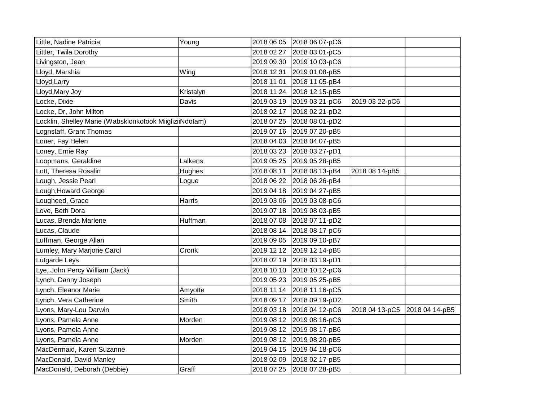| Little, Nadine Patricia                                 | Young     |            | 2018 06 05 2018 06 07-pC6 |                |                |
|---------------------------------------------------------|-----------|------------|---------------------------|----------------|----------------|
| Littler, Twila Dorothy                                  |           | 2018 02 27 | 2018 03 01-pC5            |                |                |
| Livingston, Jean                                        |           | 2019 09 30 | 2019 10 03-pC6            |                |                |
| Lloyd, Marshia                                          | Wing      | 2018 12 31 | 2019 01 08-pB5            |                |                |
| Lloyd, Larry                                            |           | 2018 11 01 | 2018 11 05-pB4            |                |                |
| Lloyd, Mary Joy                                         | Kristalyn |            | 2018 11 24 2018 12 15-pB5 |                |                |
| Locke, Dixie                                            | Davis     | 2019 03 19 | 2019 03 21-pC6            | 2019 03 22-pC6 |                |
| Locke, Dr, John Milton                                  |           |            | 2018 02 17 2018 02 21-pD2 |                |                |
| Locklin, Shelley Marie (Wabskionkotook MiigliziiNdotam) |           |            | 2018 07 25 2018 08 01-pD2 |                |                |
| Lognstaff, Grant Thomas                                 |           |            | 2019 07 16 2019 07 20-pB5 |                |                |
| Loner, Fay Helen                                        |           |            | 2018 04 03 2018 04 07-pB5 |                |                |
| Loney, Ernie Ray                                        |           |            | 2018 03 23 2018 03 27-pD1 |                |                |
| Loopmans, Geraldine                                     | Lalkens   |            | 2019 05 25 2019 05 28-pB5 |                |                |
| Lott, Theresa Rosalin                                   | Hughes    | 2018 08 11 | 2018 08 13-pB4            | 2018 08 14-pB5 |                |
| Lough, Jessie Pearl                                     | Logue     | 2018 06 22 | 2018 06 26-pB4            |                |                |
| Lough, Howard George                                    |           |            | 2019 04 18 2019 04 27-pB5 |                |                |
| Lougheed, Grace                                         | Harris    |            | 2019 03 06 2019 03 08-pC6 |                |                |
| Love, Beth Dora                                         |           |            | 2019 07 18 2019 08 03-pB5 |                |                |
| Lucas, Brenda Marlene                                   | Huffman   | 2018 07 08 | 2018 07 11-pD2            |                |                |
| Lucas, Claude                                           |           |            | 2018 08 14 2018 08 17-pC6 |                |                |
| Luffman, George Allan                                   |           |            | 2019 09 05 2019 09 10-pB7 |                |                |
| Lumley, Mary Marjorie Carol                             | Cronk     |            | 2019 12 12 2019 12 14-pB5 |                |                |
| Lutgarde Leys                                           |           |            | 2018 02 19 2018 03 19-pD1 |                |                |
| Lye, John Percy William (Jack)                          |           |            | 2018 10 10 2018 10 12-pC6 |                |                |
| Lynch, Danny Joseph                                     |           | 2019 05 23 | 2019 05 25-pB5            |                |                |
| Lynch, Eleanor Marie                                    | Amyotte   | 2018 11 14 | 2018 11 16-pC5            |                |                |
| Lynch, Vera Catherine                                   | Smith     | 2018 09 17 | 2018 09 19-pD2            |                |                |
| Lyons, Mary-Lou Darwin                                  |           |            | 2018 03 18 2018 04 12-pC6 | 2018 04 13-pC5 | 2018 04 14-pB5 |
| Lyons, Pamela Anne                                      | Morden    | 2019 08 12 | 2019 08 16-pC6            |                |                |
| Lyons, Pamela Anne                                      |           |            | 2019 08 12 2019 08 17-pB6 |                |                |
| Lyons, Pamela Anne                                      | Morden    |            | 2019 08 12 2019 08 20-pB5 |                |                |
| MacDermaid, Karen Suzanne                               |           |            | 2019 04 15 2019 04 18-pC6 |                |                |
| MacDonald, David Manley                                 |           | 2018 02 09 | 2018 02 17-pB5            |                |                |
| MacDonald, Deborah (Debbie)                             | Graff     |            | 2018 07 25 2018 07 28-pB5 |                |                |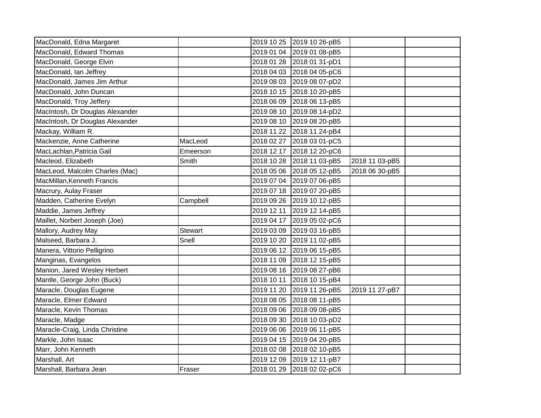| MacDonald, Edna Margaret        |          |            | 2019 10 25 2019 10 26-pB5 |                |  |
|---------------------------------|----------|------------|---------------------------|----------------|--|
| MacDonald, Edward Thomas        |          |            | 2019 01 04 2019 01 08-pB5 |                |  |
| MacDonald, George Elvin         |          |            | 2018 01 28 2018 01 31-pD1 |                |  |
| MacDonald, Ian Jeffrey          |          |            | 2018 04 03 2018 04 05-pC6 |                |  |
| MacDonald, James Jim Arthur     |          |            | 2019 08 03 2019 08 07-pD2 |                |  |
| MacDonald, John Duncan          |          |            | 2018 10 15 2018 10 20-pB5 |                |  |
| MacDonald, Troy Jeffery         |          |            | 2018 06 09 2018 06 13-pB5 |                |  |
| MacIntosh, Dr Douglas Alexander |          |            | 2019 08 10 2019 08 14-pD2 |                |  |
| MacIntosh, Dr Douglas Alexander |          |            | 2019 08 10 2019 08 20-pB5 |                |  |
| Mackay, William R.              |          |            | 2018 11 22 2018 11 24-pB4 |                |  |
| Mackenzie, Anne Catherine       | MacLeod  |            | 2018 02 27 2018 03 01-pC5 |                |  |
| MacLachlan, Patricia Gail       | Emeerson |            | 2018 12 17 2018 12 20-pC6 |                |  |
| Macleod, Elizabeth              | Smith    |            | 2018 10 28 2018 11 03-pB5 | 2018 11 03-pB5 |  |
| MacLeod, Malcolm Charles (Mac)  |          |            | 2018 05 06 2018 05 12-pB5 | 2018 06 30-pB5 |  |
| MacMillan, Kenneth Francis      |          |            | 2019 07 04 2019 07 06-pB5 |                |  |
| Macrury, Aulay Fraser           |          |            | 2019 07 18 2019 07 20-pB5 |                |  |
| Madden, Catherine Evelyn        | Campbell |            | 2019 09 26 2019 10 12-pB5 |                |  |
| Maddie, James Jeffrey           |          |            | 2019 12 11 2019 12 14-pB5 |                |  |
| Maillet, Norbert Joseph (Joe)   |          |            | 2019 04 17 2019 05 02-pC6 |                |  |
| Mallory, Audrey May             | Stewart  |            | 2019 03 09 2019 03 16-pB5 |                |  |
| Malseed, Barbara J.             | Snell    |            | 2019 10 20 2019 11 02-pB5 |                |  |
| Manera, Vittorio Pelligrino     |          |            | 2019 06 12 2019 06 15-pB5 |                |  |
| Manginas, Evangelos             |          |            | 2018 11 09 2018 12 15-pB5 |                |  |
| Manion, Jared Wesley Herbert    |          |            | 2019 08 16 2019 08 27-pB6 |                |  |
| Mantle, George John (Buck)      |          |            | 2018 10 11 2018 10 15-pB4 |                |  |
| Maracle, Douglas Eugene         |          |            | 2019 11 20 2019 11 26-pB5 | 2019 11 27-pB7 |  |
| Maracle, Elmer Edward           |          |            | 2018 08 05 2018 08 11-pB5 |                |  |
| Maracle, Kevin Thomas           |          |            | 2018 09 06 2018 09 08-pB5 |                |  |
| Maracle, Madge                  |          |            | 2018 09 30 2018 10 03-pD2 |                |  |
| Maracle-Craig, Linda Christine  |          |            | 2019 06 06 2019 06 11-pB5 |                |  |
| Markle, John Isaac              |          | 2019 04 15 | 2019 04 20-pB5            |                |  |
| Marr, John Kenneth              |          | 2018 02 08 | 2018 02 10-pB5            |                |  |
| Marshall, Art                   |          |            | 2019 12 09 2019 12 11-pB7 |                |  |
| Marshall, Barbara Jean          | Fraser   |            | 2018 01 29 2018 02 02-pC6 |                |  |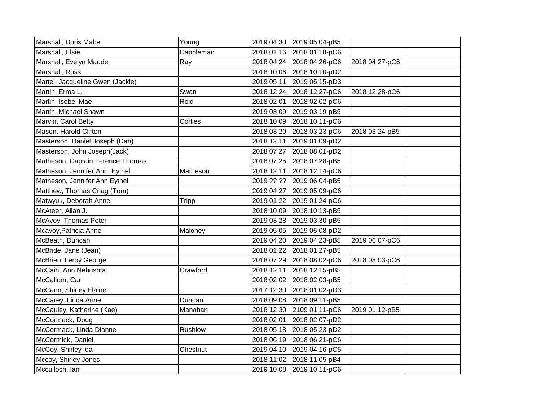| Marshall, Doris Mabel            | Young     |            | 2019 04 30 2019 05 04-pB5 |                |  |
|----------------------------------|-----------|------------|---------------------------|----------------|--|
| Marshall, Elsie                  | Cappleman |            | 2018 01 16 2018 01 18-pC6 |                |  |
| Marshall, Evelyn Maude           | Ray       |            | 2018 04 24 2018 04 26-pC6 | 2018 04 27-pC6 |  |
| Marshall, Ross                   |           |            | 2018 10 06 2018 10 10-pD2 |                |  |
| Martel, Jacqueline Gwen (Jackie) |           |            | 2019 05 11 2019 05 15-pD3 |                |  |
| Martin, Erma L.                  | Swan      |            | 2018 12 24 2018 12 27-pC6 | 2018 12 28-pC6 |  |
| Martin, Isobel Mae               | Reid      | 2018 02 01 | 2018 02 02-pC6            |                |  |
| Martin, Michael Shawn            |           | 2019 03 09 | 2019 03 19-pB5            |                |  |
| Marvin, Carol Betty              | Corlies   | 2018 10 09 | 2018 10 11-pC6            |                |  |
| Mason, Harold Clifton            |           | 2018 03 20 | 2018 03 23-pC6            | 2018 03 24-pB5 |  |
| Masterson, Daniel Joseph (Dan)   |           | 2018 12 11 | 2019 01 09-pD2            |                |  |
| Masterson, John Joseph(Jack)     |           |            | 2018 07 27 2018 08 01-pD2 |                |  |
| Matheson, Captain Terence Thomas |           |            | 2018 07 25 2018 07 28-pB5 |                |  |
| Matheson, Jennifer Ann Eythel    | Matheson  | 2018 12 11 | 2018 12 14-pC6            |                |  |
| Matheson, Jennifer Ann Eythel    |           |            | 2019 ?? ?? 2019 06 04-pB5 |                |  |
| Matthew, Thomas Criag (Tom)      |           |            | 2019 04 27 2019 05 09-pC6 |                |  |
| Matwyuk, Deborah Anne            | Tripp     |            | 2019 01 22 2019 01 24-pC6 |                |  |
| McAteer, Allan J.                |           |            | 2018 10 09 2018 10 13-pB5 |                |  |
| McAvoy, Thomas Peter             |           |            | 2019 03 28 2019 03 30-pB5 |                |  |
| Mcavoy, Patricia Anne            | Maloney   | 2019 05 05 | 2019 05 08-pD2            |                |  |
| McBeath, Duncan                  |           | 2019 04 20 | 2019 04 23-pB5            | 2019 06 07-pC6 |  |
| McBride, Jane (Jean)             |           | 2018 01 22 | 2018 01 27-pB5            |                |  |
| McBrien, Leroy George            |           |            | 2018 07 29 2018 08 02-pC6 | 2018 08 03-pC6 |  |
| McCain, Ann Nehushta             | Crawford  | 2018 12 11 | 2018 12 15-pB5            |                |  |
| McCallum, Carl                   |           | 2018 02 02 | 2018 02 03-pB5            |                |  |
| McCann, Shirley Elaine           |           | 2017 12 30 | 2018 01 02-pD3            |                |  |
| McCarey, Linda Anne              | Duncan    | 2018 09 08 | 2018 09 11-pB5            |                |  |
| McCauley, Katherine (Kae)        | Manahan   | 2018 12 30 | 2109 01 11-pC6            | 2019 01 12-pB5 |  |
| McCormack, Doug                  |           | 2018 02 01 | 2018 02 07-pD2            |                |  |
| McCormack, Linda Dianne          | Rushlow   | 2018 05 18 | 2018 05 23-pD2            |                |  |
| McCormick, Daniel                |           | 2018 06 19 | 2018 06 21-pC6            |                |  |
| McCoy, Shirley Ida               | Chestnut  | 2019 04 10 | 2019 04 16-pC5            |                |  |
| Mccoy, Shirley Jones             |           |            | 2018 11 02 2018 11 05-pB4 |                |  |
| Mcculloch, Ian                   |           |            | 2019 10 08 2019 10 11-pC6 |                |  |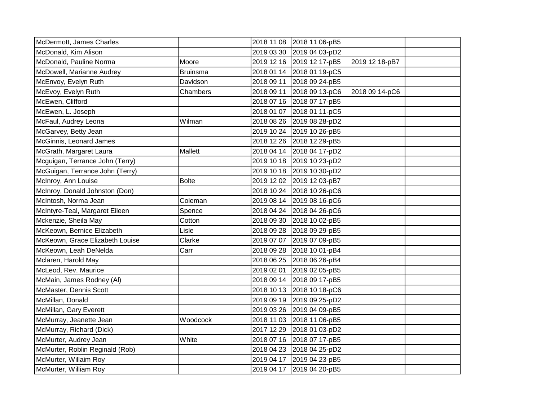| McDermott, James Charles        |                 | 2018 11 08 | 2018 11 06-pB5            |                |  |
|---------------------------------|-----------------|------------|---------------------------|----------------|--|
| McDonald, Kim Alison            |                 | 2019 03 30 | 2019 04 03-pD2            |                |  |
| McDonald, Pauline Norma         | Moore           |            | 2019 12 16 2019 12 17-pB5 | 2019 12 18-pB7 |  |
| McDowell, Marianne Audrey       | <b>Bruinsma</b> |            | 2018 01 14 2018 01 19-pC5 |                |  |
| McEnvoy, Evelyn Ruth            | Davidson        |            | 2018 09 11 2018 09 24-pB5 |                |  |
| McEvoy, Evelyn Ruth             | Chambers        |            | 2018 09 11 2018 09 13-pC6 | 2018 09 14-pC6 |  |
| McEwen, Clifford                |                 |            | 2018 07 16 2018 07 17-pB5 |                |  |
| McEwen, L. Joseph               |                 |            | 2018 01 07 2018 01 11-pC5 |                |  |
| McFaul, Audrey Leona            | Wilman          |            | 2018 08 26 2019 08 28-pD2 |                |  |
| McGarvey, Betty Jean            |                 |            | 2019 10 24 2019 10 26-pB5 |                |  |
| McGinnis, Leonard James         |                 |            | 2018 12 26 2018 12 29-pB5 |                |  |
| McGrath, Margaret Laura         | Mallett         |            | 2018 04 14 2018 04 17-pD2 |                |  |
| Mcguigan, Terrance John (Terry) |                 |            | 2019 10 18 2019 10 23-pD2 |                |  |
| McGuigan, Terrance John (Terry) |                 |            | 2019 10 18 2019 10 30-pD2 |                |  |
| McInroy, Ann Louise             | <b>Bolte</b>    |            | 2019 12 02 2019 12 03-pB7 |                |  |
| McInroy, Donald Johnston (Don)  |                 |            | 2018 10 24 2018 10 26-pC6 |                |  |
| McIntosh, Norma Jean            | Coleman         |            | 2019 08 14 2019 08 16-pC6 |                |  |
| McIntyre-Teal, Margaret Eileen  | Spence          |            | 2018 04 24 2018 04 26-pC6 |                |  |
| Mckenzie, Sheila May            | Cotton          |            | 2018 09 30 2018 10 02-pB5 |                |  |
| McKeown, Bernice Elizabeth      | Lisle           |            | 2018 09 28 2018 09 29-pB5 |                |  |
| McKeown, Grace Elizabeth Louise | Clarke          |            | 2019 07 07 2019 07 09-pB5 |                |  |
| McKeown, Leah DeNelda           | Carr            |            | 2018 09 28 2018 10 01-pB4 |                |  |
| Mclaren, Harold May             |                 |            | 2018 06 25 2018 06 26-pB4 |                |  |
| McLeod, Rev. Maurice            |                 |            | 2019 02 01 2019 02 05-pB5 |                |  |
| McMain, James Rodney (AI)       |                 |            | 2018 09 14 2018 09 17-pB5 |                |  |
| McMaster, Dennis Scott          |                 |            | 2018 10 13 2018 10 18-pC6 |                |  |
| McMillan, Donald                |                 |            | 2019 09 19 2019 09 25-pD2 |                |  |
| McMillan, Gary Everett          |                 |            | 2019 03 26 2019 04 09-pB5 |                |  |
| McMurray, Jeanette Jean         | Woodcock        |            | 2018 11 03 2018 11 06-pB5 |                |  |
| McMurray, Richard (Dick)        |                 | 2017 12 29 | 2018 01 03-pD2            |                |  |
| McMurter, Audrey Jean           | White           | 2018 07 16 | 2018 07 17-pB5            |                |  |
| McMurter, Roblin Reginald (Rob) |                 |            | 2018 04 23 2018 04 25-pD2 |                |  |
| McMurter, Willaim Roy           |                 |            | 2019 04 17 2019 04 23-pB5 |                |  |
| McMurter, William Roy           |                 |            | 2019 04 17 2019 04 20-pB5 |                |  |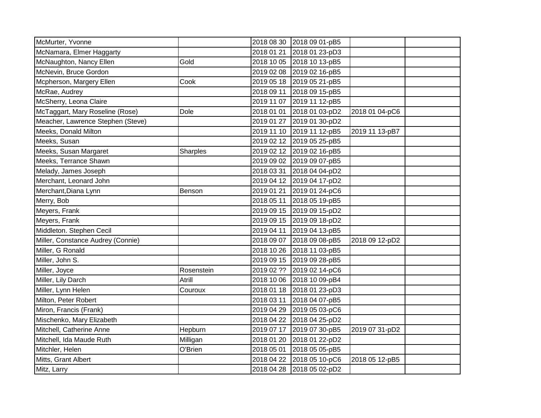| McMurter, Yvonne                  |            | 2018 08 30 | 2018 09 01-pB5 |                |  |
|-----------------------------------|------------|------------|----------------|----------------|--|
| McNamara, Elmer Haggarty          |            | 2018 01 21 | 2018 01 23-pD3 |                |  |
| McNaughton, Nancy Ellen           | Gold       | 2018 10 05 | 2018 10 13-pB5 |                |  |
| McNevin, Bruce Gordon             |            | 2019 02 08 | 2019 02 16-pB5 |                |  |
| Mcpherson, Margery Ellen          | Cook       | 2019 05 18 | 2019 05 21-pB5 |                |  |
| McRae, Audrey                     |            | 2018 09 11 | 2018 09 15-pB5 |                |  |
| McSherry, Leona Claire            |            | 2019 11 07 | 2019 11 12-pB5 |                |  |
| McTaggart, Mary Roseline (Rose)   | Dole       | 2018 01 01 | 2018 01 03-pD2 | 2018 01 04-pC6 |  |
| Meacher, Lawrence Stephen (Steve) |            | 2019 01 27 | 2019 01 30-pD2 |                |  |
| Meeks, Donald Milton              |            | 2019 11 10 | 2019 11 12-pB5 | 2019 11 13-pB7 |  |
| Meeks, Susan                      |            | 2019 02 12 | 2019 05 25-pB5 |                |  |
| Meeks, Susan Margaret             | Sharples   | 2019 02 12 | 2019 02 16-pB5 |                |  |
| Meeks, Terrance Shawn             |            | 2019 09 02 | 2019 09 07-pB5 |                |  |
| Melady, James Joseph              |            | 2018 03 31 | 2018 04 04-pD2 |                |  |
| Merchant, Leonard John            |            | 2019 04 12 | 2019 04 17-pD2 |                |  |
| Merchant, Diana Lynn              | Benson     | 2019 01 21 | 2019 01 24-pC6 |                |  |
| Merry, Bob                        |            | 2018 05 11 | 2018 05 19-pB5 |                |  |
| Meyers, Frank                     |            | 2019 09 15 | 2019 09 15-pD2 |                |  |
| Meyers, Frank                     |            | 2019 09 15 | 2019 09 18-pD2 |                |  |
| Middleton. Stephen Cecil          |            | 2019 04 11 | 2019 04 13-pB5 |                |  |
| Miller, Constance Audrey (Connie) |            | 2018 09 07 | 2018 09 08-pB5 | 2018 09 12-pD2 |  |
| Miller, G Ronald                  |            | 2018 10 26 | 2018 11 03-pB5 |                |  |
| Miller, John S.                   |            | 2019 09 15 | 2019 09 28-pB5 |                |  |
| Miller, Joyce                     | Rosenstein | 2019 02 ?? | 2019 02 14-pC6 |                |  |
| Miller, Lily Darch                | Atrill     | 2018 10 06 | 2018 10 09-pB4 |                |  |
| Miller, Lynn Helen                | Couroux    | 2018 01 18 | 2018 01 23-pD3 |                |  |
| Milton, Peter Robert              |            | 2018 03 11 | 2018 04 07-pB5 |                |  |
| Miron, Francis (Frank)            |            | 2019 04 29 | 2019 05 03-pC6 |                |  |
| Mischenko, Mary Elizabeth         |            | 2018 04 22 | 2018 04 25-pD2 |                |  |
| Mitchell, Catherine Anne          | Hepburn    | 2019 07 17 | 2019 07 30-pB5 | 2019 07 31-pD2 |  |
| Mitchell, Ida Maude Ruth          | Milligan   | 2018 01 20 | 2018 01 22-pD2 |                |  |
| Mitchler, Helen                   | O'Brien    | 2018 05 01 | 2018 05 05-pB5 |                |  |
| Mitts, Grant Albert               |            | 2018 04 22 | 2018 05 10-pC6 | 2018 05 12-pB5 |  |
| Mitz, Larry                       |            | 2018 04 28 | 2018 05 02-pD2 |                |  |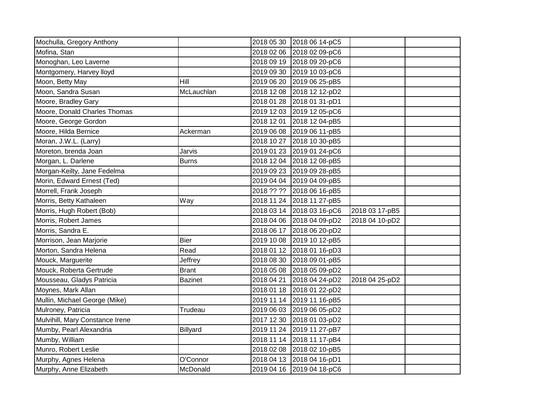| Mochulla, Gregory Anthony       |                | 2018 05 30 | 2018 06 14-pC5            |                |  |
|---------------------------------|----------------|------------|---------------------------|----------------|--|
| Mofina, Stan                    |                | 2018 02 06 | 2018 02 09-pC6            |                |  |
| Monoghan, Leo Laverne           |                |            | 2018 09 19 2018 09 20-pC6 |                |  |
| Montgomery, Harvey lloyd        |                | 2019 09 30 | 2019 10 03-pC6            |                |  |
| Moon, Betty May                 | Hill           | 2019 06 20 | 2019 06 25-pB5            |                |  |
| Moon, Sandra Susan              | McLauchlan     |            | 2018 12 08 2018 12 12-pD2 |                |  |
| Moore, Bradley Gary             |                | 2018 01 28 | 2018 01 31-pD1            |                |  |
| Moore, Donald Charles Thomas    |                | 2019 12 03 | 2019 12 05-pC6            |                |  |
| Moore, George Gordon            |                | 2018 12 01 | 2018 12 04-pB5            |                |  |
| Moore, Hilda Bernice            | Ackerman       |            | 2019 06 08 2019 06 11-pB5 |                |  |
| Moran, J.W.L. (Larry)           |                |            | 2018 10 27 2018 10 30-pB5 |                |  |
| Moreton, brenda Joan            | Jarvis         |            | 2019 01 23 2019 01 24-pC6 |                |  |
| Morgan, L. Darlene              | <b>Burns</b>   |            | 2018 12 04 2018 12 08-pB5 |                |  |
| Morgan-Keilty, Jane Fedelma     |                | 2019 09 23 | 2019 09 28-pB5            |                |  |
| Morin, Edward Ernest (Ted)      |                |            | 2019 04 04 2019 04 09-pB5 |                |  |
| Morrell, Frank Joseph           |                | 2018 ?? ?? | 2018 06 16-pB5            |                |  |
| Morris, Betty Kathaleen         | Way            |            | 2018 11 24 2018 11 27-pB5 |                |  |
| Morris, Hugh Robert (Bob)       |                |            | 2018 03 14 2018 03 16-pC6 | 2018 03 17-pB5 |  |
| Morris, Robert James            |                |            | 2018 04 06 2018 04 09-pD2 | 2018 04 10-pD2 |  |
| Morris, Sandra E.               |                | 2018 06 17 | 2018 06 20-pD2            |                |  |
| Morrison, Jean Marjorie         | Bier           |            | 2019 10 08 2019 10 12-pB5 |                |  |
| Morton, Sandra Helena           | Read           |            | 2018 01 12 2018 01 16-pD3 |                |  |
| Mouck, Marguerite               | Jeffrey        |            | 2018 08 30 2018 09 01-pB5 |                |  |
| Mouck, Roberta Gertrude         | <b>Brant</b>   | 2018 05 08 | 2018 05 09-pD2            |                |  |
| Mousseau, Gladys Patricia       | <b>Bazinet</b> | 2018 04 21 | 2018 04 24-pD2            | 2018 04 25-pD2 |  |
| Moynes, Mark Allan              |                |            | 2018 01 18 2018 01 22-pD2 |                |  |
| Mullin, Michael George (Mike)   |                |            | 2019 11 14 2019 11 16-pB5 |                |  |
| Mulroney, Patricia              | Trudeau        |            | 2019 06 03 2019 06 05-pD2 |                |  |
| Mulvihill, Mary Constance Irene |                | 2017 12 30 | 2018 01 03-pD2            |                |  |
| Mumby, Pearl Alexandria         | Billyard       |            | 2019 11 24 2019 11 27-pB7 |                |  |
| Mumby, William                  |                |            | 2018 11 14 2018 11 17-pB4 |                |  |
| Munro, Robert Leslie            |                | 2018 02 08 | 2018 02 10-pB5            |                |  |
| Murphy, Agnes Helena            | O'Connor       |            | 2018 04 13 2018 04 16-pD1 |                |  |
| Murphy, Anne Elizabeth          | McDonald       |            | 2019 04 16 2019 04 18-pC6 |                |  |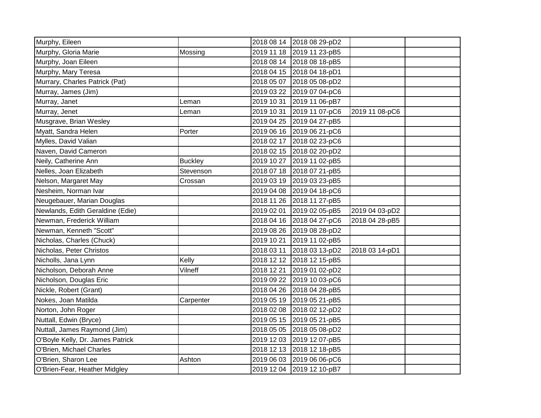| Murphy, Eileen                   |                |            | 2018 08 14 2018 08 29-pD2 |                |  |
|----------------------------------|----------------|------------|---------------------------|----------------|--|
| Murphy, Gloria Marie             | Mossing        | 2019 11 18 | 2019 11 23-pB5            |                |  |
| Murphy, Joan Eileen              |                |            | 2018 08 14 2018 08 18-pB5 |                |  |
| Murphy, Mary Teresa              |                |            | 2018 04 15 2018 04 18-pD1 |                |  |
| Murrary, Charles Patrick (Pat)   |                | 2018 05 07 | 2018 05 08-pD2            |                |  |
| Murray, James (Jim)              |                | 2019 03 22 | 2019 07 04-pC6            |                |  |
| Murray, Janet                    | Leman          | 2019 10 31 | 2019 11 06-pB7            |                |  |
| Murray, Jenet                    | Leman          | 2019 10 31 | 2019 11 07-pC6            | 2019 11 08-pC6 |  |
| Musgrave, Brian Wesley           |                | 2019 04 25 | 2019 04 27-pB5            |                |  |
| Myatt, Sandra Helen              | Porter         |            | 2019 06 16 2019 06 21-pC6 |                |  |
| Mylles, David Valian             |                | 2018 02 17 | 2018 02 23-pC6            |                |  |
| Naven, David Cameron             |                | 2018 02 15 | 2018 02 20-pD2            |                |  |
| Neily, Catherine Ann             | <b>Buckley</b> | 2019 10 27 | 2019 11 02-pB5            |                |  |
| Nelles, Joan Elizabeth           | Stevenson      | 2018 07 18 | 2018 07 21-pB5            |                |  |
| Nelson, Margaret May             | Crossan        | 2019 03 19 | 2019 03 23-pB5            |                |  |
| Nesheim, Norman Ivar             |                | 2019 04 08 | 2019 04 18-pC6            |                |  |
| Neugebauer, Marian Douglas       |                | 2018 11 26 | 2018 11 27-pB5            |                |  |
| Newlands, Edith Geraldine (Edie) |                | 2019 02 01 | 2019 02 05-pB5            | 2019 04 03-pD2 |  |
| Newman, Frederick William        |                | 2018 04 16 | 2018 04 27-pC6            | 2018 04 28-pB5 |  |
| Newman, Kenneth "Scott"          |                | 2019 08 26 | 2019 08 28-pD2            |                |  |
| Nicholas, Charles (Chuck)        |                | 2019 10 21 | 2019 11 02-pB5            |                |  |
| Nicholas, Peter Christos         |                | 2018 03 11 | 2018 03 13-pD2            | 2018 03 14-pD1 |  |
| Nicholls, Jana Lynn              | Kelly          |            | 2018 12 12 2018 12 15-pB5 |                |  |
| Nicholson, Deborah Anne          | Vilneff        | 2018 12 21 | 2019 01 02-pD2            |                |  |
| Nicholson, Douglas Eric          |                | 2019 09 22 | 2019 10 03-pC6            |                |  |
| Nickle, Robert (Grant)           |                | 2018 04 26 | 2018 04 28-pB5            |                |  |
| Nokes, Joan Matilda              | Carpenter      | 2019 05 19 | 2019 05 21-pB5            |                |  |
| Norton, John Roger               |                | 2018 02 08 | 2018 02 12-pD2            |                |  |
| Nuttall, Edwin (Bryce)           |                | 2019 05 15 | 2019 05 21-pB5            |                |  |
| Nuttall, James Raymond (Jim)     |                | 2018 05 05 | 2018 05 08-pD2            |                |  |
| O'Boyle Kelly, Dr. James Patrick |                | 2019 12 03 | 2019 12 07-pB5            |                |  |
| O'Brien, Michael Charles         |                | 2018 12 13 | 2018 12 18-pB5            |                |  |
| O'Brien, Sharon Lee              | Ashton         | 2019 06 03 | 2019 06 06-pC6            |                |  |
| O'Brien-Fear, Heather Midgley    |                |            | 2019 12 04 2019 12 10-pB7 |                |  |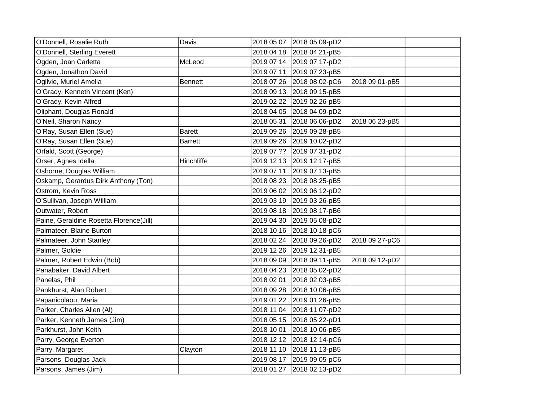| O'Donnell, Rosalie Ruth                 | Davis          |            | 2018 05 07 2018 05 09-pD2 |                |  |
|-----------------------------------------|----------------|------------|---------------------------|----------------|--|
| O'Donnell, Sterling Everett             |                |            | 2018 04 18 2018 04 21-pB5 |                |  |
| Ogden, Joan Carletta                    | McLeod         |            | 2019 07 14 2019 07 17-pD2 |                |  |
| Ogden, Jonathon David                   |                |            | 2019 07 11 2019 07 23-pB5 |                |  |
| Ogilvie, Muriel Amelia                  | Bennett        |            | 2018 07 26 2018 08 02-pC6 | 2018 09 01-pB5 |  |
| O'Grady, Kenneth Vincent (Ken)          |                |            | 2018 09 13 2018 09 15-pB5 |                |  |
| O'Grady, Kevin Alfred                   |                |            | 2019 02 22 2019 02 26-pB5 |                |  |
| Oliphant, Douglas Ronald                |                |            | 2018 04 05 2018 04 09-pD2 |                |  |
| O'Neil, Sharon Nancy                    |                | 2018 05 31 | 2018 06 06-pD2            | 2018 06 23-pB5 |  |
| O'Ray, Susan Ellen (Sue)                | <b>Barett</b>  |            | 2019 09 26 2019 09 28-pB5 |                |  |
| O'Ray, Susan Ellen (Sue)                | <b>Barrett</b> |            | 2019 09 26 2019 10 02-pD2 |                |  |
| Orfald, Scott (George)                  |                |            | 2019 07 ?? 2019 07 31-pD2 |                |  |
| Orser, Agnes Idella                     | Hinchliffe     |            | 2019 12 13 2019 12 17-pB5 |                |  |
| Osborne, Douglas William                |                | 2019 07 11 | 2019 07 13-pB5            |                |  |
| Oskamp, Gerardus Dirk Anthony (Ton)     |                | 2018 08 23 | 2018 08 25-pB5            |                |  |
| Ostrom, Kevin Ross                      |                |            | 2019 06 02 2019 06 12-pD2 |                |  |
| O'Sullivan, Joseph William              |                |            | 2019 03 19 2019 03 26-pB5 |                |  |
| Outwater, Robert                        |                |            | 2019 08 18 2019 08 17-pB6 |                |  |
| Paine, Geraldine Rosetta Florence(Jill) |                | 2019 04 30 | 2019 05 08-pD2            |                |  |
| Palmateer, Blaine Burton                |                |            | 2018 10 16 2018 10 18-pC6 |                |  |
| Palmateer, John Stanley                 |                |            | 2018 02 24 2018 09 26-pD2 | 2018 09 27-pC6 |  |
| Palmer, Goldie                          |                |            | 2019 12 26 2019 12 31-pB5 |                |  |
| Palmer, Robert Edwin (Bob)              |                |            | 2018 09 09 2018 09 11-pB5 | 2018 09 12-pD2 |  |
| Panabaker, David Albert                 |                |            | 2018 04 23 2018 05 02-pD2 |                |  |
| Panelas, Phil                           |                | 2018 02 01 | 2018 02 03-pB5            |                |  |
| Pankhurst, Alan Robert                  |                |            | 2018 09 28 2018 10 06-pB5 |                |  |
| Papanicolaou, Maria                     |                |            | 2019 01 22 2019 01 26-pB5 |                |  |
| Parker, Charles Allen (Al)              |                |            | 2018 11 04 2018 11 07-pD2 |                |  |
| Parker, Kenneth James (Jim)             |                |            | 2018 05 15 2018 05 22-pD1 |                |  |
| Parkhurst, John Keith                   |                |            | 2018 10 01 2018 10 06-pB5 |                |  |
| Parry, George Everton                   |                |            | 2018 12 12 2018 12 14-pC6 |                |  |
| Parry, Margaret                         | Clayton        |            | 2018 11 10 2018 11 13-pB5 |                |  |
| Parsons, Douglas Jack                   |                |            | 2019 08 17 2019 09 05-pC6 |                |  |
| Parsons, James (Jim)                    |                |            | 2018 01 27 2018 02 13-pD2 |                |  |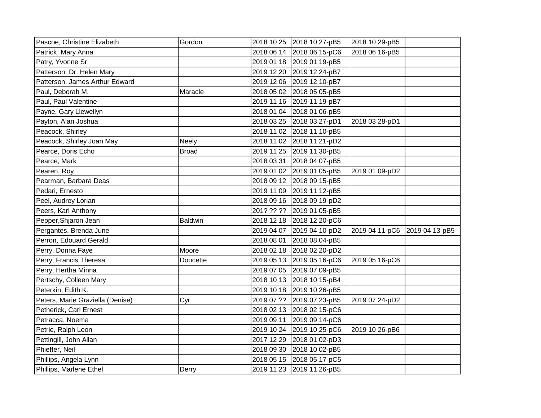| Pascoe, Christine Elizabeth      | Gordon         |            | 2018 10 25 2018 10 27-pB5 | 2018 10 29-pB5 |                |
|----------------------------------|----------------|------------|---------------------------|----------------|----------------|
| Patrick, Mary Anna               |                |            | 2018 06 14 2018 06 15-pC6 | 2018 06 16-pB5 |                |
| Patry, Yvonne Sr.                |                |            | 2019 01 18 2019 01 19-pB5 |                |                |
| Patterson, Dr. Helen Mary        |                |            | 2019 12 20 2019 12 24-pB7 |                |                |
| Patterson, James Arthur Edward   |                |            | 2019 12 06 2019 12 10-pB7 |                |                |
| Paul, Deborah M.                 | Maracle        |            | 2018 05 02 2018 05 05-pB5 |                |                |
| Paul, Paul Valentine             |                | 2019 11 16 | 2019 11 19-pB7            |                |                |
| Payne, Gary Llewellyn            |                | 2018 01 04 | 2018 01 06-pB5            |                |                |
| Payton, Alan Joshua              |                | 2018 03 25 | 2018 03 27-pD1            | 2018 03 28-pD1 |                |
| Peacock, Shirley                 |                |            | 2018 11 02 2018 11 10-pB5 |                |                |
| Peacock, Shirley Joan May        | <b>Neely</b>   | 2018 11 02 | 2018 11 21-pD2            |                |                |
| Pearce, Doris Echo               | <b>Broad</b>   |            | 2019 11 25 2019 11 30-pB5 |                |                |
| Pearce, Mark                     |                | 2018 03 31 | 2018 04 07-pB5            |                |                |
| Pearen, Roy                      |                | 2019 01 02 | 2019 01 05-pB5            | 2019 01 09-pD2 |                |
| Pearman, Barbara Deas            |                |            | 2018 09 12 2018 09 15-pB5 |                |                |
| Pedari, Ernesto                  |                |            | 2019 11 09 2019 11 12-pB5 |                |                |
| Peel, Audrey Lorian              |                |            | 2018 09 16 2018 09 19-pD2 |                |                |
| Peers, Karl Anthony              |                |            | 201? ?? ?? 2019 01 05-pB5 |                |                |
| Pepper, Shjaron Jean             | <b>Baldwin</b> |            | 2018 12 18 2018 12 20-pC6 |                |                |
| Pergantes, Brenda June           |                | 2019 04 07 | 2019 04 10-pD2            | 2019 04 11-pC6 | 2019 04 13-pB5 |
| Perron, Edouard Gerald           |                | 2018 08 01 | 2018 08 04-pB5            |                |                |
| Perry, Donna Faye                | Moore          |            | 2018 02 18 2018 02 20-pD2 |                |                |
| Perry, Francis Theresa           | Doucette       |            | 2019 05 13 2019 05 16-pC6 | 2019 05 16-pC6 |                |
| Perry, Hertha Minna              |                |            | 2019 07 05 2019 07 09-pB5 |                |                |
| Pertschy, Colleen Mary           |                |            | 2018 10 13 2018 10 15-pB4 |                |                |
| Peterkin, Edith K.               |                |            | 2019 10 18 2019 10 26-pB5 |                |                |
| Peters, Marie Graziella (Denise) | Cyr            |            | 2019 07 ?? 2019 07 23-pB5 | 2019 07 24-pD2 |                |
| Petherick, Carl Ernest           |                |            | 2018 02 13 2018 02 15-pC6 |                |                |
| Petracca, Noema                  |                |            | 2019 09 11 2019 09 14-pC6 |                |                |
| Petrie, Ralph Leon               |                |            | 2019 10 24 2019 10 25-pC6 | 2019 10 26-pB6 |                |
| Pettingill, John Allan           |                | 2017 12 29 | 2018 01 02-pD3            |                |                |
| Phieffer, Neil                   |                | 2018 09 30 | 2018 10 02-pB5            |                |                |
| Phillips, Angela Lynn            |                | 2018 05 15 | 2018 05 17-pC5            |                |                |
| Phillips, Marlene Ethel          | Derry          | 2019 11 23 | 2019 11 26-pB5            |                |                |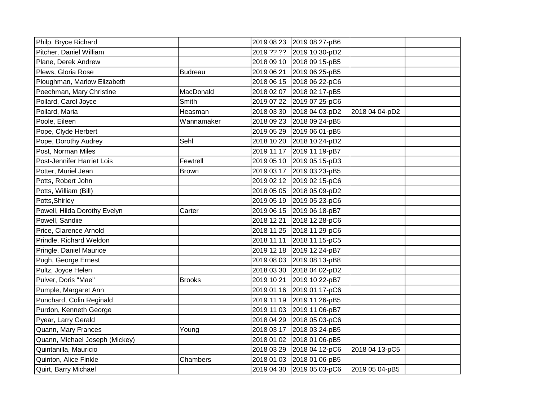| Philp, Bryce Richard           |                |            | 2019 08 23 2019 08 27-pB6 |                |  |
|--------------------------------|----------------|------------|---------------------------|----------------|--|
| Pitcher, Daniel William        |                | 2019 ?? ?? | 2019 10 30-pD2            |                |  |
| Plane, Derek Andrew            |                | 2018 09 10 | 2018 09 15-pB5            |                |  |
| Plews, Gloria Rose             | <b>Budreau</b> | 2019 06 21 | 2019 06 25-pB5            |                |  |
| Ploughman, Marlow Elizabeth    |                |            | 2018 06 15 2018 06 22-pC6 |                |  |
| Poechman, Mary Christine       | MacDonald      | 2018 02 07 | 2018 02 17-pB5            |                |  |
| Pollard, Carol Joyce           | Smith          | 2019 07 22 | 2019 07 25-pC6            |                |  |
| Pollard, Maria                 | Heasman        | 2018 03 30 | 2018 04 03-pD2            | 2018 04 04-pD2 |  |
| Poole, Eileen                  | Wannamaker     | 2018 09 23 | 2018 09 24-pB5            |                |  |
| Pope, Clyde Herbert            |                | 2019 05 29 | 2019 06 01-pB5            |                |  |
| Pope, Dorothy Audrey           | Sehl           | 2018 10 20 | 2018 10 24-pD2            |                |  |
| Post, Norman Miles             |                | 2019 11 17 | 2019 11 19-pB7            |                |  |
| Post-Jennifer Harriet Lois     | Fewtrell       |            | 2019 05 10 2019 05 15-pD3 |                |  |
| Potter, Muriel Jean            | <b>Brown</b>   | 2019 03 17 | 2019 03 23-pB5            |                |  |
| Potts, Robert John             |                | 2019 02 12 | 2019 02 15-pC6            |                |  |
| Potts, William (Bill)          |                | 2018 05 05 | 2018 05 09-pD2            |                |  |
| Potts, Shirley                 |                |            | 2019 05 19 2019 05 23-pC6 |                |  |
| Powell, Hilda Dorothy Evelyn   | Carter         |            | 2019 06 15 2019 06 18-pB7 |                |  |
| Powell, Sandiie                |                | 2018 12 21 | 2018 12 28-pC6            |                |  |
| Price, Clarence Arnold         |                | 2018 11 25 | 2018 11 29-pC6            |                |  |
| Prindle, Richard Weldon        |                | 2018 11 11 | 2018 11 15-pC5            |                |  |
| Pringle, Daniel Maurice        |                | 2019 12 18 | 2019 12 24-pB7            |                |  |
| Pugh, George Ernest            |                | 2019 08 03 | 2019 08 13-pB8            |                |  |
| Pultz, Joyce Helen             |                | 2018 03 30 | 2018 04 02-pD2            |                |  |
| Pulver, Doris "Mae"            | <b>Brooks</b>  | 2019 10 21 | 2019 10 22-pB7            |                |  |
| Pumple, Margaret Ann           |                | 2019 01 16 | 2019 01 17-pC6            |                |  |
| Punchard, Colin Reginald       |                | 2019 11 19 | 2019 11 26-pB5            |                |  |
| Purdon, Kenneth George         |                | 2019 11 03 | 2019 11 06-pB7            |                |  |
| Pyear, Larry Gerald            |                | 2018 04 29 | 2018 05 03-pC6            |                |  |
| Quann, Mary Frances            | Young          | 2018 03 17 | 2018 03 24-pB5            |                |  |
| Quann, Michael Joseph (Mickey) |                | 2018 01 02 | 2018 01 06-pB5            |                |  |
| Quintanilla, Mauricio          |                | 2018 03 29 | 2018 04 12-pC6            | 2018 04 13-pC5 |  |
| Quinton, Alice Finkle          | Chambers       | 2018 01 03 | 2018 01 06-pB5            |                |  |
| Quirt, Barry Michael           |                | 2019 04 30 | 2019 05 03-pC6            | 2019 05 04-pB5 |  |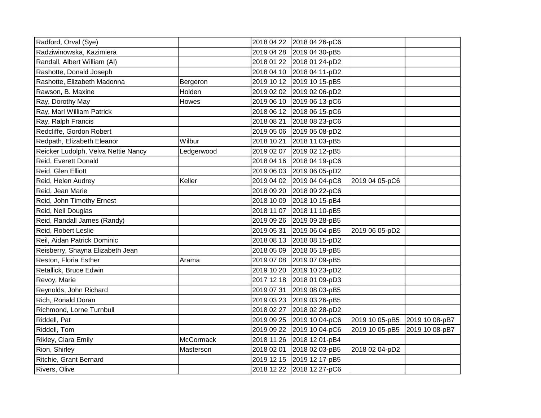| Radford, Orval (Sye)                |                  | 2018 04 22 | 2018 04 26-pC6 |                |                |
|-------------------------------------|------------------|------------|----------------|----------------|----------------|
| Radziwinowska, Kazimiera            |                  | 2019 04 28 | 2019 04 30-pB5 |                |                |
| Randall, Albert William (Al)        |                  | 2018 01 22 | 2018 01 24-pD2 |                |                |
| Rashotte, Donald Joseph             |                  | 2018 04 10 | 2018 04 11-pD2 |                |                |
| Rashotte, Elizabeth Madonna         | Bergeron         | 2019 10 12 | 2019 10 15-pB5 |                |                |
| Rawson, B. Maxine                   | Holden           | 2019 02 02 | 2019 02 06-pD2 |                |                |
| Ray, Dorothy May                    | Howes            | 2019 06 10 | 2019 06 13-pC6 |                |                |
| Ray, Marl William Patrick           |                  | 2018 06 12 | 2018 06 15-pC6 |                |                |
| Ray, Ralph Francis                  |                  | 2018 08 21 | 2018 08 23-pC6 |                |                |
| Redcliffe, Gordon Robert            |                  | 2019 05 06 | 2019 05 08-pD2 |                |                |
| Redpath, Elizabeth Eleanor          | Wilbur           | 2018 10 21 | 2018 11 03-pB5 |                |                |
| Reicker Ludolph, Velva Nettie Nancy | Ledgerwood       | 2019 02 07 | 2019 02 12-pB5 |                |                |
| Reid, Everett Donald                |                  | 2018 04 16 | 2018 04 19-pC6 |                |                |
| Reid, Glen Elliott                  |                  | 2019 06 03 | 2019 06 05-pD2 |                |                |
| Reid, Helen Audrey                  | Keller           | 2019 04 02 | 2019 04 04-pC8 | 2019 04 05-pC6 |                |
| Reid, Jean Marie                    |                  | 2018 09 20 | 2018 09 22-pC6 |                |                |
| Reid, John Timothy Ernest           |                  | 2018 10 09 | 2018 10 15-pB4 |                |                |
| Reid, Neil Douglas                  |                  | 2018 11 07 | 2018 11 10-pB5 |                |                |
| Reid, Randall James (Randy)         |                  | 2019 09 26 | 2019 09 28-pB5 |                |                |
| Reid, Robert Leslie                 |                  | 2019 05 31 | 2019 06 04-pB5 | 2019 06 05-pD2 |                |
| Reil, Aidan Patrick Dominic         |                  | 2018 08 13 | 2018 08 15-pD2 |                |                |
| Reisberry, Shayna Elizabeth Jean    |                  | 2018 05 09 | 2018 05 19-pB5 |                |                |
| Reston, Floria Esther               | Arama            | 2019 07 08 | 2019 07 09-pB5 |                |                |
| Retallick, Bruce Edwin              |                  | 2019 10 20 | 2019 10 23-pD2 |                |                |
| Revoy, Marie                        |                  | 2017 12 18 | 2018 01 09-pD3 |                |                |
| Reynolds, John Richard              |                  | 2019 07 31 | 2019 08 03-pB5 |                |                |
| Rich, Ronald Doran                  |                  | 2019 03 23 | 2019 03 26-pB5 |                |                |
| Richmond, Lorne Turnbull            |                  | 2018 02 27 | 2018 02 28-pD2 |                |                |
| Riddell, Pat                        |                  | 2019 09 25 | 2019 10 04-pC6 | 2019 10 05-pB5 | 2019 10 08-pB7 |
| Riddell, Tom                        |                  | 2019 09 22 | 2019 10 04-pC6 | 2019 10 05-pB5 | 2019 10 08-pB7 |
| Rikley, Clara Emily                 | <b>McCormack</b> | 2018 11 26 | 2018 12 01-pB4 |                |                |
| Rion, Shirley                       | Masterson        | 2018 02 01 | 2018 02 03-pB5 | 2018 02 04-pD2 |                |
| Ritchie, Grant Bernard              |                  | 2019 12 15 | 2019 12 17-pB5 |                |                |
| Rivers, Olive                       |                  | 2018 12 22 | 2018 12 27-pC6 |                |                |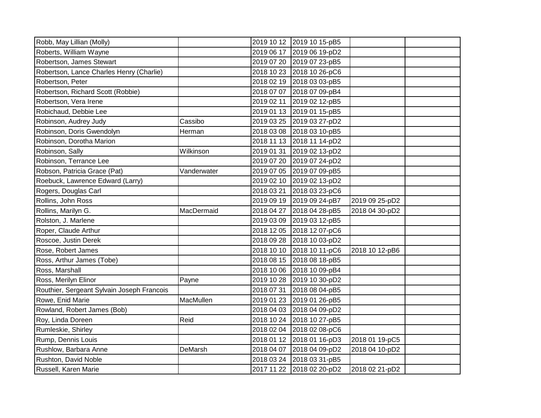| Robb, May Lillian (Molly)                  |             |            | 2019 10 12 2019 10 15-pB5 |                |  |
|--------------------------------------------|-------------|------------|---------------------------|----------------|--|
| Roberts, William Wayne                     |             | 2019 06 17 | 2019 06 19-pD2            |                |  |
| Robertson, James Stewart                   |             | 2019 07 20 | 2019 07 23-pB5            |                |  |
| Robertson, Lance Charles Henry (Charlie)   |             | 2018 10 23 | 2018 10 26-pC6            |                |  |
| Robertson, Peter                           |             | 2018 02 19 | 2018 03 03-pB5            |                |  |
| Robertson, Richard Scott (Robbie)          |             | 2018 07 07 | 2018 07 09-pB4            |                |  |
| Robertson, Vera Irene                      |             | 2019 02 11 | 2019 02 12-pB5            |                |  |
| Robichaud, Debbie Lee                      |             | 2019 01 13 | 2019 01 15-pB5            |                |  |
| Robinson, Audrey Judy                      | Cassibo     | 2019 03 25 | 2019 03 27-pD2            |                |  |
| Robinson, Doris Gwendolyn                  | Herman      | 2018 03 08 | 2018 03 10-pB5            |                |  |
| Robinson, Dorotha Marion                   |             | 2018 11 13 | 2018 11 14-pD2            |                |  |
| Robinson, Sally                            | Wilkinson   | 2019 01 31 | 2019 02 13-pD2            |                |  |
| Robinson, Terrance Lee                     |             | 2019 07 20 | 2019 07 24-pD2            |                |  |
| Robson, Patricia Grace (Pat)               | Vanderwater | 2019 07 05 | 2019 07 09-pB5            |                |  |
| Roebuck, Lawrence Edward (Larry)           |             | 2019 02 10 | 2019 02 13-pD2            |                |  |
| Rogers, Douglas Carl                       |             | 2018 03 21 | 2018 03 23-pC6            |                |  |
| Rollins, John Ross                         |             | 2019 09 19 | 2019 09 24-pB7            | 2019 09 25-pD2 |  |
| Rollins, Marilyn G.                        | MacDermaid  | 2018 04 27 | 2018 04 28-pB5            | 2018 04 30-pD2 |  |
| Rolston, J. Marlene                        |             | 2019 03 09 | 2019 03 12-pB5            |                |  |
| Roper, Claude Arthur                       |             | 2018 12 05 | 2018 12 07-pC6            |                |  |
| Roscoe, Justin Derek                       |             | 2018 09 28 | 2018 10 03-pD2            |                |  |
| Rose, Robert James                         |             | 2018 10 10 | 2018 10 11-pC6            | 2018 10 12-pB6 |  |
| Ross, Arthur James (Tobe)                  |             | 2018 08 15 | 2018 08 18-pB5            |                |  |
| Ross, Marshall                             |             | 2018 10 06 | 2018 10 09-pB4            |                |  |
| Ross, Merilyn Elinor                       | Payne       | 2019 10 28 | 2019 10 30-pD2            |                |  |
| Routhier, Sergeant Sylvain Joseph Francois |             | 2018 07 31 | 2018 08 04-pB5            |                |  |
| Rowe, Enid Marie                           | MacMullen   | 2019 01 23 | 2019 01 26-pB5            |                |  |
| Rowland, Robert James (Bob)                |             | 2018 04 03 | 2018 04 09-pD2            |                |  |
| Roy, Linda Doreen                          | Reid        | 2018 10 24 | 2018 10 27-pB5            |                |  |
| Rumleskie, Shirley                         |             | 2018 02 04 | 2018 02 08-pC6            |                |  |
| Rump, Dennis Louis                         |             | 2018 01 12 | 2018 01 16-pD3            | 2018 01 19-pC5 |  |
| Rushlow, Barbara Anne                      | DeMarsh     | 2018 04 07 | 2018 04 09-pD2            | 2018 04 10-pD2 |  |
| Rushton, David Noble                       |             | 2018 03 24 | 2018 03 31-pB5            |                |  |
| Russell, Karen Marie                       |             | 2017 11 22 | 2018 02 20-pD2            | 2018 02 21-pD2 |  |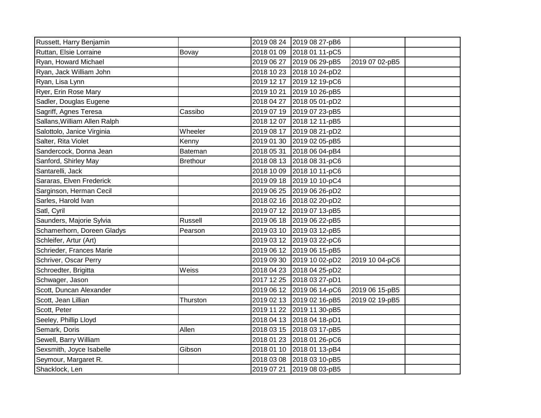| Russett, Harry Benjamin      |                 |            | 2019 08 24 2019 08 27-pB6 |                |  |
|------------------------------|-----------------|------------|---------------------------|----------------|--|
| Ruttan, Elsie Lorraine       | Bovay           | 2018 01 09 | 2018 01 11-pC5            |                |  |
| Ryan, Howard Michael         |                 |            | 2019 06 27 2019 06 29-pB5 | 2019 07 02-pB5 |  |
| Ryan, Jack William John      |                 |            | 2018 10 23 2018 10 24-pD2 |                |  |
| Ryan, Lisa Lynn              |                 |            | 2019 12 17 2019 12 19-pC6 |                |  |
| Ryer, Erin Rose Mary         |                 |            | 2019 10 21 2019 10 26-pB5 |                |  |
| Sadler, Douglas Eugene       |                 |            | 2018 04 27 2018 05 01-pD2 |                |  |
| Sagriff, Agnes Teresa        | Cassibo         |            | 2019 07 19 2019 07 23-pB5 |                |  |
| Sallans, William Allen Ralph |                 |            | 2018 12 07 2018 12 11-pB5 |                |  |
| Salottolo, Janice Virginia   | Wheeler         |            | 2019 08 17 2019 08 21-pD2 |                |  |
| Salter, Rita Violet          | Kenny           |            | 2019 01 30 2019 02 05-pB5 |                |  |
| Sandercock, Donna Jean       | Bateman         | 2018 05 31 | 2018 06 04-pB4            |                |  |
| Sanford, Shirley May         | <b>Brethour</b> |            | 2018 08 13 2018 08 31-pC6 |                |  |
| Santarelli, Jack             |                 | 2018 10 09 | 2018 10 11-pC6            |                |  |
| Sararas, Elven Frederick     |                 |            | 2019 09 18 2019 10 10-pC4 |                |  |
| Sarginson, Herman Cecil      |                 |            | 2019 06 25 2019 06 26-pD2 |                |  |
| Sarles, Harold Ivan          |                 |            | 2018 02 16 2018 02 20-pD2 |                |  |
| Satl, Cyril                  |                 |            | 2019 07 12 2019 07 13-pB5 |                |  |
| Saunders, Majorie Sylvia     | Russell         |            | 2019 06 18 2019 06 22-pB5 |                |  |
| Schamerhorn, Doreen Gladys   | Pearson         |            | 2019 03 10 2019 03 12-pB5 |                |  |
| Schleifer, Artur (Art)       |                 |            | 2019 03 12 2019 03 22-pC6 |                |  |
| Schrieder, Frances Marie     |                 |            | 2019 06 12 2019 06 15-pB5 |                |  |
| Schriver, Oscar Perry        |                 |            | 2019 09 30 2019 10 02-pD2 | 2019 10 04-pC6 |  |
| Schroedter, Brigitta         | Weiss           |            | 2018 04 23 2018 04 25-pD2 |                |  |
| Schwager, Jason              |                 |            | 2017 12 25 2018 03 27-pD1 |                |  |
| Scott, Duncan Alexander      |                 |            | 2019 06 12 2019 06 14-pC6 | 2019 06 15-pB5 |  |
| Scott, Jean Lillian          | Thurston        |            | 2019 02 13 2019 02 16-pB5 | 2019 02 19-pB5 |  |
| Scott, Peter                 |                 | 2019 11 22 | 2019 11 30-pB5            |                |  |
| Seeley, Phillip Lloyd        |                 |            | 2018 04 13 2018 04 18-pD1 |                |  |
| Semark, Doris                | Allen           |            | 2018 03 15 2018 03 17-pB5 |                |  |
| Sewell, Barry William        |                 | 2018 01 23 | 2018 01 26-pC6            |                |  |
| Sexsmith, Joyce Isabelle     | Gibson          | 2018 01 10 | 2018 01 13-pB4            |                |  |
| Seymour, Margaret R.         |                 |            | 2018 03 08 2018 03 10-pB5 |                |  |
| Shacklock, Len               |                 |            | 2019 07 21 2019 08 03-pB5 |                |  |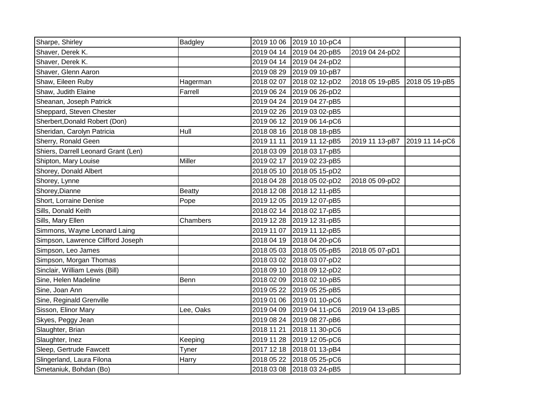| Sharpe, Shirley                     | Badgley       | 2019 10 06 | 2019 10 10-pC4 |                |                |
|-------------------------------------|---------------|------------|----------------|----------------|----------------|
| Shaver, Derek K.                    |               | 2019 04 14 | 2019 04 20-pB5 | 2019 04 24-pD2 |                |
| Shaver, Derek K.                    |               | 2019 04 14 | 2019 04 24-pD2 |                |                |
| Shaver, Glenn Aaron                 |               | 2019 08 29 | 2019 09 10-pB7 |                |                |
| Shaw, Eileen Ruby                   | Hagerman      | 2018 02 07 | 2018 02 12-pD2 | 2018 05 19-pB5 | 2018 05 19-pB5 |
| Shaw, Judith Elaine                 | Farrell       | 2019 06 24 | 2019 06 26-pD2 |                |                |
| Sheanan, Joseph Patrick             |               | 2019 04 24 | 2019 04 27-pB5 |                |                |
| Sheppard, Steven Chester            |               | 2019 02 26 | 2019 03 02-pB5 |                |                |
| Sherbert, Donald Robert (Don)       |               | 2019 06 12 | 2019 06 14-pC6 |                |                |
| Sheridan, Carolyn Patricia          | Hull          | 2018 08 16 | 2018 08 18-pB5 |                |                |
| Sherry, Ronald Geen                 |               | 2019 11 11 | 2019 11 12-pB5 | 2019 11 13-pB7 | 2019 11 14-pC6 |
| Shiers, Darrell Leonard Grant (Len) |               | 2018 03 09 | 2018 03 17-pB5 |                |                |
| Shipton, Mary Louise                | Miller        | 2019 02 17 | 2019 02 23-pB5 |                |                |
| Shorey, Donald Albert               |               | 2018 05 10 | 2018 05 15-pD2 |                |                |
| Shorey, Lynne                       |               | 2018 04 28 | 2018 05 02-pD2 | 2018 05 09-pD2 |                |
| Shorey, Dianne                      | <b>Beatty</b> | 2018 12 08 | 2018 12 11-pB5 |                |                |
| Short, Lorraine Denise              | Pope          | 2019 12 05 | 2019 12 07-pB5 |                |                |
| Sills, Donald Keith                 |               | 2018 02 14 | 2018 02 17-pB5 |                |                |
| Sills, Mary Ellen                   | Chambers      | 2019 12 28 | 2019 12 31-pB5 |                |                |
| Simmons, Wayne Leonard Laing        |               | 2019 11 07 | 2019 11 12-pB5 |                |                |
| Simpson, Lawrence Clifford Joseph   |               | 2018 04 19 | 2018 04 20-pC6 |                |                |
| Simpson, Leo James                  |               | 2018 05 03 | 2018 05 05-pB5 | 2018 05 07-pD1 |                |
| Simpson, Morgan Thomas              |               | 2018 03 02 | 2018 03 07-pD2 |                |                |
| Sinclair, William Lewis (Bill)      |               | 2018 09 10 | 2018 09 12-pD2 |                |                |
| Sine, Helen Madeline                | Benn          | 2018 02 09 | 2018 02 10-pB5 |                |                |
| Sine, Joan Ann                      |               | 2019 05 22 | 2019 05 25-pB5 |                |                |
| Sine, Reginald Grenville            |               | 2019 01 06 | 2019 01 10-pC6 |                |                |
| Sisson, Elinor Mary                 | Lee, Oaks     | 2019 04 09 | 2019 04 11-pC6 | 2019 04 13-pB5 |                |
| Skyes, Peggy Jean                   |               | 2019 08 24 | 2019 08 27-pB6 |                |                |
| Slaughter, Brian                    |               | 2018 11 21 | 2018 11 30-pC6 |                |                |
| Slaughter, Inez                     | Keeping       | 2019 11 28 | 2019 12 05-pC6 |                |                |
| Sleep, Gertrude Fawcett             | Tyner         | 2017 12 18 | 2018 01 13-pB4 |                |                |
| Slingerland, Laura Filona           | Harry         | 2018 05 22 | 2018 05 25-pC6 |                |                |
| Smetaniuk, Bohdan (Bo)              |               | 2018 03 08 | 2018 03 24-pB5 |                |                |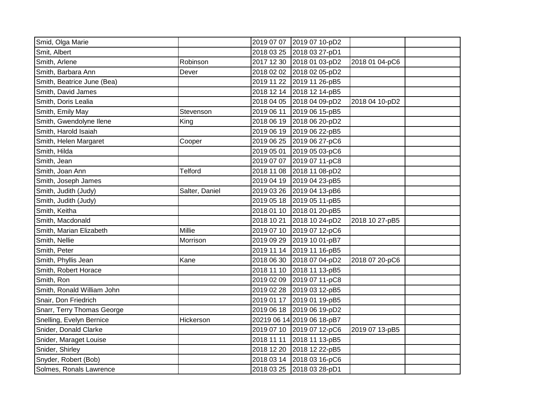| Smid, Olga Marie           |                |            | 2019 07 07 2019 07 10-pD2  |                |  |
|----------------------------|----------------|------------|----------------------------|----------------|--|
| Smit, Albert               |                |            | 2018 03 25 2018 03 27-pD1  |                |  |
| Smith, Arlene              | Robinson       | 2017 12 30 | 2018 01 03-pD2             | 2018 01 04-pC6 |  |
| Smith, Barbara Ann         | Dever          |            | 2018 02 02 2018 02 05-pD2  |                |  |
| Smith, Beatrice June (Bea) |                | 2019 11 22 | 2019 11 26-pB5             |                |  |
| Smith, David James         |                | 2018 12 14 | 2018 12 14-pB5             |                |  |
| Smith, Doris Lealia        |                |            | 2018 04 05 2018 04 09-pD2  | 2018 04 10-pD2 |  |
| Smith, Emily May           | Stevenson      | 2019 06 11 | 2019 06 15-pB5             |                |  |
| Smith, Gwendolyne Ilene    | King           | 2018 06 19 | 2018 06 20-pD2             |                |  |
| Smith, Harold Isaiah       |                | 2019 06 19 | 2019 06 22-pB5             |                |  |
| Smith, Helen Margaret      | Cooper         | 2019 06 25 | 2019 06 27-pC6             |                |  |
| Smith, Hilda               |                | 2019 05 01 | 2019 05 03-pC6             |                |  |
| Smith, Jean                |                | 2019 07 07 | 2019 07 11-pC8             |                |  |
| Smith, Joan Ann            | Telford        | 2018 11 08 | 2018 11 08-pD2             |                |  |
| Smith, Joseph James        |                | 2019 04 19 | 2019 04 23-pB5             |                |  |
| Smith, Judith (Judy)       | Salter, Daniel | 2019 03 26 | 2019 04 13-pB6             |                |  |
| Smith, Judith (Judy)       |                | 2019 05 18 | 2019 05 11-pB5             |                |  |
| Smith, Keitha              |                | 2018 01 10 | 2018 01 20-pB5             |                |  |
| Smith, Macdonald           |                | 2018 10 21 | 2018 10 24-pD2             | 2018 10 27-pB5 |  |
| Smith, Marian Elizabeth    | Millie         | 2019 07 10 | 2019 07 12-pC6             |                |  |
| Smith, Nellie              | Morrison       | 2019 09 29 | 2019 10 01-pB7             |                |  |
| Smith, Peter               |                |            | 2019 11 14 2019 11 16-pB5  |                |  |
| Smith, Phyllis Jean        | Kane           | 2018 06 30 | 2018 07 04-pD2             | 2018 07 20-pC6 |  |
| Smith, Robert Horace       |                | 2018 11 10 | 2018 11 13-pB5             |                |  |
| Smith, Ron                 |                | 2019 02 09 | 2019 07 11-pC8             |                |  |
| Smith, Ronald William John |                | 2019 02 28 | 2019 03 12-pB5             |                |  |
| Snair, Don Friedrich       |                |            | 2019 01 17 2019 01 19-pB5  |                |  |
| Snarr, Terry Thomas George |                | 2019 06 18 | 2019 06 19-pD2             |                |  |
| Snelling, Evelyn Bernice   | Hickerson      |            | 20219 06 14 2019 06 18-pB7 |                |  |
| Snider, Donald Clarke      |                |            | 2019 07 10 2019 07 12-pC6  | 2019 07 13-pB5 |  |
| Snider, Maraget Louise     |                | 2018 11 11 | 2018 11 13-pB5             |                |  |
| Snider, Shirley            |                | 2018 12 20 | 2018 12 22-pB5             |                |  |
| Snyder, Robert (Bob)       |                |            | 2018 03 14 2018 03 16-pC6  |                |  |
| Solmes, Ronals Lawrence    |                |            | 2018 03 25 2018 03 28-pD1  |                |  |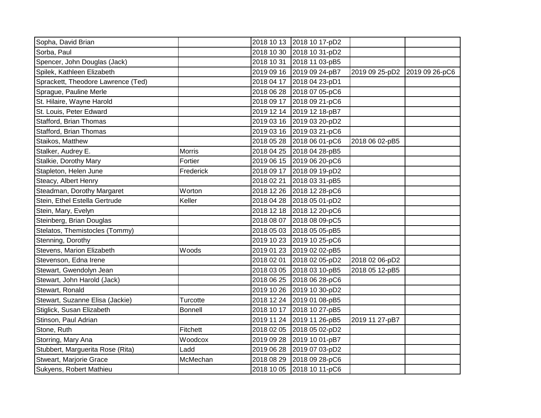| Sopha, David Brian                 |                |            | 2018 10 13 2018 10 17-pD2 |                |                |
|------------------------------------|----------------|------------|---------------------------|----------------|----------------|
| Sorba, Paul                        |                |            | 2018 10 30 2018 10 31-pD2 |                |                |
| Spencer, John Douglas (Jack)       |                | 2018 10 31 | 2018 11 03-pB5            |                |                |
| Spilek, Kathleen Elizabeth         |                |            | 2019 09 16 2019 09 24-pB7 | 2019 09 25-pD2 | 2019 09 26-pC6 |
| Sprackett, Theodore Lawrence (Ted) |                |            | 2018 04 17 2018 04 23-pD1 |                |                |
| Sprague, Pauline Merle             |                |            | 2018 06 28 2018 07 05-pC6 |                |                |
| St. Hilaire, Wayne Harold          |                |            | 2018 09 17 2018 09 21-pC6 |                |                |
| St. Louis, Peter Edward            |                |            | 2019 12 14 2019 12 18-pB7 |                |                |
| Stafford, Brian Thomas             |                |            | 2019 03 16 2019 03 20-pD2 |                |                |
| Stafford, Brian Thomas             |                |            | 2019 03 16 2019 03 21-pC6 |                |                |
| Staikos, Matthew                   |                |            | 2018 05 28 2018 06 01-pC6 | 2018 06 02-pB5 |                |
| Stalker, Audrey E.                 | Morris         |            | 2018 04 25 2018 04 28-pB5 |                |                |
| Stalkie, Dorothy Mary              | Fortier        |            | 2019 06 15 2019 06 20-pC6 |                |                |
| Stapleton, Helen June              | Frederick      | 2018 09 17 | 2018 09 19-pD2            |                |                |
| Steacy, Albert Henry               |                | 2018 02 21 | 2018 03 31-pB5            |                |                |
| Steadman, Dorothy Margaret         | Worton         | 2018 12 26 | 2018 12 28-pC6            |                |                |
| Stein, Ethel Estella Gertrude      | Keller         |            | 2018 04 28 2018 05 01-pD2 |                |                |
| Stein, Mary, Evelyn                |                |            | 2018 12 18 2018 12 20-pC6 |                |                |
| Steinberg, Brian Douglas           |                | 2018 08 07 | 2018 08 09-pC5            |                |                |
| Stelatos, Themistocles (Tommy)     |                |            | 2018 05 03 2018 05 05-pB5 |                |                |
| Stenning, Dorothy                  |                |            | 2019 10 23 2019 10 25-pC6 |                |                |
| Stevens, Marion Elizabeth          | Woods          |            | 2019 01 23 2019 02 02-pB5 |                |                |
| Stevenson, Edna Irene              |                | 2018 02 01 | 2018 02 05-pD2            | 2018 02 06-pD2 |                |
| Stewart, Gwendolyn Jean            |                |            | 2018 03 05 2018 03 10-pB5 | 2018 05 12-pB5 |                |
| Stewart, John Harold (Jack)        |                |            | 2018 06 25 2018 06 28-pC6 |                |                |
| Stewart, Ronald                    |                | 2019 10 26 | 2019 10 30-pD2            |                |                |
| Stewart, Suzanne Elisa (Jackie)    | Turcotte       |            | 2018 12 24 2019 01 08-pB5 |                |                |
| Stiglick, Susan Elizabeth          | <b>Bonnell</b> | 2018 10 17 | 2018 10 27-pB5            |                |                |
| Stinson, Paul Adrian               |                | 2019 11 24 | 2019 11 26-pB5            | 2019 11 27-pB7 |                |
| Stone, Ruth                        | Fitchett       |            | 2018 02 05 2018 05 02-pD2 |                |                |
| Storring, Mary Ana                 | Woodcox        | 2019 09 28 | 2019 10 01-pB7            |                |                |
| Stubbert, Marguerita Rose (Rita)   | Ladd           |            | 2019 06 28 2019 07 03-pD2 |                |                |
| Stweart, Marjorie Grace            | McMechan       |            | 2018 08 29 2018 09 28-pC6 |                |                |
| Sukyens, Robert Mathieu            |                |            | 2018 10 05 2018 10 11-pC6 |                |                |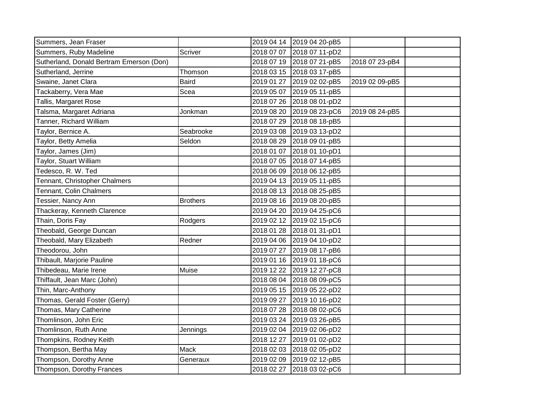| Summers, Jean Fraser                     |                 |            | 2019 04 14 2019 04 20-pB5 |                |  |
|------------------------------------------|-----------------|------------|---------------------------|----------------|--|
| Summers, Ruby Madeline                   | Scriver         |            | 2018 07 07 2018 07 11-pD2 |                |  |
| Sutherland, Donald Bertram Emerson (Don) |                 |            | 2018 07 19 2018 07 21-pB5 | 2018 07 23-pB4 |  |
| Sutherland, Jerrine                      | Thomson         |            | 2018 03 15 2018 03 17-pB5 |                |  |
| Swaine, Janet Clara                      | <b>Baird</b>    |            | 2019 01 27 2019 02 02-pB5 | 2019 02 09-pB5 |  |
| Tackaberry, Vera Mae                     | Scea            | 2019 05 07 | 2019 05 11-pB5            |                |  |
| Tallis, Margaret Rose                    |                 |            | 2018 07 26 2018 08 01-pD2 |                |  |
| Talsma, Margaret Adriana                 | Jonkman         | 2019 08 20 | 2019 08 23-pC6            | 2019 08 24-pB5 |  |
| Tanner, Richard William                  |                 | 2018 07 29 | 2018 08 18-pB5            |                |  |
| Taylor, Bernice A.                       | Seabrooke       |            | 2019 03 08 2019 03 13-pD2 |                |  |
| Taylor, Betty Amelia                     | Seldon          |            | 2018 08 29 2018 09 01-pB5 |                |  |
| Taylor, James (Jim)                      |                 |            | 2018 01 07 2018 01 10-pD1 |                |  |
| Taylor, Stuart William                   |                 |            | 2018 07 05 2018 07 14-pB5 |                |  |
| Tedesco, R. W. Ted                       |                 |            | 2018 06 09 2018 06 12-pB5 |                |  |
| Tennant, Christopher Chalmers            |                 |            | 2019 04 13 2019 05 11-pB5 |                |  |
| <b>Tennant, Colin Chalmers</b>           |                 |            | 2018 08 13 2018 08 25-pB5 |                |  |
| Tessier, Nancy Ann                       | <b>Brothers</b> |            | 2019 08 16 2019 08 20-pB5 |                |  |
| Thackeray, Kenneth Clarence              |                 | 2019 04 20 | 2019 04 25-pC6            |                |  |
| Thain, Doris Fay                         | Rodgers         |            | 2019 02 12 2019 02 15-pC6 |                |  |
| Theobald, George Duncan                  |                 |            | 2018 01 28 2018 01 31-pD1 |                |  |
| Theobald, Mary Elizabeth                 | Redner          |            | 2019 04 06 2019 04 10-pD2 |                |  |
| Theodorou, John                          |                 |            | 2019 07 27 2019 08 17-pB6 |                |  |
| Thibault, Marjorie Pauline               |                 |            | 2019 01 16 2019 01 18-pC6 |                |  |
| Thibedeau, Marie Irene                   | Muise           |            | 2019 12 22 2019 12 27-pC8 |                |  |
| Thiffault, Jean Marc (John)              |                 |            | 2018 08 04 2018 08 09-pC5 |                |  |
| Thin, Marc-Anthony                       |                 |            | 2019 05 15 2019 05 22-pD2 |                |  |
| Thomas, Gerald Foster (Gerry)            |                 | 2019 09 27 | 2019 10 16-pD2            |                |  |
| Thomas, Mary Catherine                   |                 |            | 2018 07 28 2018 08 02-pC6 |                |  |
| Thomlinson, John Eric                    |                 |            | 2019 03 24 2019 03 26-pB5 |                |  |
| Thomlinson, Ruth Anne                    | Jennings        |            | 2019 02 04 2019 02 06-pD2 |                |  |
| Thompkins, Rodney Keith                  |                 | 2018 12 27 | 2019 01 02-pD2            |                |  |
| Thompson, Bertha May                     | Mack            |            | 2018 02 03 2018 02 05-pD2 |                |  |
| Thompson, Dorothy Anne                   | Generaux        |            | 2019 02 09 2019 02 12-pB5 |                |  |
| Thompson, Dorothy Frances                |                 |            | 2018 02 27 2018 03 02-pC6 |                |  |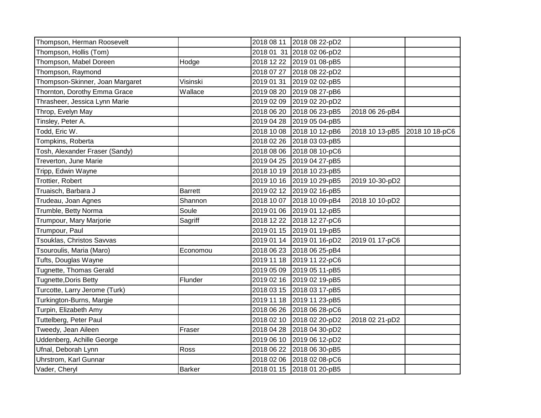| Thompson, Herman Roosevelt      |                | 2018 08 11 | 2018 08 22-pD2            |                |                |
|---------------------------------|----------------|------------|---------------------------|----------------|----------------|
| Thompson, Hollis (Tom)          |                |            | 2018 01 31 2018 02 06-pD2 |                |                |
| Thompson, Mabel Doreen          | Hodge          |            | 2018 12 22 2019 01 08-pB5 |                |                |
| Thompson, Raymond               |                |            | 2018 07 27 2018 08 22-pD2 |                |                |
| Thompson-Skinner, Joan Margaret | Visinski       | 2019 01 31 | 2019 02 02-pB5            |                |                |
| Thornton, Dorothy Emma Grace    | Wallace        |            | 2019 08 20 2019 08 27-pB6 |                |                |
| Thrasheer, Jessica Lynn Marie   |                |            | 2019 02 09 2019 02 20-pD2 |                |                |
| Throp, Evelyn May               |                | 2018 06 20 | 2018 06 23-pB5            | 2018 06 26-pB4 |                |
| Tinsley, Peter A.               |                |            | 2019 04 28 2019 05 04-pB5 |                |                |
| Todd, Eric W.                   |                |            | 2018 10 08 2018 10 12-pB6 | 2018 10 13-pB5 | 2018 10 18-pC6 |
| Tompkins, Roberta               |                |            | 2018 02 26 2018 03 03-pB5 |                |                |
| Tosh, Alexander Fraser (Sandy)  |                |            | 2018 08 06 2018 08 10-pC6 |                |                |
| Treverton, June Marie           |                | 2019 04 25 | 2019 04 27-pB5            |                |                |
| Tripp, Edwin Wayne              |                |            | 2018 10 19 2018 10 23-pB5 |                |                |
| Trottier, Robert                |                |            | 2019 10 16 2019 10 29-pB5 | 2019 10-30-pD2 |                |
| Truaisch, Barbara J             | <b>Barrett</b> |            | 2019 02 12 2019 02 16-pB5 |                |                |
| Trudeau, Joan Agnes             | Shannon        |            | 2018 10 07 2018 10 09-pB4 | 2018 10 10-pD2 |                |
| Trumble, Betty Norma            | Soule          |            | 2019 01 06 2019 01 12-pB5 |                |                |
| Trumpour, Mary Marjorie         | Sagriff        |            | 2018 12 22 2018 12 27-pC6 |                |                |
| Trumpour, Paul                  |                |            | 2019 01 15 2019 01 19-pB5 |                |                |
| Tsouklas, Christos Savvas       |                |            | 2019 01 14 2019 01 16-pD2 | 2019 01 17-pC6 |                |
| Tsouroulis, Maria (Maro)        | Economou       |            | 2018 06 23 2018 06 25-pB4 |                |                |
| Tufts, Douglas Wayne            |                |            | 2019 11 18 2019 11 22-pC6 |                |                |
| Tugnette, Thomas Gerald         |                |            | 2019 05 09 2019 05 11-pB5 |                |                |
| <b>Tugnette, Doris Betty</b>    | Flunder        |            | 2019 02 16 2019 02 19-pB5 |                |                |
| Turcotte, Larry Jerome (Turk)   |                |            | 2018 03 15 2018 03 17-pB5 |                |                |
| Turkington-Burns, Margie        |                |            | 2019 11 18 2019 11 23-pB5 |                |                |
| Turpin, Elizabeth Amy           |                | 2018 06 26 | 2018 06 28-pC6            |                |                |
| Tuttelberg, Peter Paul          |                |            | 2018 02 10 2018 02 20-pD2 | 2018 02 21-pD2 |                |
| Tweedy, Jean Aileen             | Fraser         |            | 2018 04 28 2018 04 30-pD2 |                |                |
| Uddenberg, Achille George       |                | 2019 06 10 | 2019 06 12-pD2            |                |                |
| Ufnal, Deborah Lynn             | Ross           |            | 2018 06 22 2018 06 30-pB5 |                |                |
| Uhrstrom, Karl Gunnar           |                |            | 2018 02 06 2018 02 08-pC6 |                |                |
| Vader, Cheryl                   | <b>Barker</b>  |            | 2018 01 15 2018 01 20-pB5 |                |                |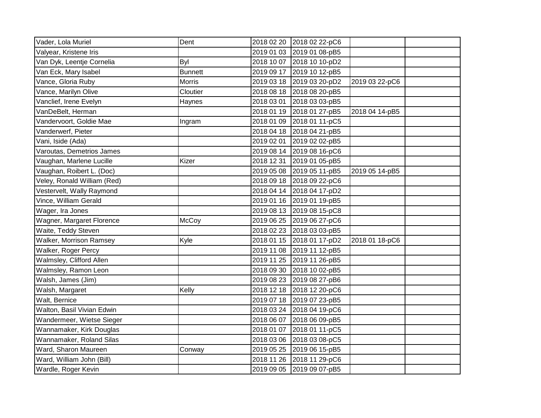| Vader, Lola Muriel             | Dent           |            | 2018 02 20 2018 02 22-pC6 |                |  |
|--------------------------------|----------------|------------|---------------------------|----------------|--|
| Valyear, Kristene Iris         |                |            | 2019 01 03 2019 01 08-pB5 |                |  |
| Van Dyk, Leentje Cornelia      | <b>Byl</b>     |            | 2018 10 07 2018 10 10-pD2 |                |  |
| Van Eck, Mary Isabel           | <b>Bunnett</b> |            | 2019 09 17 2019 10 12-pB5 |                |  |
| Vance, Gloria Ruby             | <b>Morris</b>  |            | 2019 03 18 2019 03 20-pD2 | 2019 03 22-pC6 |  |
| Vance, Marilyn Olive           | Cloutier       |            | 2018 08 18 2018 08 20-pB5 |                |  |
| Vanclief, Irene Evelyn         | Haynes         | 2018 03 01 | 2018 03 03-pB5            |                |  |
| VanDeBelt, Herman              |                | 2018 01 19 | 2018 01 27-pB5            | 2018 04 14-pB5 |  |
| Vandervoort, Goldie Mae        | Ingram         | 2018 01 09 | 2018 01 11-pC5            |                |  |
| Vanderwerf, Pieter             |                |            | 2018 04 18 2018 04 21-pB5 |                |  |
| Vani, Iside (Ada)              |                |            | 2019 02 01 2019 02 02-pB5 |                |  |
| Varoutas, Demetrios James      |                |            | 2019 08 14 2019 08 16-pC6 |                |  |
| Vaughan, Marlene Lucille       | Kizer          | 2018 12 31 | 2019 01 05-pB5            |                |  |
| Vaughan, Roibert L. (Doc)      |                |            | 2019 05 08 2019 05 11-pB5 | 2019 05 14-pB5 |  |
| Veley, Ronald William (Red)    |                |            | 2018 09 18 2018 09 22-pC6 |                |  |
| Vestervelt, Wally Raymond      |                |            | 2018 04 14 2018 04 17-pD2 |                |  |
| Vince, William Gerald          |                |            | 2019 01 16 2019 01 19-pB5 |                |  |
| Wager, Ira Jones               |                |            | 2019 08 13 2019 08 15-pC8 |                |  |
| Wagner, Margaret Florence      | McCoy          |            | 2019 06 25 2019 06 27-pC6 |                |  |
| Waite, Teddy Steven            |                |            | 2018 02 23 2018 03 03-pB5 |                |  |
| <b>Walker, Morrison Ramsey</b> | Kyle           |            | 2018 01 15 2018 01 17-pD2 | 2018 01 18-pC6 |  |
| Walker, Roger Percy            |                |            | 2019 11 08 2019 11 12-pB5 |                |  |
| Walmsley, Clifford Allen       |                |            | 2019 11 25 2019 11 26-pB5 |                |  |
| Walmsley, Ramon Leon           |                |            | 2018 09 30 2018 10 02-pB5 |                |  |
| Walsh, James (Jim)             |                |            | 2019 08 23 2019 08 27-pB6 |                |  |
| Walsh, Margaret                | Kelly          |            | 2018 12 18 2018 12 20-pC6 |                |  |
| Walt, Bernice                  |                |            | 2019 07 18 2019 07 23-pB5 |                |  |
| Walton, Basil Vivian Edwin     |                |            | 2018 03 24 2018 04 19-pC6 |                |  |
| Wandermeer, Wietse Sieger      |                |            | 2018 06 07 2018 06 09-pB5 |                |  |
| Wannamaker, Kirk Douglas       |                |            | 2018 01 07 2018 01 11-pC5 |                |  |
| Wannamaker, Roland Silas       |                | 2018 03 06 | 2018 03 08-pC5            |                |  |
| Ward, Sharon Maureen           | Conway         | 2019 05 25 | 2019 06 15-pB5            |                |  |
| Ward, William John (Bill)      |                | 2018 11 26 | 2018 11 29-pC6            |                |  |
| Wardle, Roger Kevin            |                |            | 2019 09 05 2019 09 07-pB5 |                |  |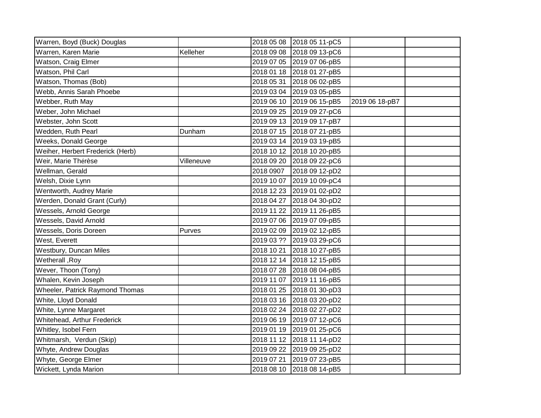| Kelleher<br>2018 09 08<br>2018 09 13-pC6<br>2019 07 05 2019 07 06-pB5<br>2018 01 18 2018 01 27-pB5<br>2018 05 31 2018 06 02-pB5<br>2019 03 04 2019 03 05-pB5<br>2019 06 10 2019 06 15-pB5<br>2019 06 18-pB7<br>2019 09 25 2019 09 27-pC6<br>2019 09 13 2019 09 17-pB7<br>2018 07 15 2018 07 21-pB5<br>Dunham<br>2019 03 14 2019 03 19-pB5<br>2018 10 12 2018 10 20-pB5<br>Villeneuve<br>2018 09 20 2018 09 22-pC6<br>2018 0907<br>2018 09 12-pD2<br>2019 10 07 2019 10 09-pC4<br>2018 12 23 2019 01 02-pD2<br>2018 04 27 2018 04 30-pD2<br>2019 11 22 2019 11 26-pB5<br>2019 07 06 2019 07 09-pB5<br>2019 02 09 2019 02 12-pB5<br>Purves<br>2019 03 ?? 2019 03 29-pC6<br>2018 10 21 2018 10 27-pB5<br>2018 12 14 2018 12 15-pB5<br>2018 07 28 2018 08 04-pB5<br>2019 11 07 2019 11 16-pB5<br>2018 01 25 2018 01 30-pD3<br>2018 03 16 2018 03 20-pD2<br>2018 02 24 2018 02 27-pD2<br>2019 06 19 2019 07 12-pC6<br>2019 01 19 2019 01 25-pC6<br>2018 11 12 2018 11 14-pD2<br>2019 09 22 2019 09 25-pD2<br>2019 07 21<br>2019 07 23-pB5<br>2018 08 10 2018 08 14-pB5 |                                  |            |                |  |
|-------------------------------------------------------------------------------------------------------------------------------------------------------------------------------------------------------------------------------------------------------------------------------------------------------------------------------------------------------------------------------------------------------------------------------------------------------------------------------------------------------------------------------------------------------------------------------------------------------------------------------------------------------------------------------------------------------------------------------------------------------------------------------------------------------------------------------------------------------------------------------------------------------------------------------------------------------------------------------------------------------------------------------------------------------------------|----------------------------------|------------|----------------|--|
|                                                                                                                                                                                                                                                                                                                                                                                                                                                                                                                                                                                                                                                                                                                                                                                                                                                                                                                                                                                                                                                                   | Warren, Boyd (Buck) Douglas      | 2018 05 08 | 2018 05 11-pC5 |  |
|                                                                                                                                                                                                                                                                                                                                                                                                                                                                                                                                                                                                                                                                                                                                                                                                                                                                                                                                                                                                                                                                   | Warren, Karen Marie              |            |                |  |
|                                                                                                                                                                                                                                                                                                                                                                                                                                                                                                                                                                                                                                                                                                                                                                                                                                                                                                                                                                                                                                                                   | Watson, Craig Elmer              |            |                |  |
|                                                                                                                                                                                                                                                                                                                                                                                                                                                                                                                                                                                                                                                                                                                                                                                                                                                                                                                                                                                                                                                                   | Watson, Phil Carl                |            |                |  |
|                                                                                                                                                                                                                                                                                                                                                                                                                                                                                                                                                                                                                                                                                                                                                                                                                                                                                                                                                                                                                                                                   | Watson, Thomas (Bob)             |            |                |  |
|                                                                                                                                                                                                                                                                                                                                                                                                                                                                                                                                                                                                                                                                                                                                                                                                                                                                                                                                                                                                                                                                   | Webb, Annis Sarah Phoebe         |            |                |  |
|                                                                                                                                                                                                                                                                                                                                                                                                                                                                                                                                                                                                                                                                                                                                                                                                                                                                                                                                                                                                                                                                   | Webber, Ruth May                 |            |                |  |
|                                                                                                                                                                                                                                                                                                                                                                                                                                                                                                                                                                                                                                                                                                                                                                                                                                                                                                                                                                                                                                                                   | Weber, John Michael              |            |                |  |
|                                                                                                                                                                                                                                                                                                                                                                                                                                                                                                                                                                                                                                                                                                                                                                                                                                                                                                                                                                                                                                                                   | Webster, John Scott              |            |                |  |
|                                                                                                                                                                                                                                                                                                                                                                                                                                                                                                                                                                                                                                                                                                                                                                                                                                                                                                                                                                                                                                                                   | Wedden, Ruth Pearl               |            |                |  |
|                                                                                                                                                                                                                                                                                                                                                                                                                                                                                                                                                                                                                                                                                                                                                                                                                                                                                                                                                                                                                                                                   | Weeks, Donald George             |            |                |  |
|                                                                                                                                                                                                                                                                                                                                                                                                                                                                                                                                                                                                                                                                                                                                                                                                                                                                                                                                                                                                                                                                   | Weiher, Herbert Frederick (Herb) |            |                |  |
|                                                                                                                                                                                                                                                                                                                                                                                                                                                                                                                                                                                                                                                                                                                                                                                                                                                                                                                                                                                                                                                                   | Weir, Marie Thérèse              |            |                |  |
|                                                                                                                                                                                                                                                                                                                                                                                                                                                                                                                                                                                                                                                                                                                                                                                                                                                                                                                                                                                                                                                                   | Wellman, Gerald                  |            |                |  |
|                                                                                                                                                                                                                                                                                                                                                                                                                                                                                                                                                                                                                                                                                                                                                                                                                                                                                                                                                                                                                                                                   | Welsh, Dixie Lynn                |            |                |  |
|                                                                                                                                                                                                                                                                                                                                                                                                                                                                                                                                                                                                                                                                                                                                                                                                                                                                                                                                                                                                                                                                   | Wentworth, Audrey Marie          |            |                |  |
|                                                                                                                                                                                                                                                                                                                                                                                                                                                                                                                                                                                                                                                                                                                                                                                                                                                                                                                                                                                                                                                                   | Werden, Donald Grant (Curly)     |            |                |  |
|                                                                                                                                                                                                                                                                                                                                                                                                                                                                                                                                                                                                                                                                                                                                                                                                                                                                                                                                                                                                                                                                   | Wessels, Arnold George           |            |                |  |
|                                                                                                                                                                                                                                                                                                                                                                                                                                                                                                                                                                                                                                                                                                                                                                                                                                                                                                                                                                                                                                                                   | Wessels, David Arnold            |            |                |  |
|                                                                                                                                                                                                                                                                                                                                                                                                                                                                                                                                                                                                                                                                                                                                                                                                                                                                                                                                                                                                                                                                   | Wessels, Doris Doreen            |            |                |  |
|                                                                                                                                                                                                                                                                                                                                                                                                                                                                                                                                                                                                                                                                                                                                                                                                                                                                                                                                                                                                                                                                   | West, Everett                    |            |                |  |
|                                                                                                                                                                                                                                                                                                                                                                                                                                                                                                                                                                                                                                                                                                                                                                                                                                                                                                                                                                                                                                                                   | Westbury, Duncan Miles           |            |                |  |
|                                                                                                                                                                                                                                                                                                                                                                                                                                                                                                                                                                                                                                                                                                                                                                                                                                                                                                                                                                                                                                                                   | Wetherall, Roy                   |            |                |  |
|                                                                                                                                                                                                                                                                                                                                                                                                                                                                                                                                                                                                                                                                                                                                                                                                                                                                                                                                                                                                                                                                   | Wever, Thoon (Tony)              |            |                |  |
|                                                                                                                                                                                                                                                                                                                                                                                                                                                                                                                                                                                                                                                                                                                                                                                                                                                                                                                                                                                                                                                                   | Whalen, Kevin Joseph             |            |                |  |
|                                                                                                                                                                                                                                                                                                                                                                                                                                                                                                                                                                                                                                                                                                                                                                                                                                                                                                                                                                                                                                                                   | Wheeler, Patrick Raymond Thomas  |            |                |  |
|                                                                                                                                                                                                                                                                                                                                                                                                                                                                                                                                                                                                                                                                                                                                                                                                                                                                                                                                                                                                                                                                   | White, Lloyd Donald              |            |                |  |
|                                                                                                                                                                                                                                                                                                                                                                                                                                                                                                                                                                                                                                                                                                                                                                                                                                                                                                                                                                                                                                                                   | White, Lynne Margaret            |            |                |  |
|                                                                                                                                                                                                                                                                                                                                                                                                                                                                                                                                                                                                                                                                                                                                                                                                                                                                                                                                                                                                                                                                   | Whitehead, Arthur Frederick      |            |                |  |
|                                                                                                                                                                                                                                                                                                                                                                                                                                                                                                                                                                                                                                                                                                                                                                                                                                                                                                                                                                                                                                                                   | Whitley, Isobel Fern             |            |                |  |
|                                                                                                                                                                                                                                                                                                                                                                                                                                                                                                                                                                                                                                                                                                                                                                                                                                                                                                                                                                                                                                                                   | Whitmarsh, Verdun (Skip)         |            |                |  |
|                                                                                                                                                                                                                                                                                                                                                                                                                                                                                                                                                                                                                                                                                                                                                                                                                                                                                                                                                                                                                                                                   | Whyte, Andrew Douglas            |            |                |  |
|                                                                                                                                                                                                                                                                                                                                                                                                                                                                                                                                                                                                                                                                                                                                                                                                                                                                                                                                                                                                                                                                   | Whyte, George Elmer              |            |                |  |
|                                                                                                                                                                                                                                                                                                                                                                                                                                                                                                                                                                                                                                                                                                                                                                                                                                                                                                                                                                                                                                                                   | Wickett, Lynda Marion            |            |                |  |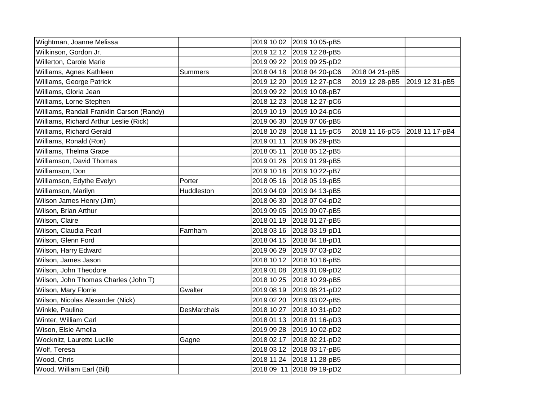| Wightman, Joanne Melissa                  |                |            | 2019 10 02 2019 10 05-pB5 |                |                |
|-------------------------------------------|----------------|------------|---------------------------|----------------|----------------|
| Wilkinson, Gordon Jr.                     |                |            | 2019 12 12 2019 12 28-pB5 |                |                |
| Willerton, Carole Marie                   |                |            | 2019 09 22 2019 09 25-pD2 |                |                |
| Williams, Agnes Kathleen                  | <b>Summers</b> |            | 2018 04 18 2018 04 20-pC6 | 2018 04 21-pB5 |                |
| Williams, George Patrick                  |                |            | 2019 12 20 2019 12 27-pC8 | 2019 12 28-pB5 | 2019 12 31-pB5 |
| Williams, Gloria Jean                     |                |            | 2019 09 22 2019 10 08-pB7 |                |                |
| Williams, Lorne Stephen                   |                |            | 2018 12 23 2018 12 27-pC6 |                |                |
| Williams, Randall Franklin Carson (Randy) |                |            | 2019 10 19 2019 10 24-pC6 |                |                |
| Williams, Richard Arthur Leslie (Rick)    |                |            | 2019 06 30 2019 07 06-pB5 |                |                |
| Williams, Richard Gerald                  |                |            | 2018 10 28 2018 11 15-pC5 | 2018 11 16-pC5 | 2018 11 17-pB4 |
| Williams, Ronald (Ron)                    |                |            | 2019 01 11 2019 06 29-pB5 |                |                |
| Williams, Thelma Grace                    |                | 2018 05 11 | 2018 05 12-pB5            |                |                |
| Williamson, David Thomas                  |                |            | 2019 01 26 2019 01 29-pB5 |                |                |
| Williamson, Don                           |                |            | 2019 10 18 2019 10 22-pB7 |                |                |
| Williamson, Edythe Evelyn                 | Porter         |            | 2018 05 16 2018 05 19-pB5 |                |                |
| Williamson, Marilyn                       | Huddleston     |            | 2019 04 09 2019 04 13-pB5 |                |                |
| Wilson James Henry (Jim)                  |                |            | 2018 06 30 2018 07 04-pD2 |                |                |
| Wilson, Brian Arthur                      |                |            | 2019 09 05 2019 09 07-pB5 |                |                |
| Wilson, Claire                            |                |            | 2018 01 19 2018 01 27-pB5 |                |                |
| Wilson, Claudia Pearl                     | Farnham        |            | 2018 03 16 2018 03 19-pD1 |                |                |
| Wilson, Glenn Ford                        |                |            | 2018 04 15 2018 04 18-pD1 |                |                |
| Wilson, Harry Edward                      |                |            | 2019 06 29 2019 07 03-pD2 |                |                |
| Wilson, James Jason                       |                |            | 2018 10 12 2018 10 16-pB5 |                |                |
| Wilson, John Theodore                     |                |            | 2019 01 08 2019 01 09-pD2 |                |                |
| Wilson, John Thomas Charles (John T)      |                |            | 2018 10 25 2018 10 29-pB5 |                |                |
| Wilson, Mary Florrie                      | Gwalter        |            | 2019 08 19 2019 08 21-pD2 |                |                |
| Wilson, Nicolas Alexander (Nick)          |                |            | 2019 02 20 2019 03 02-pB5 |                |                |
| Winkle, Pauline                           | DesMarchais    | 2018 10 27 | 2018 10 31-pD2            |                |                |
| Winter, William Carl                      |                |            | 2018 01 13 2018 01 16-pD3 |                |                |
| Wison, Elsie Amelia                       |                |            | 2019 09 28 2019 10 02-pD2 |                |                |
| Wocknitz, Laurette Lucille                | Gagne          |            | 2018 02 17 2018 02 21-pD2 |                |                |
| Wolf, Teresa                              |                |            | 2018 03 12 2018 03 17-pB5 |                |                |
| Wood, Chris                               |                |            | 2018 11 24 2018 11 28-pB5 |                |                |
| Wood, William Earl (Bill)                 |                |            | 2018 09 11 2018 09 19-pD2 |                |                |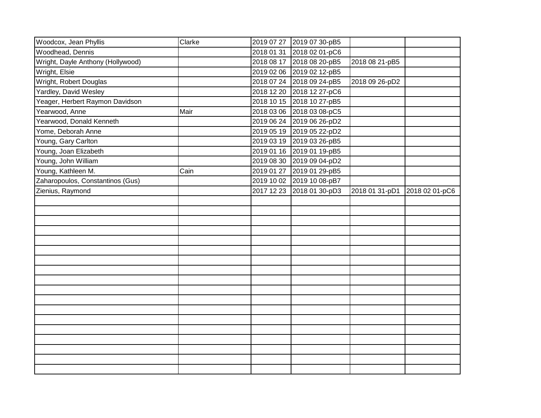| Woodcox, Jean Phyllis             | Clarke |            | 2019 07 27 2019 07 30-pB5 |                |                |
|-----------------------------------|--------|------------|---------------------------|----------------|----------------|
| Woodhead, Dennis                  |        |            | 2018 01 31 2018 02 01-pC6 |                |                |
| Wright, Dayle Anthony (Hollywood) |        |            | 2018 08 17 2018 08 20-pB5 | 2018 08 21-pB5 |                |
| Wright, Elsie                     |        |            | 2019 02 06 2019 02 12-pB5 |                |                |
| Wright, Robert Douglas            |        |            | 2018 07 24 2018 09 24-pB5 | 2018 09 26-pD2 |                |
| Yardley, David Wesley             |        | 2018 12 20 | 2018 12 27-pC6            |                |                |
| Yeager, Herbert Raymon Davidson   |        |            | 2018 10 15 2018 10 27-pB5 |                |                |
| Yearwood, Anne                    | Mair   |            | 2018 03 06 2018 03 08-pC5 |                |                |
| Yearwood, Donald Kenneth          |        |            | 2019 06 24 2019 06 26-pD2 |                |                |
| Yome, Deborah Anne                |        | 2019 05 19 | 2019 05 22-pD2            |                |                |
| Young, Gary Carlton               |        |            | 2019 03 19 2019 03 26-pB5 |                |                |
| Young, Joan Elizabeth             |        | 2019 01 16 | 2019 01 19-pB5            |                |                |
| Young, John William               |        |            | 2019 08 30 2019 09 04-pD2 |                |                |
| Young, Kathleen M.                | Cain   | 2019 01 27 | 2019 01 29-pB5            |                |                |
| Zaharopoulos, Constantinos (Gus)  |        |            | 2019 10 02 2019 10 08-pB7 |                |                |
| Zienius, Raymond                  |        | 2017 12 23 | 2018 01 30-pD3            | 2018 01 31-pD1 | 2018 02 01-pC6 |
|                                   |        |            |                           |                |                |
|                                   |        |            |                           |                |                |
|                                   |        |            |                           |                |                |
|                                   |        |            |                           |                |                |
|                                   |        |            |                           |                |                |
|                                   |        |            |                           |                |                |
|                                   |        |            |                           |                |                |
|                                   |        |            |                           |                |                |
|                                   |        |            |                           |                |                |
|                                   |        |            |                           |                |                |
|                                   |        |            |                           |                |                |
|                                   |        |            |                           |                |                |
|                                   |        |            |                           |                |                |
|                                   |        |            |                           |                |                |
|                                   |        |            |                           |                |                |
|                                   |        |            |                           |                |                |
|                                   |        |            |                           |                |                |
|                                   |        |            |                           |                |                |